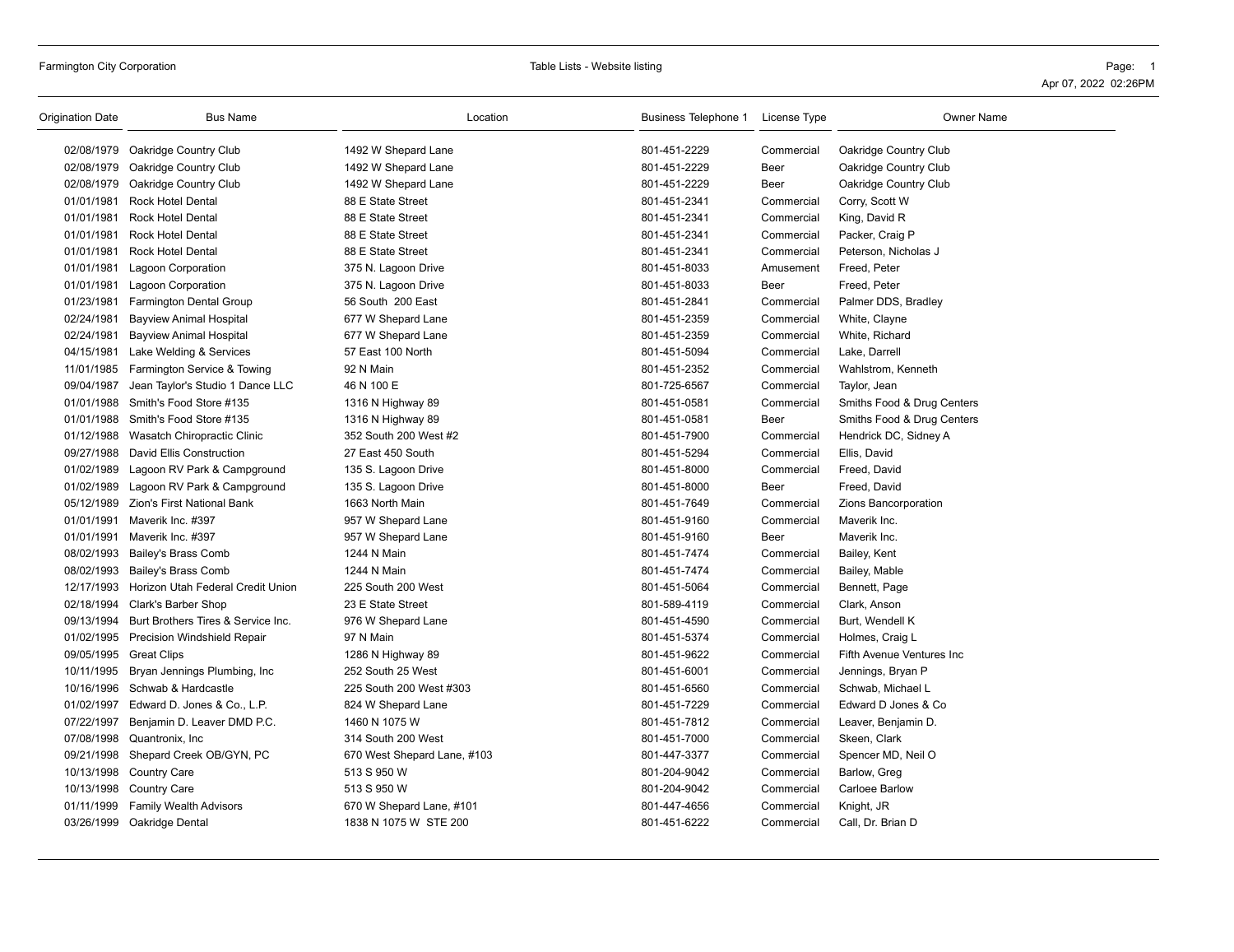# Farmington City Corporation **Table City Corporation** Page: 1

| Origination Date | <b>Bus Name</b>                              | Location                    | Business Telephone 1 License Type |             | <b>Owner Name</b>          |
|------------------|----------------------------------------------|-----------------------------|-----------------------------------|-------------|----------------------------|
|                  | 02/08/1979 Oakridge Country Club             | 1492 W Shepard Lane         | 801-451-2229                      | Commercial  | Oakridge Country Club      |
|                  | 02/08/1979 Oakridge Country Club             | 1492 W Shepard Lane         | 801-451-2229                      | Beer        | Oakridge Country Club      |
|                  | 02/08/1979 Oakridge Country Club             | 1492 W Shepard Lane         | 801-451-2229                      | Beer        | Oakridge Country Club      |
|                  | 01/01/1981 Rock Hotel Dental                 | 88 E State Street           | 801-451-2341                      | Commercial  | Corry, Scott W             |
| 01/01/1981       | Rock Hotel Dental                            | 88 E State Street           | 801-451-2341                      | Commercial  | King, David R              |
| 01/01/1981       | <b>Rock Hotel Dental</b>                     | 88 E State Street           | 801-451-2341                      | Commercial  | Packer, Craig P            |
| 01/01/1981       | Rock Hotel Dental                            | 88 E State Street           | 801-451-2341                      | Commercial  | Peterson, Nicholas J       |
| 01/01/1981       | Lagoon Corporation                           | 375 N. Lagoon Drive         | 801-451-8033                      | Amusement   | Freed, Peter               |
| 01/01/1981       | <b>Lagoon Corporation</b>                    | 375 N. Lagoon Drive         | 801-451-8033                      | Beer        | Freed, Peter               |
|                  | 01/23/1981 Farmington Dental Group           | 56 South 200 East           | 801-451-2841                      | Commercial  | Palmer DDS, Bradley        |
| 02/24/1981       | <b>Bayview Animal Hospital</b>               | 677 W Shepard Lane          | 801-451-2359                      | Commercial  | White, Clayne              |
| 02/24/1981       | <b>Bayview Animal Hospital</b>               | 677 W Shepard Lane          | 801-451-2359                      | Commercial  | White, Richard             |
| 04/15/1981       | Lake Welding & Services                      | 57 East 100 North           | 801-451-5094                      | Commercial  | Lake, Darrell              |
| 11/01/1985       | Farmington Service & Towing                  | 92 N Main                   | 801-451-2352                      | Commercial  | Wahlstrom, Kenneth         |
| 09/04/1987       | Jean Taylor's Studio 1 Dance LLC             | 46 N 100 E                  | 801-725-6567                      | Commercial  | Taylor, Jean               |
| 01/01/1988       | Smith's Food Store #135                      | 1316 N Highway 89           | 801-451-0581                      | Commercial  | Smiths Food & Drug Centers |
|                  | 01/01/1988 Smith's Food Store #135           | 1316 N Highway 89           | 801-451-0581                      | <b>Beer</b> | Smiths Food & Drug Centers |
|                  | 01/12/1988 Wasatch Chiropractic Clinic       | 352 South 200 West #2       | 801-451-7900                      | Commercial  | Hendrick DC, Sidney A      |
| 09/27/1988       | David Ellis Construction                     | 27 East 450 South           | 801-451-5294                      | Commercial  | Ellis, David               |
| 01/02/1989       | Lagoon RV Park & Campground                  | 135 S. Lagoon Drive         | 801-451-8000                      | Commercial  | Freed, David               |
|                  | 01/02/1989 Lagoon RV Park & Campground       | 135 S. Lagoon Drive         | 801-451-8000                      | Beer        | Freed, David               |
|                  | 05/12/1989 Zion's First National Bank        | 1663 North Main             | 801-451-7649                      | Commercial  | Zions Bancorporation       |
| 01/01/1991       | Maverik Inc. #397                            | 957 W Shepard Lane          | 801-451-9160                      | Commercial  | Maverik Inc.               |
|                  | 01/01/1991 Maverik Inc. #397                 | 957 W Shepard Lane          | 801-451-9160                      | Beer        | Maverik Inc.               |
|                  | 08/02/1993 Bailey's Brass Comb               | 1244 N Main                 | 801-451-7474                      | Commercial  | Bailey, Kent               |
|                  | 08/02/1993 Bailey's Brass Comb               | 1244 N Main                 | 801-451-7474                      | Commercial  | Bailey, Mable              |
|                  | 12/17/1993 Horizon Utah Federal Credit Union | 225 South 200 West          | 801-451-5064                      | Commercial  | Bennett, Page              |
|                  | 02/18/1994 Clark's Barber Shop               | 23 E State Street           | 801-589-4119                      | Commercial  | Clark, Anson               |
| 09/13/1994       | Burt Brothers Tires & Service Inc.           | 976 W Shepard Lane          | 801-451-4590                      | Commercial  | Burt, Wendell K            |
|                  | 01/02/1995 Precision Windshield Repair       | 97 N Main                   | 801-451-5374                      | Commercial  | Holmes, Craig L            |
|                  | 09/05/1995 Great Clips                       | 1286 N Highway 89           | 801-451-9622                      | Commercial  | Fifth Avenue Ventures Inc  |
| 10/11/1995       | Bryan Jennings Plumbing, Inc                 | 252 South 25 West           | 801-451-6001                      | Commercial  | Jennings, Bryan P          |
|                  | 10/16/1996 Schwab & Hardcastle               | 225 South 200 West #303     | 801-451-6560                      | Commercial  | Schwab, Michael L          |
| 01/02/1997       | Edward D. Jones & Co., L.P.                  | 824 W Shepard Lane          | 801-451-7229                      | Commercial  | Edward D Jones & Co        |
| 07/22/1997       | Benjamin D. Leaver DMD P.C.                  | 1460 N 1075 W               | 801-451-7812                      | Commercial  | Leaver, Benjamin D.        |
|                  | 07/08/1998 Quantronix, Inc.                  | 314 South 200 West          | 801-451-7000                      | Commercial  | Skeen, Clark               |
| 09/21/1998       | Shepard Creek OB/GYN, PC                     | 670 West Shepard Lane, #103 | 801-447-3377                      | Commercial  | Spencer MD, Neil O         |
|                  | 10/13/1998 Country Care                      | 513 S 950 W                 | 801-204-9042                      | Commercial  | Barlow, Greg               |
|                  | 10/13/1998 Country Care                      | 513 S 950 W                 | 801-204-9042                      | Commercial  | Carloee Barlow             |
| 01/11/1999       | <b>Family Wealth Advisors</b>                | 670 W Shepard Lane, #101    | 801-447-4656                      | Commercial  | Knight, JR                 |
|                  | 03/26/1999 Oakridge Dental                   | 1838 N 1075 W STE 200       | 801-451-6222                      | Commercial  | Call, Dr. Brian D          |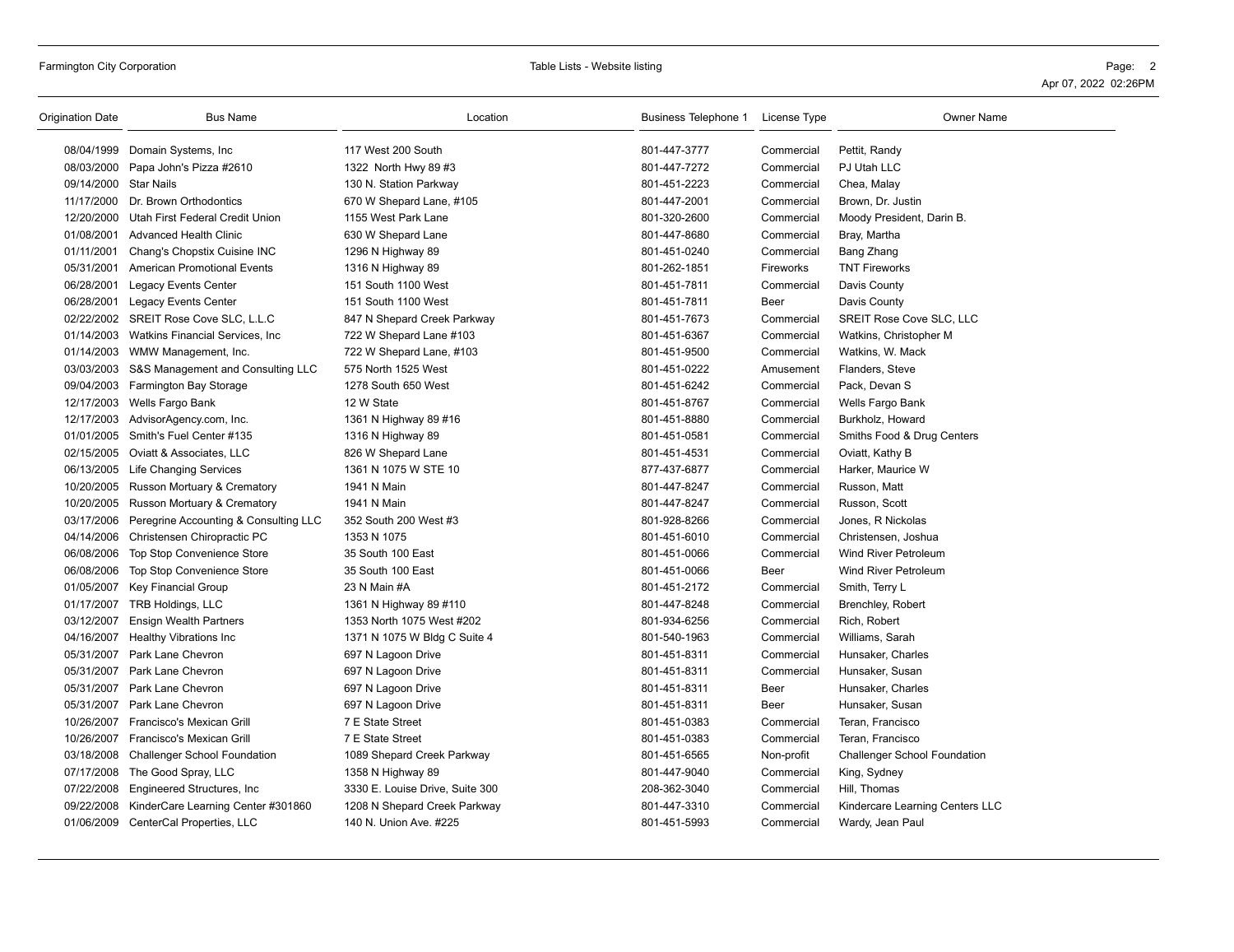| Origination Date      | <b>Bus Name</b>                              | Location                        | Business Telephone 1 License Type |                  | <b>Owner Name</b>                   |
|-----------------------|----------------------------------------------|---------------------------------|-----------------------------------|------------------|-------------------------------------|
|                       | 08/04/1999 Domain Systems, Inc.              | 117 West 200 South              | 801-447-3777                      | Commercial       | Pettit, Randy                       |
|                       | 08/03/2000 Papa John's Pizza #2610           | 1322 North Hwy 89 #3            | 801-447-7272                      | Commercial       | PJ Utah LLC                         |
| 09/14/2000 Star Nails |                                              | 130 N. Station Parkway          | 801-451-2223                      | Commercial       | Chea, Malay                         |
| 11/17/2000            | Dr. Brown Orthodontics                       | 670 W Shepard Lane, #105        | 801-447-2001                      | Commercial       | Brown, Dr. Justin                   |
|                       | 12/20/2000 Utah First Federal Credit Union   | 1155 West Park Lane             | 801-320-2600                      | Commercial       | Moody President, Darin B.           |
|                       | 01/08/2001 Advanced Health Clinic            | 630 W Shepard Lane              | 801-447-8680                      | Commercial       | Bray, Martha                        |
| 01/11/2001            | Chang's Chopstix Cuisine INC                 | 1296 N Highway 89               | 801-451-0240                      | Commercial       | Bang Zhang                          |
| 05/31/2001            | <b>American Promotional Events</b>           | 1316 N Highway 89               | 801-262-1851                      | <b>Fireworks</b> | <b>TNT Fireworks</b>                |
| 06/28/2001            | <b>Legacy Events Center</b>                  | 151 South 1100 West             | 801-451-7811                      | Commercial       | Davis County                        |
|                       | 06/28/2001 Legacy Events Center              | 151 South 1100 West             | 801-451-7811                      | <b>Beer</b>      | Davis County                        |
|                       | 02/22/2002 SREIT Rose Cove SLC, L.L.C        | 847 N Shepard Creek Parkway     | 801-451-7673                      | Commercial       | SREIT Rose Cove SLC, LLC            |
|                       | 01/14/2003 Watkins Financial Services, Inc.  | 722 W Shepard Lane #103         | 801-451-6367                      | Commercial       | Watkins, Christopher M              |
|                       | 01/14/2003 WMW Management, Inc.              | 722 W Shepard Lane, #103        | 801-451-9500                      | Commercial       | Watkins, W. Mack                    |
|                       | 03/03/2003 S&S Management and Consulting LLC | 575 North 1525 West             | 801-451-0222                      | Amusement        | Flanders, Steve                     |
|                       | 09/04/2003 Farmington Bay Storage            | 1278 South 650 West             | 801-451-6242                      | Commercial       | Pack, Devan S                       |
| 12/17/2003            | Wells Fargo Bank                             | 12 W State                      | 801-451-8767                      | Commercial       | Wells Fargo Bank                    |
|                       | 12/17/2003 AdvisorAgency.com, Inc.           | 1361 N Highway 89 #16           | 801-451-8880                      | Commercial       | Burkholz, Howard                    |
|                       | 01/01/2005 Smith's Fuel Center #135          | 1316 N Highway 89               | 801-451-0581                      | Commercial       | Smiths Food & Drug Centers          |
|                       | 02/15/2005 Oviatt & Associates, LLC          | 826 W Shepard Lane              | 801-451-4531                      | Commercial       | Oviatt, Kathy B                     |
|                       | 06/13/2005 Life Changing Services            | 1361 N 1075 W STE 10            | 877-437-6877                      | Commercial       | Harker, Maurice W                   |
|                       | 10/20/2005 Russon Mortuary & Crematory       | 1941 N Main                     | 801-447-8247                      | Commercial       | Russon, Matt                        |
|                       | 10/20/2005 Russon Mortuary & Crematory       | 1941 N Main                     | 801-447-8247                      | Commercial       | Russon, Scott                       |
| 03/17/2006            | Peregrine Accounting & Consulting LLC        | 352 South 200 West #3           | 801-928-8266                      | Commercial       | Jones, R Nickolas                   |
|                       | 04/14/2006 Christensen Chiropractic PC       | 1353 N 1075                     | 801-451-6010                      | Commercial       | Christensen, Joshua                 |
|                       | 06/08/2006 Top Stop Convenience Store        | 35 South 100 East               | 801-451-0066                      | Commercial       | Wind River Petroleum                |
| 06/08/2006            | <b>Top Stop Convenience Store</b>            | 35 South 100 East               | 801-451-0066                      | Beer             | <b>Wind River Petroleum</b>         |
| 01/05/2007            | Key Financial Group                          | 23 N Main #A                    | 801-451-2172                      | Commercial       | Smith, Terry L                      |
|                       | 01/17/2007 TRB Holdings, LLC                 | 1361 N Highway 89 #110          | 801-447-8248                      | Commercial       | Brenchley, Robert                   |
| 03/12/2007            | <b>Ensign Wealth Partners</b>                | 1353 North 1075 West #202       | 801-934-6256                      | Commercial       | Rich, Robert                        |
|                       | 04/16/2007 Healthy Vibrations Inc            | 1371 N 1075 W Bldg C Suite 4    | 801-540-1963                      | Commercial       | Williams, Sarah                     |
|                       | 05/31/2007 Park Lane Chevron                 | 697 N Lagoon Drive              | 801-451-8311                      | Commercial       | Hunsaker, Charles                   |
| 05/31/2007            | Park Lane Chevron                            | 697 N Lagoon Drive              | 801-451-8311                      | Commercial       | Hunsaker, Susan                     |
| 05/31/2007            | Park Lane Chevron                            | 697 N Lagoon Drive              | 801-451-8311                      | Beer             | Hunsaker, Charles                   |
|                       | 05/31/2007 Park Lane Chevron                 | 697 N Lagoon Drive              | 801-451-8311                      | Beer             | Hunsaker, Susan                     |
|                       | 10/26/2007 Francisco's Mexican Grill         | 7 E State Street                | 801-451-0383                      | Commercial       | Teran, Francisco                    |
| 10/26/2007            | Francisco's Mexican Grill                    | 7 E State Street                | 801-451-0383                      | Commercial       | Teran, Francisco                    |
|                       | 03/18/2008 Challenger School Foundation      | 1089 Shepard Creek Parkway      | 801-451-6565                      | Non-profit       | <b>Challenger School Foundation</b> |
|                       | 07/17/2008 The Good Spray, LLC               | 1358 N Highway 89               | 801-447-9040                      | Commercial       | King, Sydney                        |
|                       | 07/22/2008 Engineered Structures, Inc        | 3330 E. Louise Drive, Suite 300 | 208-362-3040                      | Commercial       | Hill, Thomas                        |
| 09/22/2008            | KinderCare Learning Center #301860           | 1208 N Shepard Creek Parkway    | 801-447-3310                      | Commercial       | Kindercare Learning Centers LLC     |
|                       | 01/06/2009 CenterCal Properties, LLC         | 140 N. Union Ave. #225          | 801-451-5993                      | Commercial       | Wardy, Jean Paul                    |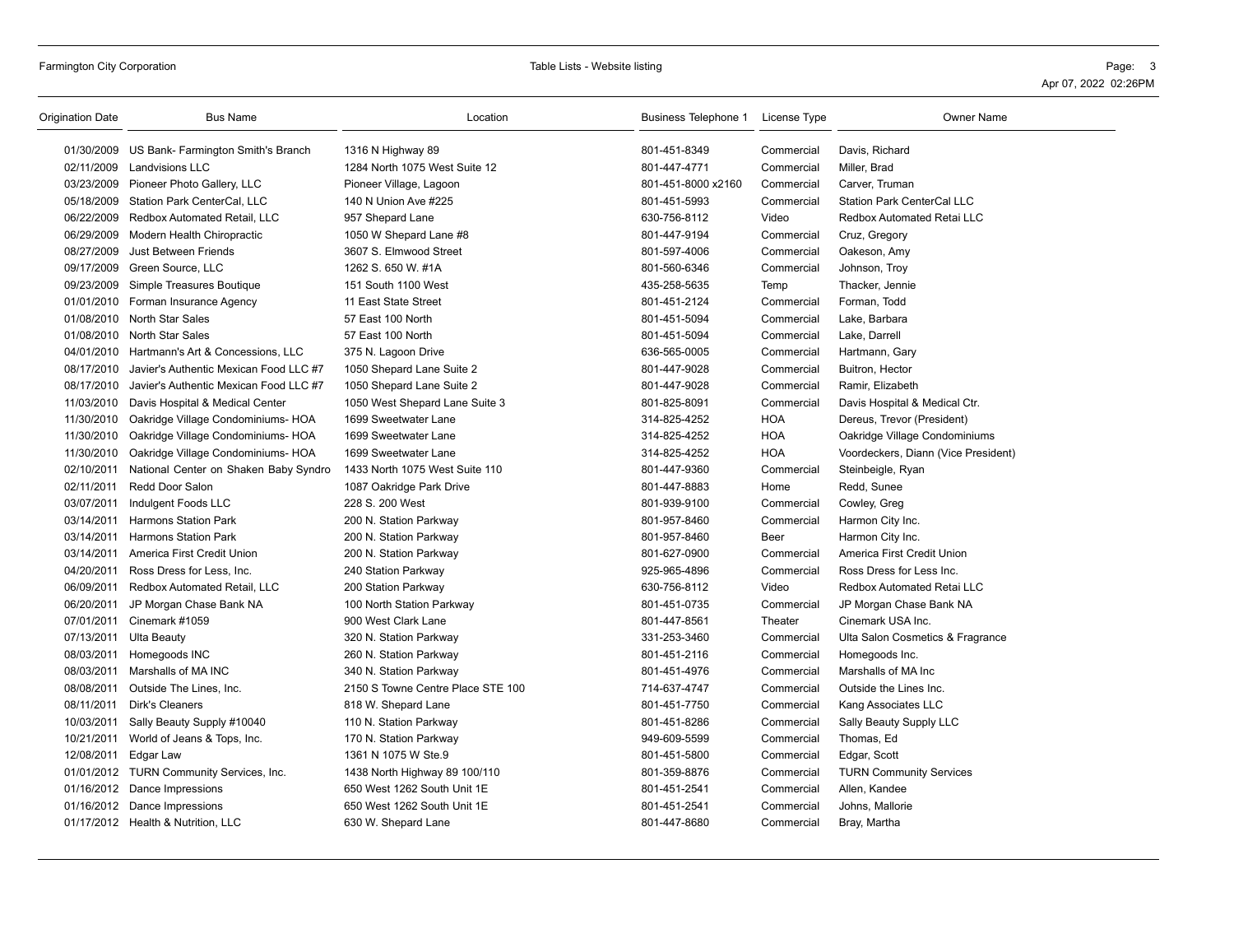| Origination Date | <b>Bus Name</b>                                   | Location                          | Business Telephone 1 License Type |            | <b>Owner Name</b>                   |
|------------------|---------------------------------------------------|-----------------------------------|-----------------------------------|------------|-------------------------------------|
|                  | 01/30/2009 US Bank- Farmington Smith's Branch     | 1316 N Highway 89                 | 801-451-8349                      | Commercial | Davis, Richard                      |
|                  | 02/11/2009 Landvisions LLC                        | 1284 North 1075 West Suite 12     | 801-447-4771                      | Commercial | Miller, Brad                        |
|                  | 03/23/2009 Pioneer Photo Gallery, LLC             | Pioneer Village, Lagoon           | 801-451-8000 x2160                | Commercial | Carver, Truman                      |
|                  | 05/18/2009 Station Park CenterCal, LLC            | 140 N Union Ave #225              | 801-451-5993                      | Commercial | <b>Station Park CenterCal LLC</b>   |
|                  | 06/22/2009 Redbox Automated Retail, LLC           | 957 Shepard Lane                  | 630-756-8112                      | Video      | <b>Redbox Automated Retai LLC</b>   |
| 06/29/2009       | Modern Health Chiropractic                        | 1050 W Shepard Lane #8            | 801-447-9194                      | Commercial | Cruz, Gregory                       |
|                  | 08/27/2009 Just Between Friends                   | 3607 S. Elmwood Street            | 801-597-4006                      | Commercial | Oakeson, Amy                        |
| 09/17/2009       | Green Source, LLC                                 | 1262 S. 650 W. #1A                | 801-560-6346                      | Commercial | Johnson, Troy                       |
|                  | 09/23/2009 Simple Treasures Boutique              | 151 South 1100 West               | 435-258-5635                      | Temp       | Thacker, Jennie                     |
|                  | 01/01/2010 Forman Insurance Agency                | 11 East State Street              | 801-451-2124                      | Commercial | Forman, Todd                        |
|                  | 01/08/2010 North Star Sales                       | 57 East 100 North                 | 801-451-5094                      | Commercial | Lake, Barbara                       |
|                  | 01/08/2010 North Star Sales                       | 57 East 100 North                 | 801-451-5094                      | Commercial | Lake, Darrell                       |
|                  | 04/01/2010 Hartmann's Art & Concessions, LLC      | 375 N. Lagoon Drive               | 636-565-0005                      | Commercial | Hartmann, Gary                      |
|                  | 08/17/2010 Javier's Authentic Mexican Food LLC #7 | 1050 Shepard Lane Suite 2         | 801-447-9028                      | Commercial | Buitron, Hector                     |
| 08/17/2010       | Javier's Authentic Mexican Food LLC #7            | 1050 Shepard Lane Suite 2         | 801-447-9028                      | Commercial | Ramir, Elizabeth                    |
| 11/03/2010       | Davis Hospital & Medical Center                   | 1050 West Shepard Lane Suite 3    | 801-825-8091                      | Commercial | Davis Hospital & Medical Ctr.       |
| 11/30/2010       | Oakridge Village Condominiums- HOA                | 1699 Sweetwater Lane              | 314-825-4252                      | <b>HOA</b> | Dereus, Trevor (President)          |
| 11/30/2010       | Oakridge Village Condominiums- HOA                | 1699 Sweetwater Lane              | 314-825-4252                      | <b>HOA</b> | Oakridge Village Condominiums       |
| 11/30/2010       | Oakridge Village Condominiums- HOA                | 1699 Sweetwater Lane              | 314-825-4252                      | <b>HOA</b> | Voordeckers, Diann (Vice President) |
| 02/10/2011       | National Center on Shaken Baby Syndro             | 1433 North 1075 West Suite 110    | 801-447-9360                      | Commercial | Steinbeigle, Ryan                   |
| 02/11/2011       | Redd Door Salon                                   | 1087 Oakridge Park Drive          | 801-447-8883                      | Home       | Redd, Sunee                         |
| 03/07/2011       | Indulgent Foods LLC                               | 228 S. 200 West                   | 801-939-9100                      | Commercial | Cowley, Greg                        |
| 03/14/2011       | <b>Harmons Station Park</b>                       | 200 N. Station Parkway            | 801-957-8460                      | Commercial | Harmon City Inc.                    |
| 03/14/2011       | <b>Harmons Station Park</b>                       | 200 N. Station Parkway            | 801-957-8460                      | Beer       | Harmon City Inc.                    |
| 03/14/2011       | America First Credit Union                        | 200 N. Station Parkway            | 801-627-0900                      | Commercial | America First Credit Union          |
| 04/20/2011       | Ross Dress for Less, Inc.                         | 240 Station Parkway               | 925-965-4896                      | Commercial | Ross Dress for Less Inc.            |
| 06/09/2011       | Redbox Automated Retail, LLC                      | 200 Station Parkway               | 630-756-8112                      | Video      | Redbox Automated Retai LLC          |
| 06/20/2011       | JP Morgan Chase Bank NA                           | 100 North Station Parkway         | 801-451-0735                      | Commercial | JP Morgan Chase Bank NA             |
| 07/01/2011       | Cinemark #1059                                    | 900 West Clark Lane               | 801-447-8561                      | Theater    | Cinemark USA Inc.                   |
| 07/13/2011       | <b>Ulta Beauty</b>                                | 320 N. Station Parkway            | 331-253-3460                      | Commercial | Ulta Salon Cosmetics & Fragrance    |
|                  | 08/03/2011 Homegoods INC                          | 260 N. Station Parkway            | 801-451-2116                      | Commercial | Homegoods Inc.                      |
| 08/03/2011       | Marshalls of MA INC                               | 340 N. Station Parkway            | 801-451-4976                      | Commercial | Marshalls of MA Inc                 |
| 08/08/2011       | Outside The Lines, Inc.                           | 2150 S Towne Centre Place STE 100 | 714-637-4747                      | Commercial | Outside the Lines Inc.              |
| 08/11/2011       | <b>Dirk's Cleaners</b>                            | 818 W. Shepard Lane               | 801-451-7750                      | Commercial | Kang Associates LLC                 |
| 10/03/2011       | Sally Beauty Supply #10040                        | 110 N. Station Parkway            | 801-451-8286                      | Commercial | Sally Beauty Supply LLC             |
| 10/21/2011       | World of Jeans & Tops, Inc.                       | 170 N. Station Parkway            | 949-609-5599                      | Commercial | Thomas, Ed                          |
| 12/08/2011       | Edgar Law                                         | 1361 N 1075 W Ste.9               | 801-451-5800                      | Commercial | Edgar, Scott                        |
|                  | 01/01/2012 TURN Community Services, Inc.          | 1438 North Highway 89 100/110     | 801-359-8876                      | Commercial | <b>TURN Community Services</b>      |
|                  | 01/16/2012 Dance Impressions                      | 650 West 1262 South Unit 1E       | 801-451-2541                      | Commercial | Allen, Kandee                       |
|                  | 01/16/2012 Dance Impressions                      | 650 West 1262 South Unit 1E       | 801-451-2541                      | Commercial | Johns, Mallorie                     |
|                  | 01/17/2012 Health & Nutrition, LLC                | 630 W. Shepard Lane               | 801-447-8680                      | Commercial | Bray, Martha                        |
|                  |                                                   |                                   |                                   |            |                                     |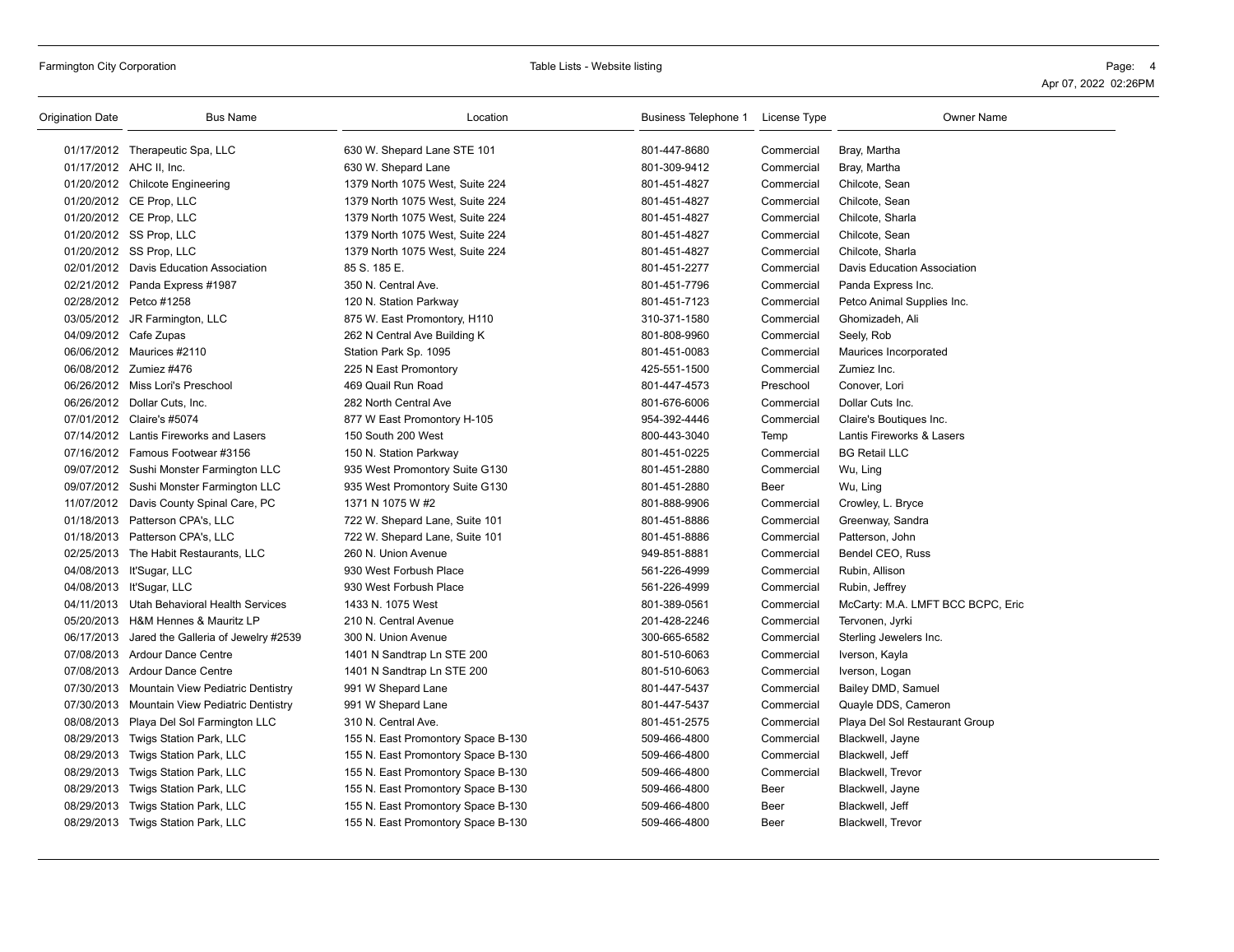# Farmington City Corporation **Table City Corporation** Page: 4

| <b>Origination Date</b> | <b>Bus Name</b>                              | Location                           | Business Telephone 1 License Type |            | <b>Owner Name</b>                 |
|-------------------------|----------------------------------------------|------------------------------------|-----------------------------------|------------|-----------------------------------|
|                         | 01/17/2012 Therapeutic Spa, LLC              | 630 W. Shepard Lane STE 101        | 801-447-8680                      | Commercial | Bray, Martha                      |
|                         | 01/17/2012 AHC II, Inc.                      | 630 W. Shepard Lane                | 801-309-9412                      | Commercial | Bray, Martha                      |
|                         | 01/20/2012 Chilcote Engineering              | 1379 North 1075 West, Suite 224    | 801-451-4827                      | Commercial | Chilcote, Sean                    |
|                         | 01/20/2012 CE Prop, LLC                      | 1379 North 1075 West, Suite 224    | 801-451-4827                      | Commercial | Chilcote, Sean                    |
|                         | 01/20/2012 CE Prop, LLC                      | 1379 North 1075 West, Suite 224    | 801-451-4827                      | Commercial | Chilcote, Sharla                  |
|                         | 01/20/2012 SS Prop, LLC                      | 1379 North 1075 West, Suite 224    | 801-451-4827                      | Commercial | Chilcote, Sean                    |
|                         | 01/20/2012 SS Prop, LLC                      | 1379 North 1075 West, Suite 224    | 801-451-4827                      | Commercial | Chilcote, Sharla                  |
|                         | 02/01/2012 Davis Education Association       | 85 S. 185 E.                       | 801-451-2277                      | Commercial | Davis Education Association       |
|                         | 02/21/2012 Panda Express #1987               | 350 N. Central Ave.                | 801-451-7796                      | Commercial | Panda Express Inc.                |
|                         | 02/28/2012 Petco #1258                       | 120 N. Station Parkway             | 801-451-7123                      | Commercial | Petco Animal Supplies Inc.        |
|                         | 03/05/2012 JR Farmington, LLC                | 875 W. East Promontory, H110       | 310-371-1580                      | Commercial | Ghomizadeh, Ali                   |
|                         | 04/09/2012 Cafe Zupas                        | 262 N Central Ave Building K       | 801-808-9960                      | Commercial | Seely, Rob                        |
|                         | 06/06/2012 Maurices #2110                    | Station Park Sp. 1095              | 801-451-0083                      | Commercial | Maurices Incorporated             |
|                         | 06/08/2012 Zumiez #476                       | 225 N East Promontory              | 425-551-1500                      | Commercial | Zumiez Inc.                       |
|                         | 06/26/2012 Miss Lori's Preschool             | 469 Quail Run Road                 | 801-447-4573                      | Preschool  | Conover, Lori                     |
|                         | 06/26/2012 Dollar Cuts, Inc.                 | 282 North Central Ave              | 801-676-6006                      | Commercial | Dollar Cuts Inc.                  |
|                         | 07/01/2012 Claire's #5074                    | 877 W East Promontory H-105        | 954-392-4446                      | Commercial | Claire's Boutiques Inc.           |
|                         | 07/14/2012 Lantis Fireworks and Lasers       | 150 South 200 West                 | 800-443-3040                      | Temp       | Lantis Fireworks & Lasers         |
|                         | 07/16/2012 Famous Footwear #3156             | 150 N. Station Parkway             | 801-451-0225                      | Commercial | <b>BG Retail LLC</b>              |
|                         | 09/07/2012 Sushi Monster Farmington LLC      | 935 West Promontory Suite G130     | 801-451-2880                      | Commercial | Wu, Ling                          |
|                         | 09/07/2012 Sushi Monster Farmington LLC      | 935 West Promontory Suite G130     | 801-451-2880                      | Beer       | Wu, Ling                          |
|                         | 11/07/2012 Davis County Spinal Care, PC      | 1371 N 1075 W #2                   | 801-888-9906                      | Commercial | Crowley, L. Bryce                 |
|                         | 01/18/2013 Patterson CPA's, LLC              | 722 W. Shepard Lane, Suite 101     | 801-451-8886                      | Commercial | Greenway, Sandra                  |
|                         | 01/18/2013 Patterson CPA's, LLC              | 722 W. Shepard Lane, Suite 101     | 801-451-8886                      | Commercial | Patterson, John                   |
|                         | 02/25/2013 The Habit Restaurants, LLC        | 260 N. Union Avenue                | 949-851-8881                      | Commercial | Bendel CEO, Russ                  |
|                         | 04/08/2013 It'Sugar, LLC                     | 930 West Forbush Place             | 561-226-4999                      | Commercial | Rubin, Allison                    |
|                         | 04/08/2013 It'Sugar, LLC                     | 930 West Forbush Place             | 561-226-4999                      | Commercial | Rubin, Jeffrey                    |
|                         | 04/11/2013 Utah Behavioral Health Services   | 1433 N. 1075 West                  | 801-389-0561                      | Commercial | McCarty: M.A. LMFT BCC BCPC, Eric |
|                         | 05/20/2013 H&M Hennes & Mauritz LP           | 210 N. Central Avenue              | 201-428-2246                      | Commercial | Tervonen, Jyrki                   |
| 06/17/2013              | Jared the Galleria of Jewelry #2539          | 300 N. Union Avenue                | 300-665-6582                      | Commercial | Sterling Jewelers Inc.            |
|                         | 07/08/2013 Ardour Dance Centre               | 1401 N Sandtrap Ln STE 200         | 801-510-6063                      | Commercial | Iverson, Kayla                    |
|                         | 07/08/2013 Ardour Dance Centre               | 1401 N Sandtrap Ln STE 200         | 801-510-6063                      | Commercial | Iverson, Logan                    |
|                         | 07/30/2013 Mountain View Pediatric Dentistry | 991 W Shepard Lane                 | 801-447-5437                      | Commercial | Bailey DMD, Samuel                |
|                         | 07/30/2013 Mountain View Pediatric Dentistry | 991 W Shepard Lane                 | 801-447-5437                      | Commercial | Quayle DDS, Cameron               |
|                         | 08/08/2013 Playa Del Sol Farmington LLC      | 310 N. Central Ave.                | 801-451-2575                      | Commercial | Playa Del Sol Restaurant Group    |
| 08/29/2013              | Twigs Station Park, LLC                      | 155 N. East Promontory Space B-130 | 509-466-4800                      | Commercial | Blackwell, Jayne                  |
| 08/29/2013              | Twigs Station Park, LLC                      | 155 N. East Promontory Space B-130 | 509-466-4800                      | Commercial | Blackwell, Jeff                   |
| 08/29/2013              | Twigs Station Park, LLC                      | 155 N. East Promontory Space B-130 | 509-466-4800                      | Commercial | Blackwell, Trevor                 |
| 08/29/2013              | Twigs Station Park, LLC                      | 155 N. East Promontory Space B-130 | 509-466-4800                      | Beer       | Blackwell, Jayne                  |
| 08/29/2013              | Twigs Station Park, LLC                      | 155 N. East Promontory Space B-130 | 509-466-4800                      | Beer       | Blackwell, Jeff                   |
|                         | 08/29/2013 Twigs Station Park, LLC           | 155 N. East Promontory Space B-130 | 509-466-4800                      | Beer       | Blackwell, Trevor                 |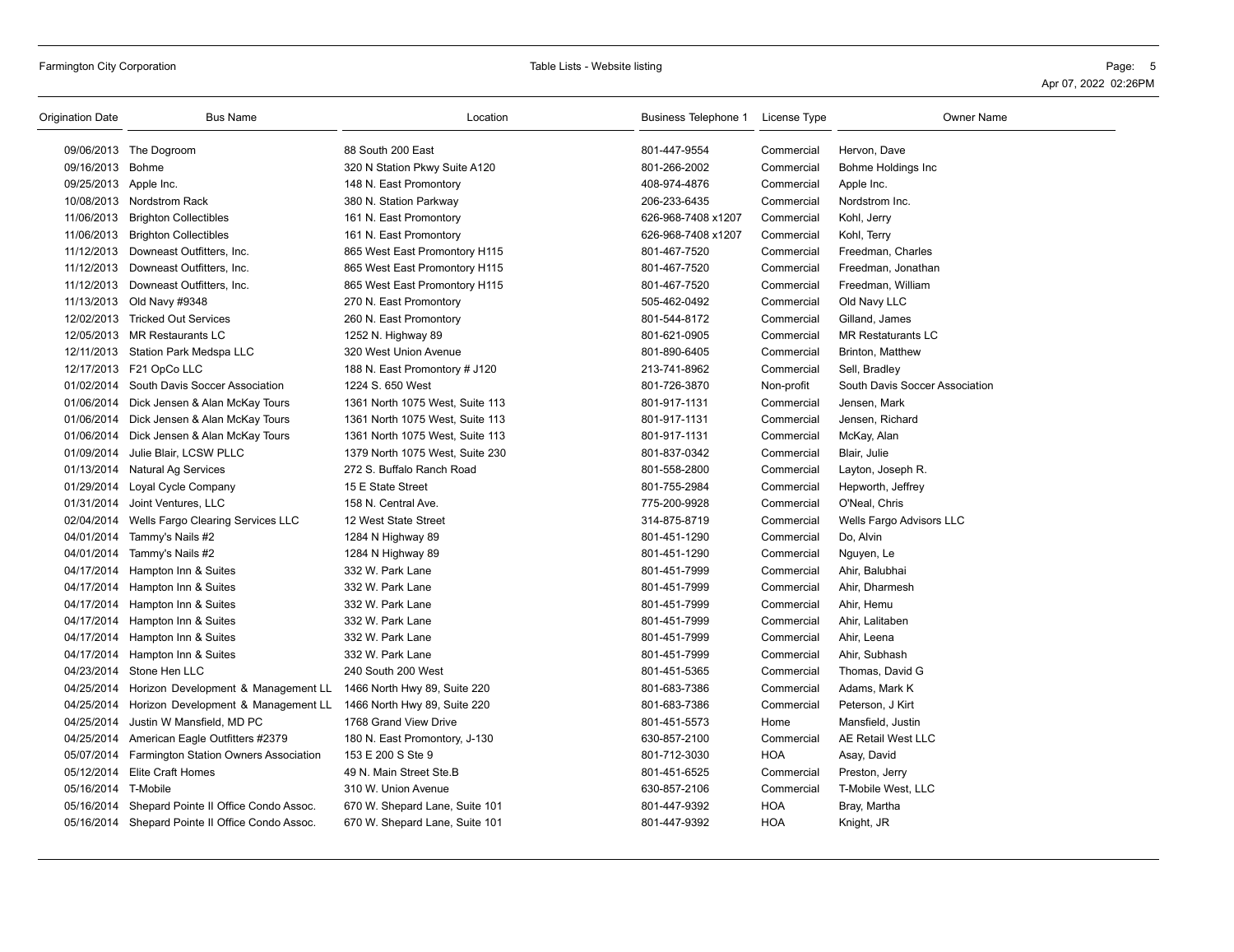| <b>Origination Date</b> | <b>Bus Name</b>                                  | Location                        | Business Telephone 1 License Type |            | <b>Owner Name</b>              |
|-------------------------|--------------------------------------------------|---------------------------------|-----------------------------------|------------|--------------------------------|
|                         | 09/06/2013 The Dogroom                           | 88 South 200 East               | 801-447-9554                      | Commercial | Hervon, Dave                   |
| 09/16/2013 Bohme        |                                                  | 320 N Station Pkwy Suite A120   | 801-266-2002                      | Commercial | Bohme Holdings Inc             |
| 09/25/2013 Apple Inc.   |                                                  | 148 N. East Promontory          | 408-974-4876                      | Commercial | Apple Inc.                     |
|                         | 10/08/2013 Nordstrom Rack                        | 380 N. Station Parkway          | 206-233-6435                      | Commercial | Nordstrom Inc.                 |
|                         | 11/06/2013 Brighton Collectibles                 | 161 N. East Promontory          | 626-968-7408 x1207                | Commercial | Kohl, Jerry                    |
| 11/06/2013              | <b>Brighton Collectibles</b>                     | 161 N. East Promontory          | 626-968-7408 x1207                | Commercial | Kohl, Terry                    |
| 11/12/2013              | Downeast Outfitters, Inc.                        | 865 West East Promontory H115   | 801-467-7520                      | Commercial | Freedman, Charles              |
|                         | 11/12/2013 Downeast Outfitters, Inc.             | 865 West East Promontory H115   | 801-467-7520                      | Commercial | Freedman, Jonathan             |
|                         | 11/12/2013 Downeast Outfitters, Inc.             | 865 West East Promontory H115   | 801-467-7520                      | Commercial | Freedman, William              |
|                         | 11/13/2013 Old Navy #9348                        | 270 N. East Promontory          | 505-462-0492                      | Commercial | Old Navy LLC                   |
|                         | 12/02/2013 Tricked Out Services                  | 260 N. East Promontory          | 801-544-8172                      | Commercial | Gilland, James                 |
|                         | 12/05/2013 MR Restaurants LC                     | 1252 N. Highway 89              | 801-621-0905                      | Commercial | <b>MR Restaturants LC</b>      |
| 12/11/2013              | Station Park Medspa LLC                          | 320 West Union Avenue           | 801-890-6405                      | Commercial | Brinton, Matthew               |
|                         | 12/17/2013 F21 OpCo LLC                          | 188 N. East Promontory # J120   | 213-741-8962                      | Commercial | Sell, Bradley                  |
|                         | 01/02/2014 South Davis Soccer Association        | 1224 S. 650 West                | 801-726-3870                      | Non-profit | South Davis Soccer Association |
|                         | 01/06/2014 Dick Jensen & Alan McKay Tours        | 1361 North 1075 West, Suite 113 | 801-917-1131                      | Commercial | Jensen, Mark                   |
|                         | 01/06/2014 Dick Jensen & Alan McKay Tours        | 1361 North 1075 West, Suite 113 | 801-917-1131                      | Commercial | Jensen, Richard                |
|                         | 01/06/2014 Dick Jensen & Alan McKay Tours        | 1361 North 1075 West, Suite 113 | 801-917-1131                      | Commercial | McKay, Alan                    |
| 01/09/2014              | Julie Blair, LCSW PLLC                           | 1379 North 1075 West, Suite 230 | 801-837-0342                      | Commercial | Blair, Julie                   |
|                         | 01/13/2014 Natural Ag Services                   | 272 S. Buffalo Ranch Road       | 801-558-2800                      | Commercial | Layton, Joseph R.              |
|                         | 01/29/2014 Loyal Cycle Company                   | 15 E State Street               | 801-755-2984                      | Commercial | Hepworth, Jeffrey              |
| 01/31/2014              | Joint Ventures, LLC                              | 158 N. Central Ave.             | 775-200-9928                      | Commercial | O'Neal, Chris                  |
|                         | 02/04/2014 Wells Fargo Clearing Services LLC     | 12 West State Street            | 314-875-8719                      | Commercial | Wells Fargo Advisors LLC       |
|                         | 04/01/2014 Tammy's Nails #2                      | 1284 N Highway 89               | 801-451-1290                      | Commercial | Do, Alvin                      |
|                         | 04/01/2014 Tammy's Nails #2                      | 1284 N Highway 89               | 801-451-1290                      | Commercial | Nguyen, Le                     |
| 04/17/2014              | Hampton Inn & Suites                             | 332 W. Park Lane                | 801-451-7999                      | Commercial | Ahir, Balubhai                 |
| 04/17/2014              | Hampton Inn & Suites                             | 332 W. Park Lane                | 801-451-7999                      | Commercial | Ahir, Dharmesh                 |
|                         | 04/17/2014 Hampton Inn & Suites                  | 332 W. Park Lane                | 801-451-7999                      | Commercial | Ahir, Hemu                     |
|                         | 04/17/2014 Hampton Inn & Suites                  | 332 W. Park Lane                | 801-451-7999                      | Commercial | Ahir, Lalitaben                |
| 04/17/2014              | Hampton Inn & Suites                             | 332 W. Park Lane                | 801-451-7999                      | Commercial | Ahir, Leena                    |
|                         | 04/17/2014 Hampton Inn & Suites                  | 332 W. Park Lane                | 801-451-7999                      | Commercial | Ahir, Subhash                  |
|                         | 04/23/2014 Stone Hen LLC                         | 240 South 200 West              | 801-451-5365                      | Commercial | Thomas, David G                |
|                         | 04/25/2014 Horizon Development & Management LL   | 1466 North Hwy 89, Suite 220    | 801-683-7386                      | Commercial | Adams, Mark K                  |
| 04/25/2014              | Horizon Development & Management LL              | 1466 North Hwy 89, Suite 220    | 801-683-7386                      | Commercial | Peterson, J Kirt               |
| 04/25/2014              | Justin W Mansfield, MD PC                        | 1768 Grand View Drive           | 801-451-5573                      | Home       | Mansfield, Justin              |
| 04/25/2014              | American Eagle Outfitters #2379                  | 180 N. East Promontory, J-130   | 630-857-2100                      | Commercial | AE Retail West LLC             |
| 05/07/2014              | Farmington Station Owners Association            | 153 E 200 S Ste 9               | 801-712-3030                      | <b>HOA</b> | Asay, David                    |
|                         | 05/12/2014 Elite Craft Homes                     | 49 N. Main Street Ste.B         | 801-451-6525                      | Commercial | Preston, Jerry                 |
| 05/16/2014 T-Mobile     |                                                  | 310 W. Union Avenue             | 630-857-2106                      | Commercial | T-Mobile West, LLC             |
| 05/16/2014              | Shepard Pointe II Office Condo Assoc.            | 670 W. Shepard Lane, Suite 101  | 801-447-9392                      | <b>HOA</b> | Bray, Martha                   |
|                         | 05/16/2014 Shepard Pointe II Office Condo Assoc. | 670 W. Shepard Lane, Suite 101  | 801-447-9392                      | <b>HOA</b> | Knight, JR                     |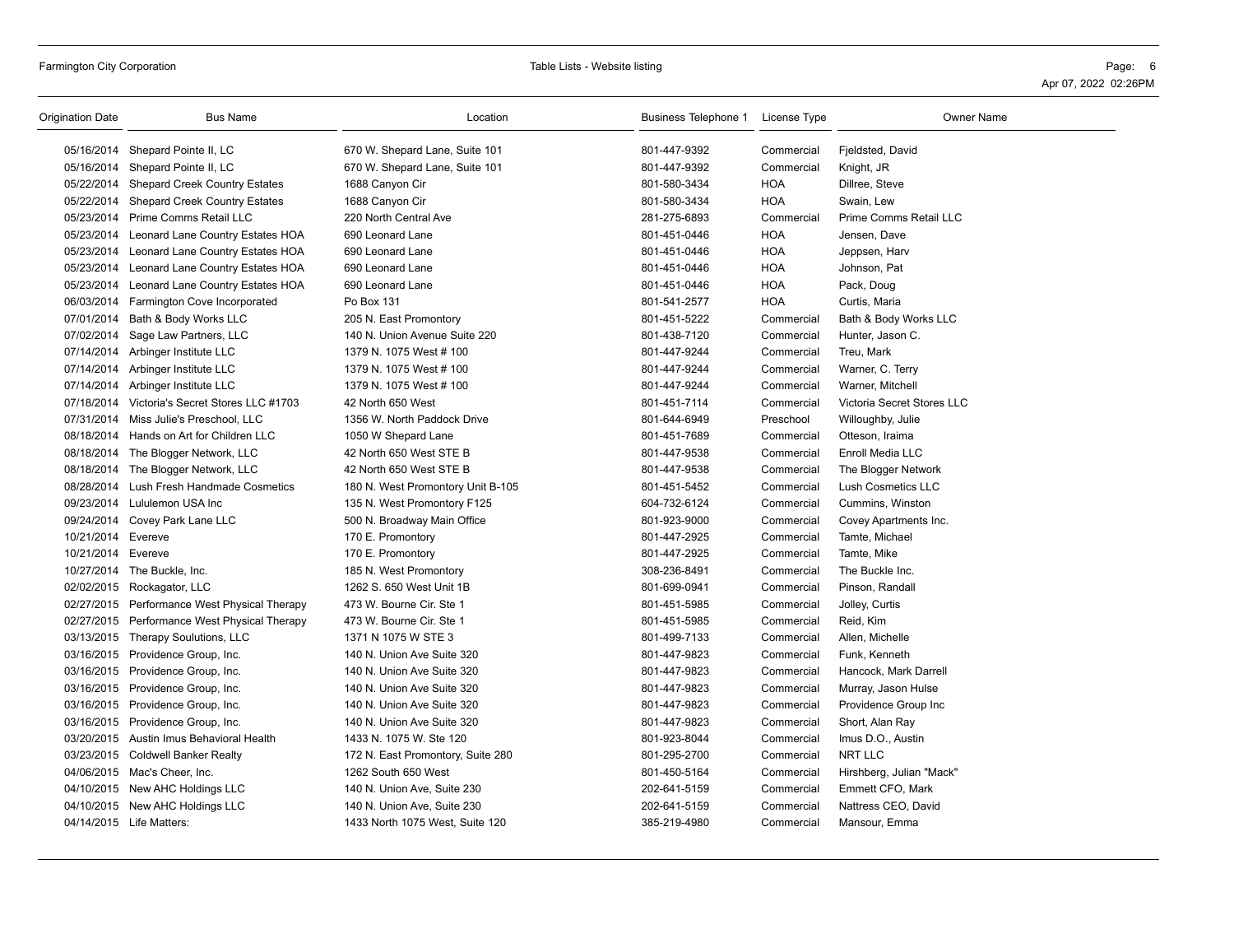| Origination Date   | <b>Bus Name</b>                              | Location                          | Business Telephone 1 | License Type | <b>Owner Name</b>          |
|--------------------|----------------------------------------------|-----------------------------------|----------------------|--------------|----------------------------|
|                    | 05/16/2014 Shepard Pointe II, LC             | 670 W. Shepard Lane, Suite 101    | 801-447-9392         | Commercial   | Fjeldsted, David           |
|                    | 05/16/2014 Shepard Pointe II, LC             | 670 W. Shepard Lane, Suite 101    | 801-447-9392         | Commercial   | Knight, JR                 |
|                    | 05/22/2014 Shepard Creek Country Estates     | 1688 Canyon Cir                   | 801-580-3434         | <b>HOA</b>   | Dillree, Steve             |
|                    | 05/22/2014 Shepard Creek Country Estates     | 1688 Canyon Cir                   | 801-580-3434         | <b>HOA</b>   | Swain, Lew                 |
|                    | 05/23/2014 Prime Comms Retail LLC            | 220 North Central Ave             | 281-275-6893         | Commercial   | Prime Comms Retail LLC     |
|                    | 05/23/2014 Leonard Lane Country Estates HOA  | 690 Leonard Lane                  | 801-451-0446         | <b>HOA</b>   | Jensen, Dave               |
|                    | 05/23/2014 Leonard Lane Country Estates HOA  | 690 Leonard Lane                  | 801-451-0446         | <b>HOA</b>   | Jeppsen, Harv              |
|                    | 05/23/2014 Leonard Lane Country Estates HOA  | 690 Leonard Lane                  | 801-451-0446         | <b>HOA</b>   | Johnson, Pat               |
|                    | 05/23/2014 Leonard Lane Country Estates HOA  | 690 Leonard Lane                  | 801-451-0446         | <b>HOA</b>   | Pack, Doug                 |
|                    | 06/03/2014 Farmington Cove Incorporated      | Po Box 131                        | 801-541-2577         | <b>HOA</b>   | Curtis, Maria              |
|                    | 07/01/2014 Bath & Body Works LLC             | 205 N. East Promontory            | 801-451-5222         | Commercial   | Bath & Body Works LLC      |
|                    | 07/02/2014 Sage Law Partners, LLC            | 140 N. Union Avenue Suite 220     | 801-438-7120         | Commercial   | Hunter, Jason C.           |
|                    | 07/14/2014 Arbinger Institute LLC            | 1379 N. 1075 West # 100           | 801-447-9244         | Commercial   | Treu, Mark                 |
|                    | 07/14/2014 Arbinger Institute LLC            | 1379 N. 1075 West # 100           | 801-447-9244         | Commercial   | Warner, C. Terry           |
|                    | 07/14/2014 Arbinger Institute LLC            | 1379 N. 1075 West # 100           | 801-447-9244         | Commercial   | Warner, Mitchell           |
| 07/18/2014         | Victoria's Secret Stores LLC #1703           | 42 North 650 West                 | 801-451-7114         | Commercial   | Victoria Secret Stores LLC |
|                    | 07/31/2014 Miss Julie's Preschool, LLC       | 1356 W. North Paddock Drive       | 801-644-6949         | Preschool    | Willoughby, Julie          |
|                    | 08/18/2014 Hands on Art for Children LLC     | 1050 W Shepard Lane               | 801-451-7689         | Commercial   | Otteson, Iraima            |
|                    | 08/18/2014 The Blogger Network, LLC          | 42 North 650 West STE B           | 801-447-9538         | Commercial   | Enroll Media LLC           |
|                    | 08/18/2014 The Blogger Network, LLC          | 42 North 650 West STE B           | 801-447-9538         | Commercial   | The Blogger Network        |
|                    | 08/28/2014 Lush Fresh Handmade Cosmetics     | 180 N. West Promontory Unit B-105 | 801-451-5452         | Commercial   | Lush Cosmetics LLC         |
|                    | 09/23/2014 Lululemon USA Inc                 | 135 N. West Promontory F125       | 604-732-6124         | Commercial   | Cummins, Winston           |
|                    | 09/24/2014 Covey Park Lane LLC               | 500 N. Broadway Main Office       | 801-923-9000         | Commercial   | Covey Apartments Inc.      |
| 10/21/2014 Evereve |                                              | 170 E. Promontory                 | 801-447-2925         | Commercial   | Tamte, Michael             |
| 10/21/2014 Evereve |                                              | 170 E. Promontory                 | 801-447-2925         | Commercial   | Tamte, Mike                |
|                    | 10/27/2014 The Buckle, Inc.                  | 185 N. West Promontory            | 308-236-8491         | Commercial   | The Buckle Inc.            |
|                    | 02/02/2015 Rockagator, LLC                   | 1262 S. 650 West Unit 1B          | 801-699-0941         | Commercial   | Pinson, Randall            |
|                    | 02/27/2015 Performance West Physical Therapy | 473 W. Bourne Cir. Ste 1          | 801-451-5985         | Commercial   | Jolley, Curtis             |
|                    | 02/27/2015 Performance West Physical Therapy | 473 W. Bourne Cir. Ste 1          | 801-451-5985         | Commercial   | Reid, Kim                  |
|                    | 03/13/2015 Therapy Soulutions, LLC           | 1371 N 1075 W STE 3               | 801-499-7133         | Commercial   | Allen, Michelle            |
|                    | 03/16/2015 Providence Group, Inc.            | 140 N. Union Ave Suite 320        | 801-447-9823         | Commercial   | Funk, Kenneth              |
|                    | 03/16/2015 Providence Group, Inc.            | 140 N. Union Ave Suite 320        | 801-447-9823         | Commercial   | Hancock, Mark Darrell      |
|                    | 03/16/2015 Providence Group, Inc.            | 140 N. Union Ave Suite 320        | 801-447-9823         | Commercial   | Murray, Jason Hulse        |
|                    | 03/16/2015 Providence Group, Inc.            | 140 N. Union Ave Suite 320        | 801-447-9823         | Commercial   | Providence Group Inc       |
|                    | 03/16/2015 Providence Group, Inc.            | 140 N. Union Ave Suite 320        | 801-447-9823         | Commercial   | Short, Alan Ray            |
|                    | 03/20/2015 Austin Imus Behavioral Health     | 1433 N. 1075 W. Ste 120           | 801-923-8044         | Commercial   | Imus D.O., Austin          |
|                    | 03/23/2015 Coldwell Banker Realty            | 172 N. East Promontory, Suite 280 | 801-295-2700         | Commercial   | NRT LLC                    |
|                    | 04/06/2015 Mac's Cheer, Inc.                 | 1262 South 650 West               | 801-450-5164         | Commercial   | Hirshberg, Julian "Mack"   |
|                    | 04/10/2015 New AHC Holdings LLC              | 140 N. Union Ave, Suite 230       | 202-641-5159         | Commercial   | Emmett CFO, Mark           |
|                    | 04/10/2015 New AHC Holdings LLC              | 140 N. Union Ave, Suite 230       | 202-641-5159         | Commercial   | Nattress CEO, David        |
|                    | 04/14/2015 Life Matters:                     | 1433 North 1075 West, Suite 120   | 385-219-4980         | Commercial   | Mansour, Emma              |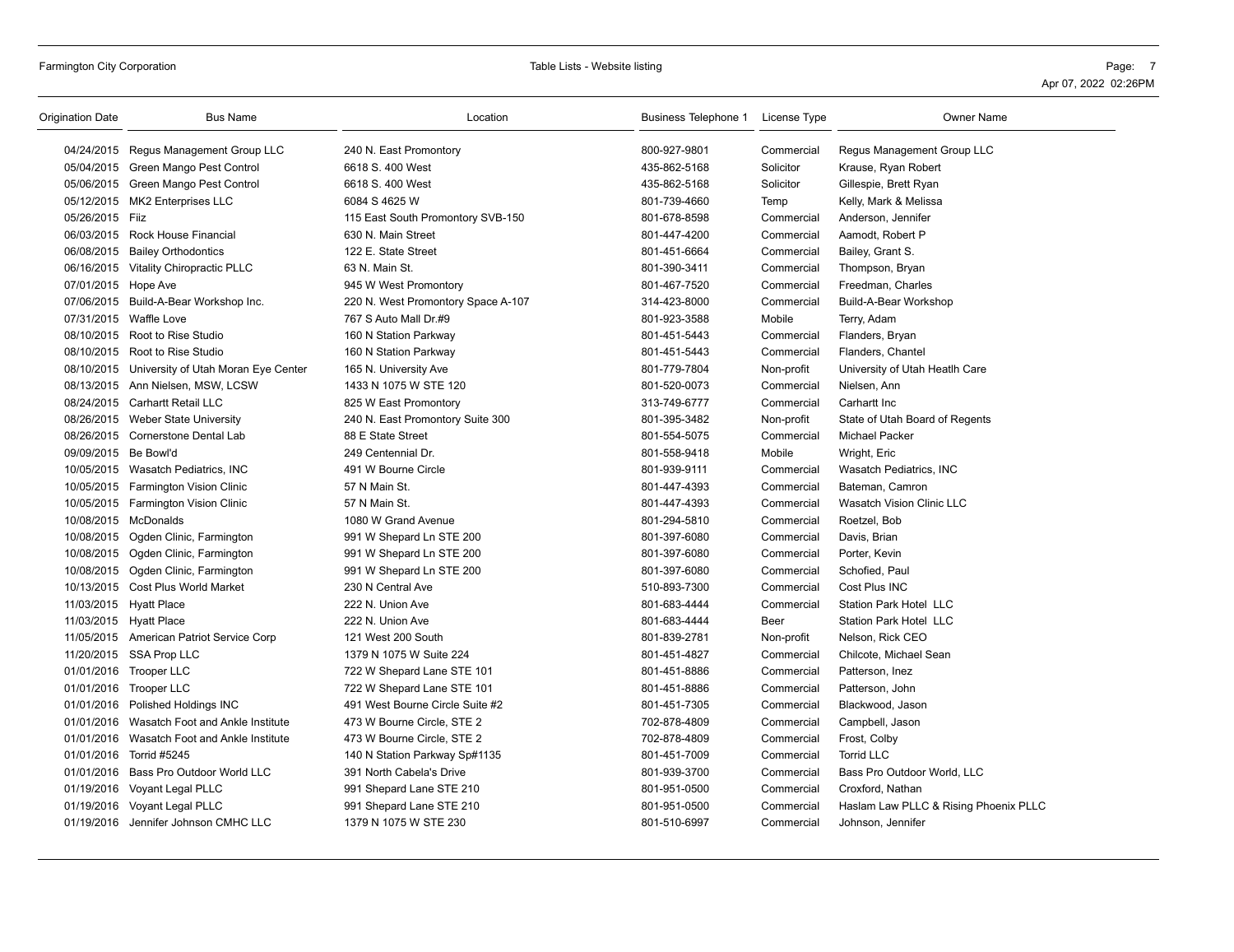| 04/24/2015 Regus Management Group LLC<br>800-927-9801<br>240 N. East Promontory<br>Commercial<br>Regus Management Group LLC<br>05/04/2015 Green Mango Pest Control<br>6618 S. 400 West<br>435-862-5168<br>Solicitor<br>Krause, Ryan Robert<br>05/06/2015 Green Mango Pest Control<br>6618 S. 400 West<br>435-862-5168<br>Solicitor<br>Gillespie, Brett Ryan<br>05/12/2015 MK2 Enterprises LLC<br>6084 S 4625 W<br>801-739-4660<br>Temp<br>Kelly, Mark & Melissa<br>05/26/2015 Fiiz<br>801-678-8598<br>115 East South Promontory SVB-150<br>Commercial<br>Anderson, Jennifer<br>06/03/2015 Rock House Financial<br>630 N. Main Street<br>801-447-4200<br>Commercial<br>Aamodt, Robert P<br>06/08/2015 Bailey Orthodontics<br>122 E. State Street<br>801-451-6664<br>Commercial<br>Bailey, Grant S.<br>06/16/2015 Vitality Chiropractic PLLC<br>63 N. Main St.<br>801-390-3411<br>Commercial<br>Thompson, Bryan<br>07/01/2015 Hope Ave<br>945 W West Promontory<br>801-467-7520<br>Commercial<br>Freedman, Charles<br>314-423-8000<br>07/06/2015 Build-A-Bear Workshop Inc.<br>220 N. West Promontory Space A-107<br>Commercial<br>Build-A-Bear Workshop<br>07/31/2015 Waffle Love<br>767 S Auto Mall Dr.#9<br>801-923-3588<br>Mobile<br>Terry, Adam<br>08/10/2015 Root to Rise Studio<br>160 N Station Parkway<br>801-451-5443<br>Commercial<br>Flanders, Bryan<br>08/10/2015 Root to Rise Studio<br>160 N Station Parkway<br>801-451-5443<br>Commercial<br>Flanders, Chantel<br>08/10/2015 University of Utah Moran Eye Center<br>801-779-7804<br>Non-profit<br>University of Utah Heatlh Care<br>165 N. University Ave<br>08/13/2015 Ann Nielsen, MSW, LCSW<br>1433 N 1075 W STE 120<br>801-520-0073<br>Commercial<br>Nielsen, Ann<br>08/24/2015 Carhartt Retail LLC<br>313-749-6777<br>Commercial<br>825 W East Promontory<br>Carhartt Inc<br>08/26/2015 Weber State University<br>801-395-3482<br>State of Utah Board of Regents<br>240 N. East Promontory Suite 300<br>Non-profit<br>08/26/2015 Cornerstone Dental Lab<br>801-554-5075<br>88 E State Street<br>Commercial<br><b>Michael Packer</b><br>09/09/2015 Be Bowl'd<br>249 Centennial Dr.<br>801-558-9418<br>Mobile<br>Wright, Eric<br>10/05/2015 Wasatch Pediatrics, INC<br>491 W Bourne Circle<br>801-939-9111<br>Commercial<br>Wasatch Pediatrics, INC<br>Bateman, Camron<br>10/05/2015 Farmington Vision Clinic<br>57 N Main St.<br>801-447-4393<br>Commercial<br>57 N Main St.<br>Wasatch Vision Clinic LLC<br>10/05/2015 Farmington Vision Clinic<br>801-447-4393<br>Commercial<br>10/08/2015 McDonalds<br>1080 W Grand Avenue<br>801-294-5810<br>Commercial<br>Roetzel, Bob<br>801-397-6080<br>10/08/2015 Ogden Clinic, Farmington<br>991 W Shepard Ln STE 200<br>Commercial<br>Davis, Brian<br>10/08/2015 Ogden Clinic, Farmington<br>801-397-6080<br>991 W Shepard Ln STE 200<br>Commercial<br>Porter, Kevin<br>10/08/2015 Ogden Clinic, Farmington<br>991 W Shepard Ln STE 200<br>801-397-6080<br>Commercial<br>Schofied, Paul<br>10/13/2015 Cost Plus World Market<br>510-893-7300<br>Cost Plus INC<br>230 N Central Ave<br>Commercial<br>11/03/2015 Hyatt Place<br>222 N. Union Ave<br>801-683-4444<br>Commercial<br>Station Park Hotel LLC<br>11/03/2015 Hyatt Place<br>222 N. Union Ave<br>801-683-4444<br>Beer<br>Station Park Hotel LLC<br>11/05/2015 American Patriot Service Corp<br>121 West 200 South<br>801-839-2781<br>Nelson, Rick CEO<br>Non-profit<br>1379 N 1075 W Suite 224<br>11/20/2015 SSA Prop LLC<br>801-451-4827<br>Commercial<br>Chilcote, Michael Sean<br>01/01/2016 Trooper LLC<br>722 W Shepard Lane STE 101<br>801-451-8886<br>Commercial<br>Patterson, Inez<br>01/01/2016 Trooper LLC<br>722 W Shepard Lane STE 101<br>801-451-8886<br>Commercial<br>Patterson, John<br>01/01/2016 Polished Holdings INC<br>491 West Bourne Circle Suite #2<br>801-451-7305<br>Commercial<br>Blackwood, Jason<br>473 W Bourne Circle, STE 2<br>01/01/2016 Wasatch Foot and Ankle Institute<br>702-878-4809<br>Commercial<br>Campbell, Jason<br>01/01/2016 Wasatch Foot and Ankle Institute<br>702-878-4809<br>473 W Bourne Circle, STE 2<br>Commercial<br>Frost, Colby<br>01/01/2016 Torrid #5245<br>801-451-7009<br>Commercial<br><b>Torrid LLC</b><br>140 N Station Parkway Sp#1135<br>01/01/2016 Bass Pro Outdoor World LLC<br>801-939-3700<br>Commercial<br>Bass Pro Outdoor World, LLC<br>391 North Cabela's Drive<br>01/19/2016 Voyant Legal PLLC<br>801-951-0500<br>Commercial<br>Croxford, Nathan<br>991 Shepard Lane STE 210<br>Haslam Law PLLC & Rising Phoenix PLLC<br>01/19/2016 Voyant Legal PLLC<br>991 Shepard Lane STE 210<br>801-951-0500<br>Commercial<br>01/19/2016 Jennifer Johnson CMHC LLC<br>1379 N 1075 W STE 230<br>801-510-6997<br>Commercial<br>Johnson, Jennifer | <b>Origination Date</b> | <b>Bus Name</b> | Location | Business Telephone 1 | License Type | <b>Owner Name</b> |
|--------------------------------------------------------------------------------------------------------------------------------------------------------------------------------------------------------------------------------------------------------------------------------------------------------------------------------------------------------------------------------------------------------------------------------------------------------------------------------------------------------------------------------------------------------------------------------------------------------------------------------------------------------------------------------------------------------------------------------------------------------------------------------------------------------------------------------------------------------------------------------------------------------------------------------------------------------------------------------------------------------------------------------------------------------------------------------------------------------------------------------------------------------------------------------------------------------------------------------------------------------------------------------------------------------------------------------------------------------------------------------------------------------------------------------------------------------------------------------------------------------------------------------------------------------------------------------------------------------------------------------------------------------------------------------------------------------------------------------------------------------------------------------------------------------------------------------------------------------------------------------------------------------------------------------------------------------------------------------------------------------------------------------------------------------------------------------------------------------------------------------------------------------------------------------------------------------------------------------------------------------------------------------------------------------------------------------------------------------------------------------------------------------------------------------------------------------------------------------------------------------------------------------------------------------------------------------------------------------------------------------------------------------------------------------------------------------------------------------------------------------------------------------------------------------------------------------------------------------------------------------------------------------------------------------------------------------------------------------------------------------------------------------------------------------------------------------------------------------------------------------------------------------------------------------------------------------------------------------------------------------------------------------------------------------------------------------------------------------------------------------------------------------------------------------------------------------------------------------------------------------------------------------------------------------------------------------------------------------------------------------------------------------------------------------------------------------------------------------------------------------------------------------------------------------------------------------------------------------------------------------------------------------------------------------------------------------------------------------------------------------------------------------------------------------------------------------------------------------------------------------------------------------------------------------------------------------------------------------------------------------------------------------------------------------------------------------------------------------------------------------------------------------------------------------------------------------------------------------------------------------------------------------------------------------------------------------------------------------------------------------------------------------------------------------------------------------------------------------------------------------------------------------|-------------------------|-----------------|----------|----------------------|--------------|-------------------|
|                                                                                                                                                                                                                                                                                                                                                                                                                                                                                                                                                                                                                                                                                                                                                                                                                                                                                                                                                                                                                                                                                                                                                                                                                                                                                                                                                                                                                                                                                                                                                                                                                                                                                                                                                                                                                                                                                                                                                                                                                                                                                                                                                                                                                                                                                                                                                                                                                                                                                                                                                                                                                                                                                                                                                                                                                                                                                                                                                                                                                                                                                                                                                                                                                                                                                                                                                                                                                                                                                                                                                                                                                                                                                                                                                                                                                                                                                                                                                                                                                                                                                                                                                                                                                                                                                                                                                                                                                                                                                                                                                                                                                                                                                                                                                                                |                         |                 |          |                      |              |                   |
|                                                                                                                                                                                                                                                                                                                                                                                                                                                                                                                                                                                                                                                                                                                                                                                                                                                                                                                                                                                                                                                                                                                                                                                                                                                                                                                                                                                                                                                                                                                                                                                                                                                                                                                                                                                                                                                                                                                                                                                                                                                                                                                                                                                                                                                                                                                                                                                                                                                                                                                                                                                                                                                                                                                                                                                                                                                                                                                                                                                                                                                                                                                                                                                                                                                                                                                                                                                                                                                                                                                                                                                                                                                                                                                                                                                                                                                                                                                                                                                                                                                                                                                                                                                                                                                                                                                                                                                                                                                                                                                                                                                                                                                                                                                                                                                |                         |                 |          |                      |              |                   |
|                                                                                                                                                                                                                                                                                                                                                                                                                                                                                                                                                                                                                                                                                                                                                                                                                                                                                                                                                                                                                                                                                                                                                                                                                                                                                                                                                                                                                                                                                                                                                                                                                                                                                                                                                                                                                                                                                                                                                                                                                                                                                                                                                                                                                                                                                                                                                                                                                                                                                                                                                                                                                                                                                                                                                                                                                                                                                                                                                                                                                                                                                                                                                                                                                                                                                                                                                                                                                                                                                                                                                                                                                                                                                                                                                                                                                                                                                                                                                                                                                                                                                                                                                                                                                                                                                                                                                                                                                                                                                                                                                                                                                                                                                                                                                                                |                         |                 |          |                      |              |                   |
|                                                                                                                                                                                                                                                                                                                                                                                                                                                                                                                                                                                                                                                                                                                                                                                                                                                                                                                                                                                                                                                                                                                                                                                                                                                                                                                                                                                                                                                                                                                                                                                                                                                                                                                                                                                                                                                                                                                                                                                                                                                                                                                                                                                                                                                                                                                                                                                                                                                                                                                                                                                                                                                                                                                                                                                                                                                                                                                                                                                                                                                                                                                                                                                                                                                                                                                                                                                                                                                                                                                                                                                                                                                                                                                                                                                                                                                                                                                                                                                                                                                                                                                                                                                                                                                                                                                                                                                                                                                                                                                                                                                                                                                                                                                                                                                |                         |                 |          |                      |              |                   |
|                                                                                                                                                                                                                                                                                                                                                                                                                                                                                                                                                                                                                                                                                                                                                                                                                                                                                                                                                                                                                                                                                                                                                                                                                                                                                                                                                                                                                                                                                                                                                                                                                                                                                                                                                                                                                                                                                                                                                                                                                                                                                                                                                                                                                                                                                                                                                                                                                                                                                                                                                                                                                                                                                                                                                                                                                                                                                                                                                                                                                                                                                                                                                                                                                                                                                                                                                                                                                                                                                                                                                                                                                                                                                                                                                                                                                                                                                                                                                                                                                                                                                                                                                                                                                                                                                                                                                                                                                                                                                                                                                                                                                                                                                                                                                                                |                         |                 |          |                      |              |                   |
|                                                                                                                                                                                                                                                                                                                                                                                                                                                                                                                                                                                                                                                                                                                                                                                                                                                                                                                                                                                                                                                                                                                                                                                                                                                                                                                                                                                                                                                                                                                                                                                                                                                                                                                                                                                                                                                                                                                                                                                                                                                                                                                                                                                                                                                                                                                                                                                                                                                                                                                                                                                                                                                                                                                                                                                                                                                                                                                                                                                                                                                                                                                                                                                                                                                                                                                                                                                                                                                                                                                                                                                                                                                                                                                                                                                                                                                                                                                                                                                                                                                                                                                                                                                                                                                                                                                                                                                                                                                                                                                                                                                                                                                                                                                                                                                |                         |                 |          |                      |              |                   |
|                                                                                                                                                                                                                                                                                                                                                                                                                                                                                                                                                                                                                                                                                                                                                                                                                                                                                                                                                                                                                                                                                                                                                                                                                                                                                                                                                                                                                                                                                                                                                                                                                                                                                                                                                                                                                                                                                                                                                                                                                                                                                                                                                                                                                                                                                                                                                                                                                                                                                                                                                                                                                                                                                                                                                                                                                                                                                                                                                                                                                                                                                                                                                                                                                                                                                                                                                                                                                                                                                                                                                                                                                                                                                                                                                                                                                                                                                                                                                                                                                                                                                                                                                                                                                                                                                                                                                                                                                                                                                                                                                                                                                                                                                                                                                                                |                         |                 |          |                      |              |                   |
|                                                                                                                                                                                                                                                                                                                                                                                                                                                                                                                                                                                                                                                                                                                                                                                                                                                                                                                                                                                                                                                                                                                                                                                                                                                                                                                                                                                                                                                                                                                                                                                                                                                                                                                                                                                                                                                                                                                                                                                                                                                                                                                                                                                                                                                                                                                                                                                                                                                                                                                                                                                                                                                                                                                                                                                                                                                                                                                                                                                                                                                                                                                                                                                                                                                                                                                                                                                                                                                                                                                                                                                                                                                                                                                                                                                                                                                                                                                                                                                                                                                                                                                                                                                                                                                                                                                                                                                                                                                                                                                                                                                                                                                                                                                                                                                |                         |                 |          |                      |              |                   |
|                                                                                                                                                                                                                                                                                                                                                                                                                                                                                                                                                                                                                                                                                                                                                                                                                                                                                                                                                                                                                                                                                                                                                                                                                                                                                                                                                                                                                                                                                                                                                                                                                                                                                                                                                                                                                                                                                                                                                                                                                                                                                                                                                                                                                                                                                                                                                                                                                                                                                                                                                                                                                                                                                                                                                                                                                                                                                                                                                                                                                                                                                                                                                                                                                                                                                                                                                                                                                                                                                                                                                                                                                                                                                                                                                                                                                                                                                                                                                                                                                                                                                                                                                                                                                                                                                                                                                                                                                                                                                                                                                                                                                                                                                                                                                                                |                         |                 |          |                      |              |                   |
|                                                                                                                                                                                                                                                                                                                                                                                                                                                                                                                                                                                                                                                                                                                                                                                                                                                                                                                                                                                                                                                                                                                                                                                                                                                                                                                                                                                                                                                                                                                                                                                                                                                                                                                                                                                                                                                                                                                                                                                                                                                                                                                                                                                                                                                                                                                                                                                                                                                                                                                                                                                                                                                                                                                                                                                                                                                                                                                                                                                                                                                                                                                                                                                                                                                                                                                                                                                                                                                                                                                                                                                                                                                                                                                                                                                                                                                                                                                                                                                                                                                                                                                                                                                                                                                                                                                                                                                                                                                                                                                                                                                                                                                                                                                                                                                |                         |                 |          |                      |              |                   |
|                                                                                                                                                                                                                                                                                                                                                                                                                                                                                                                                                                                                                                                                                                                                                                                                                                                                                                                                                                                                                                                                                                                                                                                                                                                                                                                                                                                                                                                                                                                                                                                                                                                                                                                                                                                                                                                                                                                                                                                                                                                                                                                                                                                                                                                                                                                                                                                                                                                                                                                                                                                                                                                                                                                                                                                                                                                                                                                                                                                                                                                                                                                                                                                                                                                                                                                                                                                                                                                                                                                                                                                                                                                                                                                                                                                                                                                                                                                                                                                                                                                                                                                                                                                                                                                                                                                                                                                                                                                                                                                                                                                                                                                                                                                                                                                |                         |                 |          |                      |              |                   |
|                                                                                                                                                                                                                                                                                                                                                                                                                                                                                                                                                                                                                                                                                                                                                                                                                                                                                                                                                                                                                                                                                                                                                                                                                                                                                                                                                                                                                                                                                                                                                                                                                                                                                                                                                                                                                                                                                                                                                                                                                                                                                                                                                                                                                                                                                                                                                                                                                                                                                                                                                                                                                                                                                                                                                                                                                                                                                                                                                                                                                                                                                                                                                                                                                                                                                                                                                                                                                                                                                                                                                                                                                                                                                                                                                                                                                                                                                                                                                                                                                                                                                                                                                                                                                                                                                                                                                                                                                                                                                                                                                                                                                                                                                                                                                                                |                         |                 |          |                      |              |                   |
|                                                                                                                                                                                                                                                                                                                                                                                                                                                                                                                                                                                                                                                                                                                                                                                                                                                                                                                                                                                                                                                                                                                                                                                                                                                                                                                                                                                                                                                                                                                                                                                                                                                                                                                                                                                                                                                                                                                                                                                                                                                                                                                                                                                                                                                                                                                                                                                                                                                                                                                                                                                                                                                                                                                                                                                                                                                                                                                                                                                                                                                                                                                                                                                                                                                                                                                                                                                                                                                                                                                                                                                                                                                                                                                                                                                                                                                                                                                                                                                                                                                                                                                                                                                                                                                                                                                                                                                                                                                                                                                                                                                                                                                                                                                                                                                |                         |                 |          |                      |              |                   |
|                                                                                                                                                                                                                                                                                                                                                                                                                                                                                                                                                                                                                                                                                                                                                                                                                                                                                                                                                                                                                                                                                                                                                                                                                                                                                                                                                                                                                                                                                                                                                                                                                                                                                                                                                                                                                                                                                                                                                                                                                                                                                                                                                                                                                                                                                                                                                                                                                                                                                                                                                                                                                                                                                                                                                                                                                                                                                                                                                                                                                                                                                                                                                                                                                                                                                                                                                                                                                                                                                                                                                                                                                                                                                                                                                                                                                                                                                                                                                                                                                                                                                                                                                                                                                                                                                                                                                                                                                                                                                                                                                                                                                                                                                                                                                                                |                         |                 |          |                      |              |                   |
|                                                                                                                                                                                                                                                                                                                                                                                                                                                                                                                                                                                                                                                                                                                                                                                                                                                                                                                                                                                                                                                                                                                                                                                                                                                                                                                                                                                                                                                                                                                                                                                                                                                                                                                                                                                                                                                                                                                                                                                                                                                                                                                                                                                                                                                                                                                                                                                                                                                                                                                                                                                                                                                                                                                                                                                                                                                                                                                                                                                                                                                                                                                                                                                                                                                                                                                                                                                                                                                                                                                                                                                                                                                                                                                                                                                                                                                                                                                                                                                                                                                                                                                                                                                                                                                                                                                                                                                                                                                                                                                                                                                                                                                                                                                                                                                |                         |                 |          |                      |              |                   |
|                                                                                                                                                                                                                                                                                                                                                                                                                                                                                                                                                                                                                                                                                                                                                                                                                                                                                                                                                                                                                                                                                                                                                                                                                                                                                                                                                                                                                                                                                                                                                                                                                                                                                                                                                                                                                                                                                                                                                                                                                                                                                                                                                                                                                                                                                                                                                                                                                                                                                                                                                                                                                                                                                                                                                                                                                                                                                                                                                                                                                                                                                                                                                                                                                                                                                                                                                                                                                                                                                                                                                                                                                                                                                                                                                                                                                                                                                                                                                                                                                                                                                                                                                                                                                                                                                                                                                                                                                                                                                                                                                                                                                                                                                                                                                                                |                         |                 |          |                      |              |                   |
|                                                                                                                                                                                                                                                                                                                                                                                                                                                                                                                                                                                                                                                                                                                                                                                                                                                                                                                                                                                                                                                                                                                                                                                                                                                                                                                                                                                                                                                                                                                                                                                                                                                                                                                                                                                                                                                                                                                                                                                                                                                                                                                                                                                                                                                                                                                                                                                                                                                                                                                                                                                                                                                                                                                                                                                                                                                                                                                                                                                                                                                                                                                                                                                                                                                                                                                                                                                                                                                                                                                                                                                                                                                                                                                                                                                                                                                                                                                                                                                                                                                                                                                                                                                                                                                                                                                                                                                                                                                                                                                                                                                                                                                                                                                                                                                |                         |                 |          |                      |              |                   |
|                                                                                                                                                                                                                                                                                                                                                                                                                                                                                                                                                                                                                                                                                                                                                                                                                                                                                                                                                                                                                                                                                                                                                                                                                                                                                                                                                                                                                                                                                                                                                                                                                                                                                                                                                                                                                                                                                                                                                                                                                                                                                                                                                                                                                                                                                                                                                                                                                                                                                                                                                                                                                                                                                                                                                                                                                                                                                                                                                                                                                                                                                                                                                                                                                                                                                                                                                                                                                                                                                                                                                                                                                                                                                                                                                                                                                                                                                                                                                                                                                                                                                                                                                                                                                                                                                                                                                                                                                                                                                                                                                                                                                                                                                                                                                                                |                         |                 |          |                      |              |                   |
|                                                                                                                                                                                                                                                                                                                                                                                                                                                                                                                                                                                                                                                                                                                                                                                                                                                                                                                                                                                                                                                                                                                                                                                                                                                                                                                                                                                                                                                                                                                                                                                                                                                                                                                                                                                                                                                                                                                                                                                                                                                                                                                                                                                                                                                                                                                                                                                                                                                                                                                                                                                                                                                                                                                                                                                                                                                                                                                                                                                                                                                                                                                                                                                                                                                                                                                                                                                                                                                                                                                                                                                                                                                                                                                                                                                                                                                                                                                                                                                                                                                                                                                                                                                                                                                                                                                                                                                                                                                                                                                                                                                                                                                                                                                                                                                |                         |                 |          |                      |              |                   |
|                                                                                                                                                                                                                                                                                                                                                                                                                                                                                                                                                                                                                                                                                                                                                                                                                                                                                                                                                                                                                                                                                                                                                                                                                                                                                                                                                                                                                                                                                                                                                                                                                                                                                                                                                                                                                                                                                                                                                                                                                                                                                                                                                                                                                                                                                                                                                                                                                                                                                                                                                                                                                                                                                                                                                                                                                                                                                                                                                                                                                                                                                                                                                                                                                                                                                                                                                                                                                                                                                                                                                                                                                                                                                                                                                                                                                                                                                                                                                                                                                                                                                                                                                                                                                                                                                                                                                                                                                                                                                                                                                                                                                                                                                                                                                                                |                         |                 |          |                      |              |                   |
|                                                                                                                                                                                                                                                                                                                                                                                                                                                                                                                                                                                                                                                                                                                                                                                                                                                                                                                                                                                                                                                                                                                                                                                                                                                                                                                                                                                                                                                                                                                                                                                                                                                                                                                                                                                                                                                                                                                                                                                                                                                                                                                                                                                                                                                                                                                                                                                                                                                                                                                                                                                                                                                                                                                                                                                                                                                                                                                                                                                                                                                                                                                                                                                                                                                                                                                                                                                                                                                                                                                                                                                                                                                                                                                                                                                                                                                                                                                                                                                                                                                                                                                                                                                                                                                                                                                                                                                                                                                                                                                                                                                                                                                                                                                                                                                |                         |                 |          |                      |              |                   |
|                                                                                                                                                                                                                                                                                                                                                                                                                                                                                                                                                                                                                                                                                                                                                                                                                                                                                                                                                                                                                                                                                                                                                                                                                                                                                                                                                                                                                                                                                                                                                                                                                                                                                                                                                                                                                                                                                                                                                                                                                                                                                                                                                                                                                                                                                                                                                                                                                                                                                                                                                                                                                                                                                                                                                                                                                                                                                                                                                                                                                                                                                                                                                                                                                                                                                                                                                                                                                                                                                                                                                                                                                                                                                                                                                                                                                                                                                                                                                                                                                                                                                                                                                                                                                                                                                                                                                                                                                                                                                                                                                                                                                                                                                                                                                                                |                         |                 |          |                      |              |                   |
|                                                                                                                                                                                                                                                                                                                                                                                                                                                                                                                                                                                                                                                                                                                                                                                                                                                                                                                                                                                                                                                                                                                                                                                                                                                                                                                                                                                                                                                                                                                                                                                                                                                                                                                                                                                                                                                                                                                                                                                                                                                                                                                                                                                                                                                                                                                                                                                                                                                                                                                                                                                                                                                                                                                                                                                                                                                                                                                                                                                                                                                                                                                                                                                                                                                                                                                                                                                                                                                                                                                                                                                                                                                                                                                                                                                                                                                                                                                                                                                                                                                                                                                                                                                                                                                                                                                                                                                                                                                                                                                                                                                                                                                                                                                                                                                |                         |                 |          |                      |              |                   |
|                                                                                                                                                                                                                                                                                                                                                                                                                                                                                                                                                                                                                                                                                                                                                                                                                                                                                                                                                                                                                                                                                                                                                                                                                                                                                                                                                                                                                                                                                                                                                                                                                                                                                                                                                                                                                                                                                                                                                                                                                                                                                                                                                                                                                                                                                                                                                                                                                                                                                                                                                                                                                                                                                                                                                                                                                                                                                                                                                                                                                                                                                                                                                                                                                                                                                                                                                                                                                                                                                                                                                                                                                                                                                                                                                                                                                                                                                                                                                                                                                                                                                                                                                                                                                                                                                                                                                                                                                                                                                                                                                                                                                                                                                                                                                                                |                         |                 |          |                      |              |                   |
|                                                                                                                                                                                                                                                                                                                                                                                                                                                                                                                                                                                                                                                                                                                                                                                                                                                                                                                                                                                                                                                                                                                                                                                                                                                                                                                                                                                                                                                                                                                                                                                                                                                                                                                                                                                                                                                                                                                                                                                                                                                                                                                                                                                                                                                                                                                                                                                                                                                                                                                                                                                                                                                                                                                                                                                                                                                                                                                                                                                                                                                                                                                                                                                                                                                                                                                                                                                                                                                                                                                                                                                                                                                                                                                                                                                                                                                                                                                                                                                                                                                                                                                                                                                                                                                                                                                                                                                                                                                                                                                                                                                                                                                                                                                                                                                |                         |                 |          |                      |              |                   |
|                                                                                                                                                                                                                                                                                                                                                                                                                                                                                                                                                                                                                                                                                                                                                                                                                                                                                                                                                                                                                                                                                                                                                                                                                                                                                                                                                                                                                                                                                                                                                                                                                                                                                                                                                                                                                                                                                                                                                                                                                                                                                                                                                                                                                                                                                                                                                                                                                                                                                                                                                                                                                                                                                                                                                                                                                                                                                                                                                                                                                                                                                                                                                                                                                                                                                                                                                                                                                                                                                                                                                                                                                                                                                                                                                                                                                                                                                                                                                                                                                                                                                                                                                                                                                                                                                                                                                                                                                                                                                                                                                                                                                                                                                                                                                                                |                         |                 |          |                      |              |                   |
|                                                                                                                                                                                                                                                                                                                                                                                                                                                                                                                                                                                                                                                                                                                                                                                                                                                                                                                                                                                                                                                                                                                                                                                                                                                                                                                                                                                                                                                                                                                                                                                                                                                                                                                                                                                                                                                                                                                                                                                                                                                                                                                                                                                                                                                                                                                                                                                                                                                                                                                                                                                                                                                                                                                                                                                                                                                                                                                                                                                                                                                                                                                                                                                                                                                                                                                                                                                                                                                                                                                                                                                                                                                                                                                                                                                                                                                                                                                                                                                                                                                                                                                                                                                                                                                                                                                                                                                                                                                                                                                                                                                                                                                                                                                                                                                |                         |                 |          |                      |              |                   |
|                                                                                                                                                                                                                                                                                                                                                                                                                                                                                                                                                                                                                                                                                                                                                                                                                                                                                                                                                                                                                                                                                                                                                                                                                                                                                                                                                                                                                                                                                                                                                                                                                                                                                                                                                                                                                                                                                                                                                                                                                                                                                                                                                                                                                                                                                                                                                                                                                                                                                                                                                                                                                                                                                                                                                                                                                                                                                                                                                                                                                                                                                                                                                                                                                                                                                                                                                                                                                                                                                                                                                                                                                                                                                                                                                                                                                                                                                                                                                                                                                                                                                                                                                                                                                                                                                                                                                                                                                                                                                                                                                                                                                                                                                                                                                                                |                         |                 |          |                      |              |                   |
|                                                                                                                                                                                                                                                                                                                                                                                                                                                                                                                                                                                                                                                                                                                                                                                                                                                                                                                                                                                                                                                                                                                                                                                                                                                                                                                                                                                                                                                                                                                                                                                                                                                                                                                                                                                                                                                                                                                                                                                                                                                                                                                                                                                                                                                                                                                                                                                                                                                                                                                                                                                                                                                                                                                                                                                                                                                                                                                                                                                                                                                                                                                                                                                                                                                                                                                                                                                                                                                                                                                                                                                                                                                                                                                                                                                                                                                                                                                                                                                                                                                                                                                                                                                                                                                                                                                                                                                                                                                                                                                                                                                                                                                                                                                                                                                |                         |                 |          |                      |              |                   |
|                                                                                                                                                                                                                                                                                                                                                                                                                                                                                                                                                                                                                                                                                                                                                                                                                                                                                                                                                                                                                                                                                                                                                                                                                                                                                                                                                                                                                                                                                                                                                                                                                                                                                                                                                                                                                                                                                                                                                                                                                                                                                                                                                                                                                                                                                                                                                                                                                                                                                                                                                                                                                                                                                                                                                                                                                                                                                                                                                                                                                                                                                                                                                                                                                                                                                                                                                                                                                                                                                                                                                                                                                                                                                                                                                                                                                                                                                                                                                                                                                                                                                                                                                                                                                                                                                                                                                                                                                                                                                                                                                                                                                                                                                                                                                                                |                         |                 |          |                      |              |                   |
|                                                                                                                                                                                                                                                                                                                                                                                                                                                                                                                                                                                                                                                                                                                                                                                                                                                                                                                                                                                                                                                                                                                                                                                                                                                                                                                                                                                                                                                                                                                                                                                                                                                                                                                                                                                                                                                                                                                                                                                                                                                                                                                                                                                                                                                                                                                                                                                                                                                                                                                                                                                                                                                                                                                                                                                                                                                                                                                                                                                                                                                                                                                                                                                                                                                                                                                                                                                                                                                                                                                                                                                                                                                                                                                                                                                                                                                                                                                                                                                                                                                                                                                                                                                                                                                                                                                                                                                                                                                                                                                                                                                                                                                                                                                                                                                |                         |                 |          |                      |              |                   |
|                                                                                                                                                                                                                                                                                                                                                                                                                                                                                                                                                                                                                                                                                                                                                                                                                                                                                                                                                                                                                                                                                                                                                                                                                                                                                                                                                                                                                                                                                                                                                                                                                                                                                                                                                                                                                                                                                                                                                                                                                                                                                                                                                                                                                                                                                                                                                                                                                                                                                                                                                                                                                                                                                                                                                                                                                                                                                                                                                                                                                                                                                                                                                                                                                                                                                                                                                                                                                                                                                                                                                                                                                                                                                                                                                                                                                                                                                                                                                                                                                                                                                                                                                                                                                                                                                                                                                                                                                                                                                                                                                                                                                                                                                                                                                                                |                         |                 |          |                      |              |                   |
|                                                                                                                                                                                                                                                                                                                                                                                                                                                                                                                                                                                                                                                                                                                                                                                                                                                                                                                                                                                                                                                                                                                                                                                                                                                                                                                                                                                                                                                                                                                                                                                                                                                                                                                                                                                                                                                                                                                                                                                                                                                                                                                                                                                                                                                                                                                                                                                                                                                                                                                                                                                                                                                                                                                                                                                                                                                                                                                                                                                                                                                                                                                                                                                                                                                                                                                                                                                                                                                                                                                                                                                                                                                                                                                                                                                                                                                                                                                                                                                                                                                                                                                                                                                                                                                                                                                                                                                                                                                                                                                                                                                                                                                                                                                                                                                |                         |                 |          |                      |              |                   |
|                                                                                                                                                                                                                                                                                                                                                                                                                                                                                                                                                                                                                                                                                                                                                                                                                                                                                                                                                                                                                                                                                                                                                                                                                                                                                                                                                                                                                                                                                                                                                                                                                                                                                                                                                                                                                                                                                                                                                                                                                                                                                                                                                                                                                                                                                                                                                                                                                                                                                                                                                                                                                                                                                                                                                                                                                                                                                                                                                                                                                                                                                                                                                                                                                                                                                                                                                                                                                                                                                                                                                                                                                                                                                                                                                                                                                                                                                                                                                                                                                                                                                                                                                                                                                                                                                                                                                                                                                                                                                                                                                                                                                                                                                                                                                                                |                         |                 |          |                      |              |                   |
|                                                                                                                                                                                                                                                                                                                                                                                                                                                                                                                                                                                                                                                                                                                                                                                                                                                                                                                                                                                                                                                                                                                                                                                                                                                                                                                                                                                                                                                                                                                                                                                                                                                                                                                                                                                                                                                                                                                                                                                                                                                                                                                                                                                                                                                                                                                                                                                                                                                                                                                                                                                                                                                                                                                                                                                                                                                                                                                                                                                                                                                                                                                                                                                                                                                                                                                                                                                                                                                                                                                                                                                                                                                                                                                                                                                                                                                                                                                                                                                                                                                                                                                                                                                                                                                                                                                                                                                                                                                                                                                                                                                                                                                                                                                                                                                |                         |                 |          |                      |              |                   |
|                                                                                                                                                                                                                                                                                                                                                                                                                                                                                                                                                                                                                                                                                                                                                                                                                                                                                                                                                                                                                                                                                                                                                                                                                                                                                                                                                                                                                                                                                                                                                                                                                                                                                                                                                                                                                                                                                                                                                                                                                                                                                                                                                                                                                                                                                                                                                                                                                                                                                                                                                                                                                                                                                                                                                                                                                                                                                                                                                                                                                                                                                                                                                                                                                                                                                                                                                                                                                                                                                                                                                                                                                                                                                                                                                                                                                                                                                                                                                                                                                                                                                                                                                                                                                                                                                                                                                                                                                                                                                                                                                                                                                                                                                                                                                                                |                         |                 |          |                      |              |                   |
|                                                                                                                                                                                                                                                                                                                                                                                                                                                                                                                                                                                                                                                                                                                                                                                                                                                                                                                                                                                                                                                                                                                                                                                                                                                                                                                                                                                                                                                                                                                                                                                                                                                                                                                                                                                                                                                                                                                                                                                                                                                                                                                                                                                                                                                                                                                                                                                                                                                                                                                                                                                                                                                                                                                                                                                                                                                                                                                                                                                                                                                                                                                                                                                                                                                                                                                                                                                                                                                                                                                                                                                                                                                                                                                                                                                                                                                                                                                                                                                                                                                                                                                                                                                                                                                                                                                                                                                                                                                                                                                                                                                                                                                                                                                                                                                |                         |                 |          |                      |              |                   |
|                                                                                                                                                                                                                                                                                                                                                                                                                                                                                                                                                                                                                                                                                                                                                                                                                                                                                                                                                                                                                                                                                                                                                                                                                                                                                                                                                                                                                                                                                                                                                                                                                                                                                                                                                                                                                                                                                                                                                                                                                                                                                                                                                                                                                                                                                                                                                                                                                                                                                                                                                                                                                                                                                                                                                                                                                                                                                                                                                                                                                                                                                                                                                                                                                                                                                                                                                                                                                                                                                                                                                                                                                                                                                                                                                                                                                                                                                                                                                                                                                                                                                                                                                                                                                                                                                                                                                                                                                                                                                                                                                                                                                                                                                                                                                                                |                         |                 |          |                      |              |                   |
|                                                                                                                                                                                                                                                                                                                                                                                                                                                                                                                                                                                                                                                                                                                                                                                                                                                                                                                                                                                                                                                                                                                                                                                                                                                                                                                                                                                                                                                                                                                                                                                                                                                                                                                                                                                                                                                                                                                                                                                                                                                                                                                                                                                                                                                                                                                                                                                                                                                                                                                                                                                                                                                                                                                                                                                                                                                                                                                                                                                                                                                                                                                                                                                                                                                                                                                                                                                                                                                                                                                                                                                                                                                                                                                                                                                                                                                                                                                                                                                                                                                                                                                                                                                                                                                                                                                                                                                                                                                                                                                                                                                                                                                                                                                                                                                |                         |                 |          |                      |              |                   |
|                                                                                                                                                                                                                                                                                                                                                                                                                                                                                                                                                                                                                                                                                                                                                                                                                                                                                                                                                                                                                                                                                                                                                                                                                                                                                                                                                                                                                                                                                                                                                                                                                                                                                                                                                                                                                                                                                                                                                                                                                                                                                                                                                                                                                                                                                                                                                                                                                                                                                                                                                                                                                                                                                                                                                                                                                                                                                                                                                                                                                                                                                                                                                                                                                                                                                                                                                                                                                                                                                                                                                                                                                                                                                                                                                                                                                                                                                                                                                                                                                                                                                                                                                                                                                                                                                                                                                                                                                                                                                                                                                                                                                                                                                                                                                                                |                         |                 |          |                      |              |                   |
|                                                                                                                                                                                                                                                                                                                                                                                                                                                                                                                                                                                                                                                                                                                                                                                                                                                                                                                                                                                                                                                                                                                                                                                                                                                                                                                                                                                                                                                                                                                                                                                                                                                                                                                                                                                                                                                                                                                                                                                                                                                                                                                                                                                                                                                                                                                                                                                                                                                                                                                                                                                                                                                                                                                                                                                                                                                                                                                                                                                                                                                                                                                                                                                                                                                                                                                                                                                                                                                                                                                                                                                                                                                                                                                                                                                                                                                                                                                                                                                                                                                                                                                                                                                                                                                                                                                                                                                                                                                                                                                                                                                                                                                                                                                                                                                |                         |                 |          |                      |              |                   |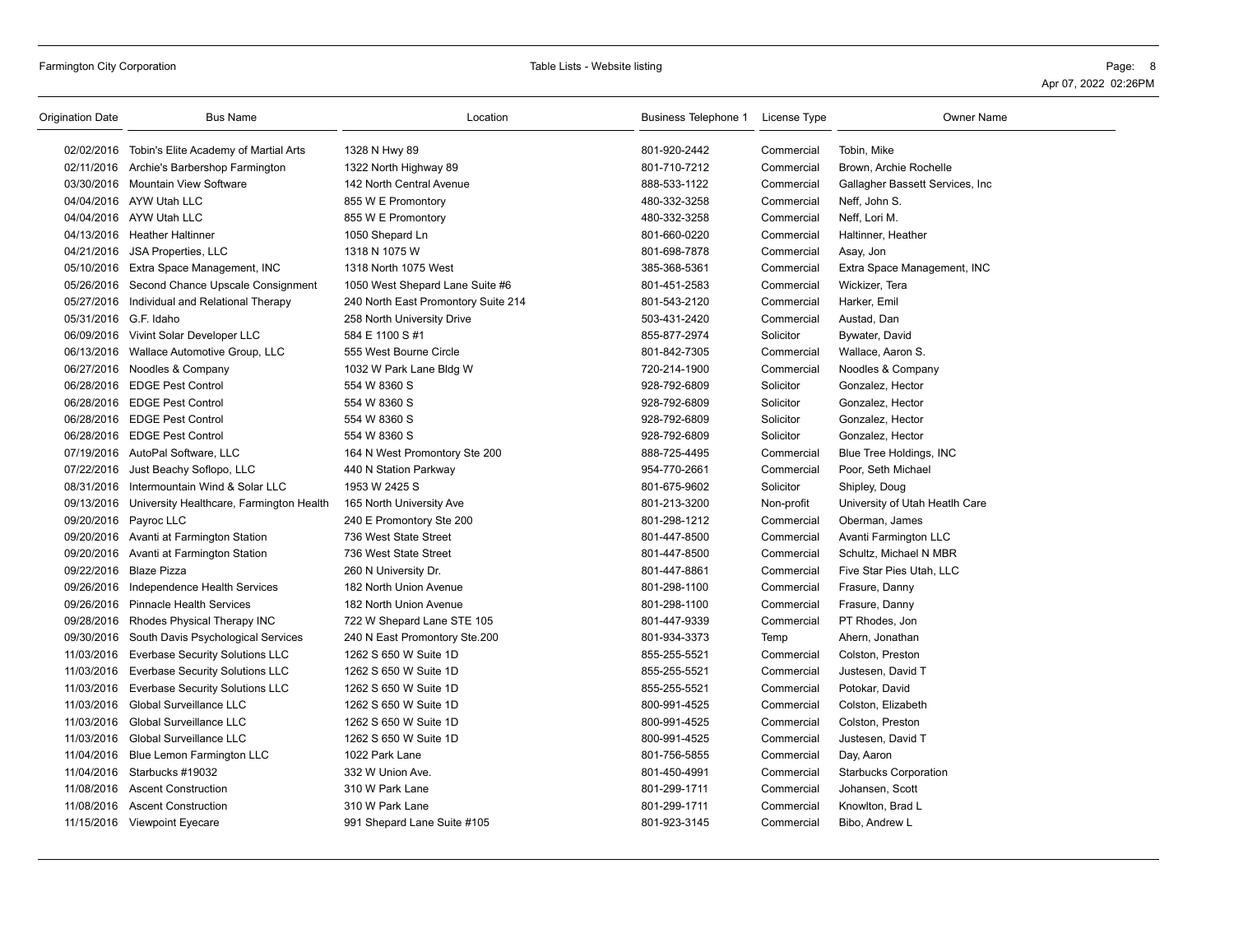| <b>Origination Date</b> | <b>Bus Name</b>                                     | Location                            | Business Telephone 1 License Type |            | Owner Name                       |
|-------------------------|-----------------------------------------------------|-------------------------------------|-----------------------------------|------------|----------------------------------|
|                         | 02/02/2016 Tobin's Elite Academy of Martial Arts    | 1328 N Hwy 89                       | 801-920-2442                      | Commercial | Tobin, Mike                      |
|                         | 02/11/2016 Archie's Barbershop Farmington           | 1322 North Highway 89               | 801-710-7212                      | Commercial | Brown, Archie Rochelle           |
|                         | 03/30/2016 Mountain View Software                   | 142 North Central Avenue            | 888-533-1122                      | Commercial | Gallagher Bassett Services, Inc. |
|                         | 04/04/2016 AYW Utah LLC                             | 855 W E Promontory                  | 480-332-3258                      | Commercial | Neff, John S.                    |
|                         | 04/04/2016 AYW Utah LLC                             | 855 W E Promontory                  | 480-332-3258                      | Commercial | Neff, Lori M.                    |
|                         | 04/13/2016 Heather Haltinner                        | 1050 Shepard Ln                     | 801-660-0220                      | Commercial | Haltinner, Heather               |
|                         | 04/21/2016 JSA Properties, LLC                      | 1318 N 1075 W                       | 801-698-7878                      | Commercial | Asay, Jon                        |
|                         | 05/10/2016 Extra Space Management, INC              | 1318 North 1075 West                | 385-368-5361                      | Commercial | Extra Space Management, INC      |
|                         | 05/26/2016 Second Chance Upscale Consignment        | 1050 West Shepard Lane Suite #6     | 801-451-2583                      | Commercial | Wickizer, Tera                   |
|                         | 05/27/2016 Individual and Relational Therapy        | 240 North East Promontory Suite 214 | 801-543-2120                      | Commercial | Harker, Emil                     |
| 05/31/2016 G.F. Idaho   |                                                     | 258 North University Drive          | 503-431-2420                      | Commercial | Austad, Dan                      |
|                         | 06/09/2016 Vivint Solar Developer LLC               | 584 E 1100 S #1                     | 855-877-2974                      | Solicitor  | Bywater, David                   |
|                         | 06/13/2016 Wallace Automotive Group, LLC            | 555 West Bourne Circle              | 801-842-7305                      | Commercial | Wallace, Aaron S.                |
|                         | 06/27/2016 Noodles & Company                        | 1032 W Park Lane Bldg W             | 720-214-1900                      | Commercial | Noodles & Company                |
|                         | 06/28/2016 EDGE Pest Control                        | 554 W 8360 S                        | 928-792-6809                      | Solicitor  | Gonzalez, Hector                 |
|                         | 06/28/2016 EDGE Pest Control                        | 554 W 8360 S                        | 928-792-6809                      | Solicitor  | Gonzalez, Hector                 |
|                         | 06/28/2016 EDGE Pest Control                        | 554 W 8360 S                        | 928-792-6809                      | Solicitor  | Gonzalez, Hector                 |
|                         | 06/28/2016 EDGE Pest Control                        | 554 W 8360 S                        | 928-792-6809                      | Solicitor  | Gonzalez, Hector                 |
|                         | 07/19/2016 AutoPal Software, LLC                    | 164 N West Promontory Ste 200       | 888-725-4495                      | Commercial | Blue Tree Holdings, INC          |
|                         | 07/22/2016 Just Beachy Soflopo, LLC                 | 440 N Station Parkway               | 954-770-2661                      | Commercial | Poor, Seth Michael               |
|                         | 08/31/2016 Intermountain Wind & Solar LLC           | 1953 W 2425 S                       | 801-675-9602                      | Solicitor  | Shipley, Doug                    |
|                         | 09/13/2016 University Healthcare, Farmington Health | 165 North University Ave            | 801-213-3200                      | Non-profit | University of Utah Heatlh Care   |
|                         | 09/20/2016 Payroc LLC                               | 240 E Promontory Ste 200            | 801-298-1212                      | Commercial | Oberman, James                   |
|                         | 09/20/2016 Avanti at Farmington Station             | 736 West State Street               | 801-447-8500                      | Commercial | Avanti Farmington LLC            |
|                         | 09/20/2016 Avanti at Farmington Station             | 736 West State Street               | 801-447-8500                      | Commercial | Schultz, Michael N MBR           |
|                         | 09/22/2016 Blaze Pizza                              | 260 N University Dr.                | 801-447-8861                      | Commercial | Five Star Pies Utah, LLC         |
|                         | 09/26/2016 Independence Health Services             | 182 North Union Avenue              | 801-298-1100                      | Commercial | Frasure, Danny                   |
|                         | 09/26/2016 Pinnacle Health Services                 | 182 North Union Avenue              | 801-298-1100                      | Commercial | Frasure, Danny                   |
|                         | 09/28/2016 Rhodes Physical Therapy INC              | 722 W Shepard Lane STE 105          | 801-447-9339                      | Commercial | PT Rhodes, Jon                   |
|                         | 09/30/2016 South Davis Psychological Services       | 240 N East Promontory Ste.200       | 801-934-3373                      | Temp       | Ahern, Jonathan                  |
| 11/03/2016              | Everbase Security Solutions LLC                     | 1262 S 650 W Suite 1D               | 855-255-5521                      | Commercial | Colston, Preston                 |
|                         | 11/03/2016 Everbase Security Solutions LLC          | 1262 S 650 W Suite 1D               | 855-255-5521                      | Commercial | Justesen, David T                |
|                         | 11/03/2016 Everbase Security Solutions LLC          | 1262 S 650 W Suite 1D               | 855-255-5521                      | Commercial | Potokar, David                   |
| 11/03/2016              | Global Surveillance LLC                             | 1262 S 650 W Suite 1D               | 800-991-4525                      | Commercial | Colston, Elizabeth               |
|                         | 11/03/2016 Global Surveillance LLC                  | 1262 S 650 W Suite 1D               | 800-991-4525                      | Commercial | Colston, Preston                 |
| 11/03/2016              | <b>Global Surveillance LLC</b>                      | 1262 S 650 W Suite 1D               | 800-991-4525                      | Commercial | Justesen, David T                |
|                         | 11/04/2016 Blue Lemon Farmington LLC                | 1022 Park Lane                      | 801-756-5855                      | Commercial | Day, Aaron                       |
|                         | 11/04/2016 Starbucks #19032                         | 332 W Union Ave.                    | 801-450-4991                      | Commercial | <b>Starbucks Corporation</b>     |
| 11/08/2016              | <b>Ascent Construction</b>                          | 310 W Park Lane                     | 801-299-1711                      | Commercial | Johansen, Scott                  |
|                         | 11/08/2016 Ascent Construction                      | 310 W Park Lane                     | 801-299-1711                      | Commercial | Knowlton, Brad L                 |
|                         | 11/15/2016 Viewpoint Eyecare                        | 991 Shepard Lane Suite #105         | 801-923-3145                      | Commercial | Bibo, Andrew L                   |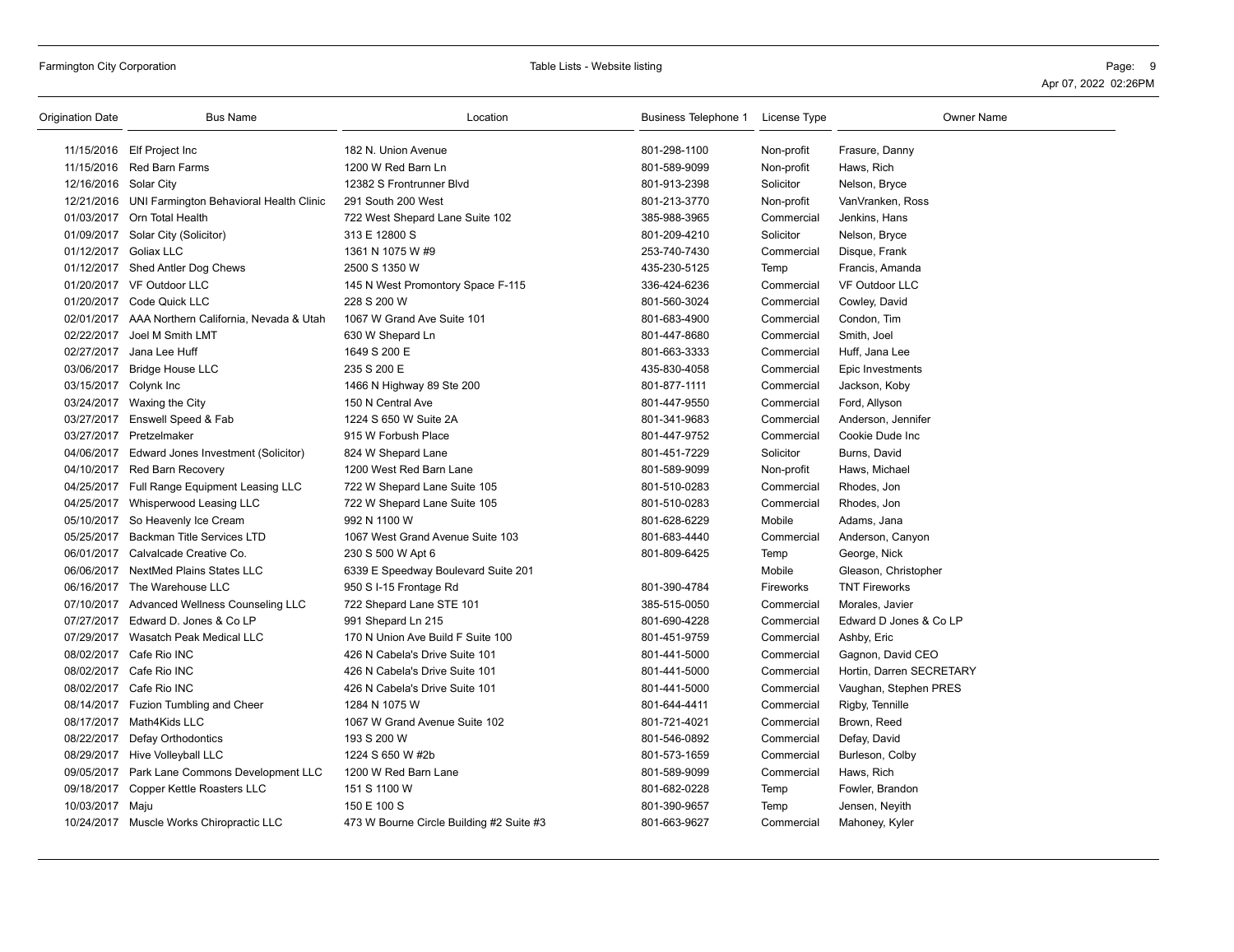| Origination Date      | <b>Bus Name</b>                                    | Location                                 | Business Telephone 1 License Type |            | <b>Owner Name</b>        |
|-----------------------|----------------------------------------------------|------------------------------------------|-----------------------------------|------------|--------------------------|
|                       | 11/15/2016 Elf Project Inc                         | 182 N. Union Avenue                      | 801-298-1100                      | Non-profit | Frasure, Danny           |
|                       | 11/15/2016 Red Barn Farms                          | 1200 W Red Barn Ln                       | 801-589-9099                      | Non-profit | Haws, Rich               |
| 12/16/2016 Solar City |                                                    | 12382 S Frontrunner Blvd                 | 801-913-2398                      | Solicitor  | Nelson, Bryce            |
|                       | 12/21/2016 UNI Farmington Behavioral Health Clinic | 291 South 200 West                       | 801-213-3770                      | Non-profit | VanVranken, Ross         |
|                       | 01/03/2017 Orn Total Health                        | 722 West Shepard Lane Suite 102          | 385-988-3965                      | Commercial | Jenkins, Hans            |
|                       | 01/09/2017 Solar City (Solicitor)                  | 313 E 12800 S                            | 801-209-4210                      | Solicitor  | Nelson, Bryce            |
| 01/12/2017 Goliax LLC |                                                    | 1361 N 1075 W #9                         | 253-740-7430                      | Commercial | Disque, Frank            |
|                       | 01/12/2017 Shed Antler Dog Chews                   | 2500 S 1350 W                            | 435-230-5125                      | Temp       | Francis, Amanda          |
|                       | 01/20/2017 VF Outdoor LLC                          | 145 N West Promontory Space F-115        | 336-424-6236                      | Commercial | <b>VF Outdoor LLC</b>    |
|                       | 01/20/2017 Code Quick LLC                          | 228 S 200 W                              | 801-560-3024                      | Commercial | Cowley, David            |
|                       | 02/01/2017 AAA Northern California, Nevada & Utah  | 1067 W Grand Ave Suite 101               | 801-683-4900                      | Commercial | Condon, Tim              |
|                       | 02/22/2017 Joel M Smith LMT                        | 630 W Shepard Ln                         | 801-447-8680                      | Commercial | Smith, Joel              |
|                       | 02/27/2017 Jana Lee Huff                           | 1649 S 200 E                             | 801-663-3333                      | Commercial | Huff, Jana Lee           |
|                       | 03/06/2017 Bridge House LLC                        | 235 S 200 E                              | 435-830-4058                      | Commercial | Epic Investments         |
| 03/15/2017 Colynk Inc |                                                    | 1466 N Highway 89 Ste 200                | 801-877-1111                      | Commercial | Jackson, Koby            |
|                       | 03/24/2017 Waxing the City                         | 150 N Central Ave                        | 801-447-9550                      | Commercial | Ford, Allyson            |
|                       | 03/27/2017 Enswell Speed & Fab                     | 1224 S 650 W Suite 2A                    | 801-341-9683                      | Commercial | Anderson, Jennifer       |
|                       | 03/27/2017 Pretzelmaker                            | 915 W Forbush Place                      | 801-447-9752                      | Commercial | Cookie Dude Inc          |
| 04/06/2017            | Edward Jones Investment (Solicitor)                | 824 W Shepard Lane                       | 801-451-7229                      | Solicitor  | Burns, David             |
|                       | 04/10/2017 Red Barn Recovery                       | 1200 West Red Barn Lane                  | 801-589-9099                      | Non-profit | Haws, Michael            |
|                       | 04/25/2017 Full Range Equipment Leasing LLC        | 722 W Shepard Lane Suite 105             | 801-510-0283                      | Commercial | Rhodes, Jon              |
|                       | 04/25/2017 Whisperwood Leasing LLC                 | 722 W Shepard Lane Suite 105             | 801-510-0283                      | Commercial | Rhodes, Jon              |
|                       | 05/10/2017 So Heavenly Ice Cream                   | 992 N 1100 W                             | 801-628-6229                      | Mobile     | Adams, Jana              |
|                       | 05/25/2017 Backman Title Services LTD              | 1067 West Grand Avenue Suite 103         | 801-683-4440                      | Commercial | Anderson, Canyon         |
| 06/01/2017            | Calvalcade Creative Co.                            | 230 S 500 W Apt 6                        | 801-809-6425                      | Temp       | George, Nick             |
|                       | 06/06/2017 NextMed Plains States LLC               | 6339 E Speedway Boulevard Suite 201      |                                   | Mobile     | Gleason, Christopher     |
|                       | 06/16/2017 The Warehouse LLC                       | 950 S I-15 Frontage Rd                   | 801-390-4784                      | Fireworks  | <b>TNT Fireworks</b>     |
|                       | 07/10/2017 Advanced Wellness Counseling LLC        | 722 Shepard Lane STE 101                 | 385-515-0050                      | Commercial | Morales, Javier          |
|                       | 07/27/2017 Edward D. Jones & Co LP                 | 991 Shepard Ln 215                       | 801-690-4228                      | Commercial | Edward D Jones & Co LP   |
|                       | 07/29/2017 Wasatch Peak Medical LLC                | 170 N Union Ave Build F Suite 100        | 801-451-9759                      | Commercial | Ashby, Eric              |
|                       | 08/02/2017 Cafe Rio INC                            | 426 N Cabela's Drive Suite 101           | 801-441-5000                      | Commercial | Gagnon, David CEO        |
|                       | 08/02/2017 Cafe Rio INC                            | 426 N Cabela's Drive Suite 101           | 801-441-5000                      | Commercial | Hortin, Darren SECRETARY |
|                       | 08/02/2017 Cafe Rio INC                            | 426 N Cabela's Drive Suite 101           | 801-441-5000                      | Commercial | Vaughan, Stephen PRES    |
|                       | 08/14/2017 Fuzion Tumbling and Cheer               | 1284 N 1075 W                            | 801-644-4411                      | Commercial | Rigby, Tennille          |
|                       | 08/17/2017 Math4Kids LLC                           | 1067 W Grand Avenue Suite 102            | 801-721-4021                      | Commercial | Brown, Reed              |
| 08/22/2017            | Defay Orthodontics                                 | 193 S 200 W                              | 801-546-0892                      | Commercial | Defay, David             |
|                       | 08/29/2017 Hive Volleyball LLC                     | 1224 S 650 W #2b                         | 801-573-1659                      | Commercial | Burleson, Colby          |
|                       | 09/05/2017 Park Lane Commons Development LLC       | 1200 W Red Barn Lane                     | 801-589-9099                      | Commercial | Haws, Rich               |
|                       | 09/18/2017 Copper Kettle Roasters LLC              | 151 S 1100 W                             | 801-682-0228                      | Temp       | Fowler, Brandon          |
| 10/03/2017 Maju       |                                                    | 150 E 100 S                              | 801-390-9657                      | Temp       | Jensen, Neyith           |
|                       | 10/24/2017 Muscle Works Chiropractic LLC           | 473 W Bourne Circle Building #2 Suite #3 | 801-663-9627                      | Commercial | Mahoney, Kyler           |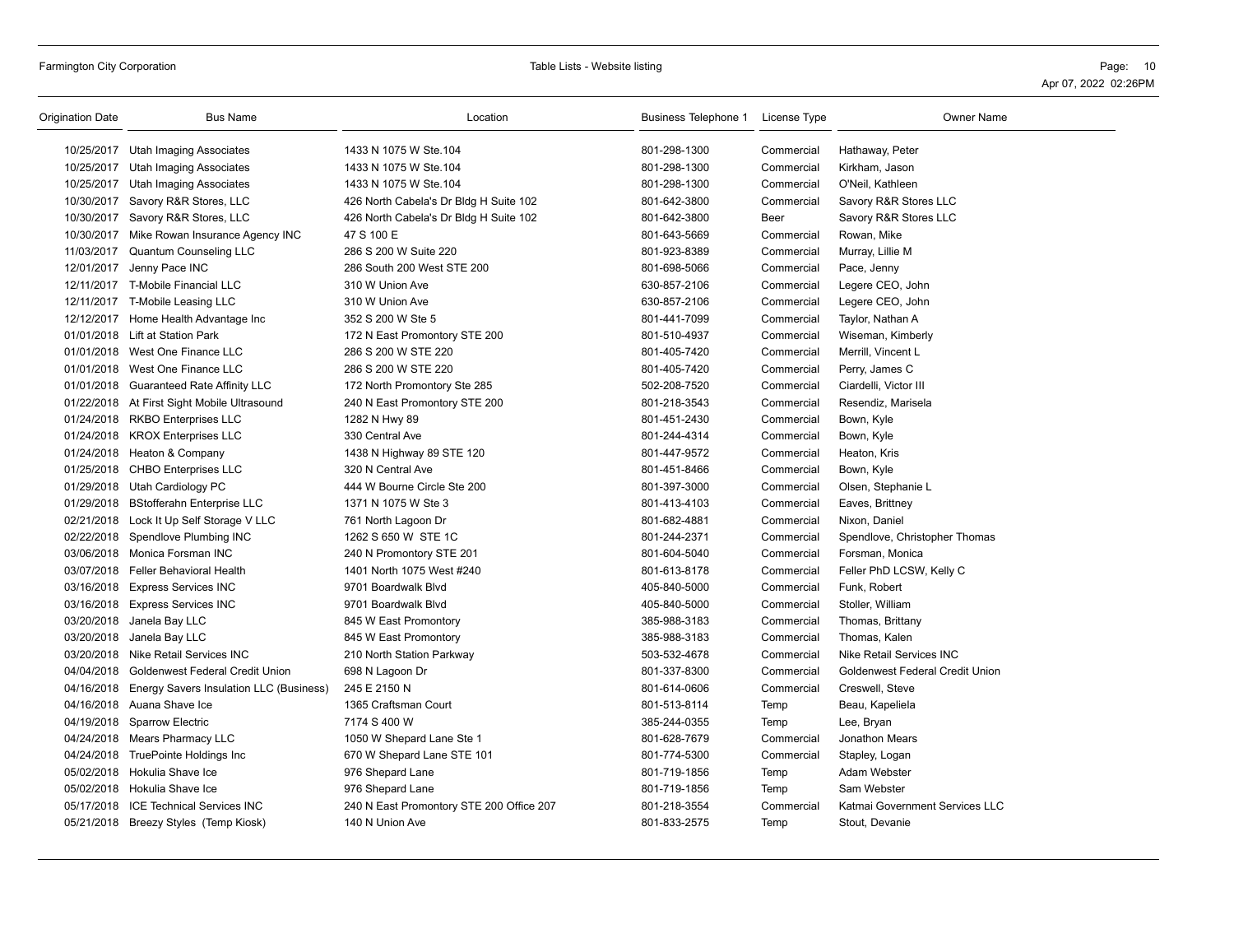| Origination Date | <b>Bus Name</b>                                    | Location                                 | <b>Business Telephone 1</b> | License Type | <b>Owner Name</b>               |
|------------------|----------------------------------------------------|------------------------------------------|-----------------------------|--------------|---------------------------------|
|                  | 10/25/2017 Utah Imaging Associates                 | 1433 N 1075 W Ste.104                    | 801-298-1300                | Commercial   | Hathaway, Peter                 |
| 10/25/2017       | Utah Imaging Associates                            | 1433 N 1075 W Ste.104                    | 801-298-1300                | Commercial   | Kirkham, Jason                  |
|                  | 10/25/2017 Utah Imaging Associates                 | 1433 N 1075 W Ste.104                    | 801-298-1300                | Commercial   | O'Neil, Kathleen                |
|                  | 10/30/2017 Savory R&R Stores, LLC                  | 426 North Cabela's Dr Bldg H Suite 102   | 801-642-3800                | Commercial   | Savory R&R Stores LLC           |
|                  | 10/30/2017 Savory R&R Stores, LLC                  | 426 North Cabela's Dr Bldg H Suite 102   | 801-642-3800                | Beer         | Savory R&R Stores LLC           |
|                  | 10/30/2017 Mike Rowan Insurance Agency INC         | 47 S 100 E                               | 801-643-5669                | Commercial   | Rowan, Mike                     |
|                  | 11/03/2017 Quantum Counseling LLC                  | 286 S 200 W Suite 220                    | 801-923-8389                | Commercial   | Murray, Lillie M                |
|                  | 12/01/2017 Jenny Pace INC                          | 286 South 200 West STE 200               | 801-698-5066                | Commercial   | Pace, Jenny                     |
|                  | 12/11/2017 T-Mobile Financial LLC                  | 310 W Union Ave                          | 630-857-2106                | Commercial   | Legere CEO, John                |
|                  | 12/11/2017 T-Mobile Leasing LLC                    | 310 W Union Ave                          | 630-857-2106                | Commercial   | Legere CEO, John                |
|                  | 12/12/2017 Home Health Advantage Inc               | 352 S 200 W Ste 5                        | 801-441-7099                | Commercial   | Taylor, Nathan A                |
|                  | 01/01/2018 Lift at Station Park                    | 172 N East Promontory STE 200            | 801-510-4937                | Commercial   | Wiseman, Kimberly               |
|                  | 01/01/2018 West One Finance LLC                    | 286 S 200 W STE 220                      | 801-405-7420                | Commercial   | Merrill, Vincent L              |
|                  | 01/01/2018 West One Finance LLC                    | 286 S 200 W STE 220                      | 801-405-7420                | Commercial   | Perry, James C                  |
|                  | 01/01/2018 Guaranteed Rate Affinity LLC            | 172 North Promontory Ste 285             | 502-208-7520                | Commercial   | Ciardelli, Victor III           |
|                  | 01/22/2018 At First Sight Mobile Ultrasound        | 240 N East Promontory STE 200            | 801-218-3543                | Commercial   | Resendiz, Marisela              |
|                  | 01/24/2018 RKBO Enterprises LLC                    | 1282 N Hwy 89                            | 801-451-2430                | Commercial   | Bown, Kyle                      |
|                  | 01/24/2018 KROX Enterprises LLC                    | 330 Central Ave                          | 801-244-4314                | Commercial   | Bown, Kyle                      |
|                  | 01/24/2018 Heaton & Company                        | 1438 N Highway 89 STE 120                | 801-447-9572                | Commercial   | Heaton, Kris                    |
|                  | 01/25/2018 CHBO Enterprises LLC                    | 320 N Central Ave                        | 801-451-8466                | Commercial   | Bown, Kyle                      |
|                  | 01/29/2018 Utah Cardiology PC                      | 444 W Bourne Circle Ste 200              | 801-397-3000                | Commercial   | Olsen, Stephanie L              |
|                  | 01/29/2018 BStofferahn Enterprise LLC              | 1371 N 1075 W Ste 3                      | 801-413-4103                | Commercial   | Eaves, Brittney                 |
|                  | 02/21/2018 Lock It Up Self Storage V LLC           | 761 North Lagoon Dr                      | 801-682-4881                | Commercial   | Nixon, Daniel                   |
|                  | 02/22/2018 Spendlove Plumbing INC                  | 1262 S 650 W STE 1C                      | 801-244-2371                | Commercial   | Spendlove, Christopher Thomas   |
|                  | 03/06/2018 Monica Forsman INC                      | 240 N Promontory STE 201                 | 801-604-5040                | Commercial   | Forsman, Monica                 |
|                  | 03/07/2018 Feller Behavioral Health                | 1401 North 1075 West #240                | 801-613-8178                | Commercial   | Feller PhD LCSW, Kelly C        |
|                  | 03/16/2018 Express Services INC                    | 9701 Boardwalk Blvd                      | 405-840-5000                | Commercial   | Funk, Robert                    |
|                  | 03/16/2018 Express Services INC                    | 9701 Boardwalk Blvd                      | 405-840-5000                | Commercial   | Stoller, William                |
|                  | 03/20/2018 Janela Bay LLC                          | 845 W East Promontory                    | 385-988-3183                | Commercial   | Thomas, Brittany                |
|                  | 03/20/2018 Janela Bay LLC                          | 845 W East Promontory                    | 385-988-3183                | Commercial   | Thomas, Kalen                   |
|                  | 03/20/2018 Nike Retail Services INC                | 210 North Station Parkway                | 503-532-4678                | Commercial   | <b>Nike Retail Services INC</b> |
|                  | 04/04/2018 Goldenwest Federal Credit Union         | 698 N Lagoon Dr                          | 801-337-8300                | Commercial   | Goldenwest Federal Credit Union |
|                  | 04/16/2018 Energy Savers Insulation LLC (Business) | 245 E 2150 N                             | 801-614-0606                | Commercial   | Creswell, Steve                 |
|                  | 04/16/2018 Auana Shave Ice                         | 1365 Craftsman Court                     | 801-513-8114                | Temp         | Beau, Kapeliela                 |
|                  | 04/19/2018 Sparrow Electric                        | 7174 S 400 W                             | 385-244-0355                | Temp         | Lee, Bryan                      |
|                  | 04/24/2018 Mears Pharmacy LLC                      | 1050 W Shepard Lane Ste 1                | 801-628-7679                | Commercial   | Jonathon Mears                  |
|                  | 04/24/2018 TruePointe Holdings Inc                 | 670 W Shepard Lane STE 101               | 801-774-5300                | Commercial   | Stapley, Logan                  |
|                  | 05/02/2018 Hokulia Shave Ice                       | 976 Shepard Lane                         | 801-719-1856                | Temp         | Adam Webster                    |
|                  | 05/02/2018 Hokulia Shave Ice                       | 976 Shepard Lane                         | 801-719-1856                | Temp         | Sam Webster                     |
|                  | 05/17/2018 ICE Technical Services INC              | 240 N East Promontory STE 200 Office 207 | 801-218-3554                | Commercial   | Katmai Government Services LLC  |
|                  | 05/21/2018 Breezy Styles (Temp Kiosk)              | 140 N Union Ave                          | 801-833-2575                | Temp         | Stout, Devanie                  |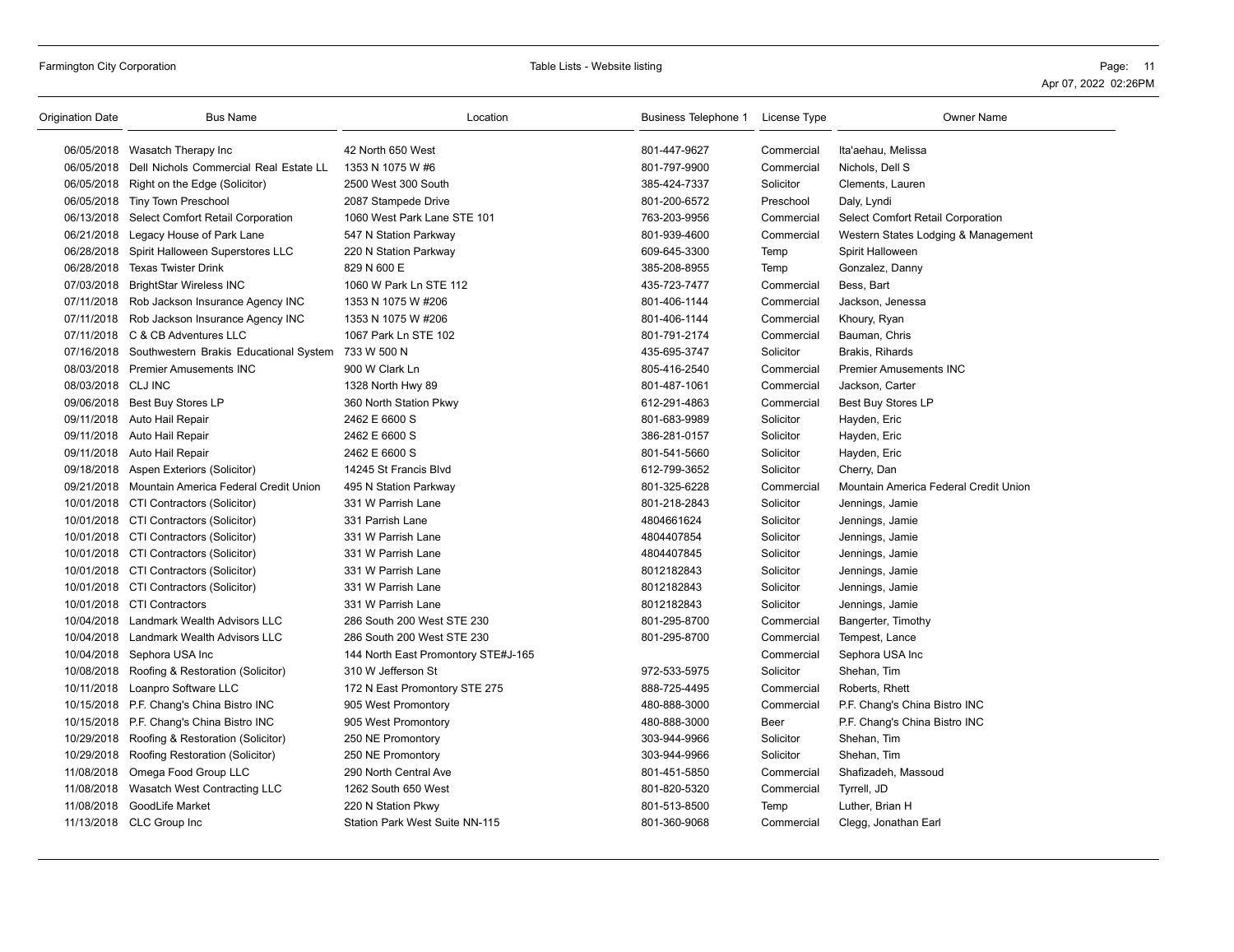| Origination Date   | <b>Bus Name</b>                                   | Location                            | Business Telephone 1 | License Type | <b>Owner Name</b>                     |
|--------------------|---------------------------------------------------|-------------------------------------|----------------------|--------------|---------------------------------------|
|                    | 06/05/2018 Wasatch Therapy Inc                    | 42 North 650 West                   | 801-447-9627         | Commercial   | Ita'aehau, Melissa                    |
|                    | 06/05/2018 Dell Nichols Commercial Real Estate LL | 1353 N 1075 W #6                    | 801-797-9900         | Commercial   | Nichols, Dell S                       |
|                    | 06/05/2018 Right on the Edge (Solicitor)          | 2500 West 300 South                 | 385-424-7337         | Solicitor    | Clements, Lauren                      |
|                    | 06/05/2018 Tiny Town Preschool                    | 2087 Stampede Drive                 | 801-200-6572         | Preschool    | Daly, Lyndi                           |
|                    | 06/13/2018 Select Comfort Retail Corporation      | 1060 West Park Lane STE 101         | 763-203-9956         | Commercial   | Select Comfort Retail Corporation     |
|                    | 06/21/2018 Legacy House of Park Lane              | 547 N Station Parkway               | 801-939-4600         | Commercial   | Western States Lodging & Management   |
|                    | 06/28/2018 Spirit Halloween Superstores LLC       | 220 N Station Parkway               | 609-645-3300         | Temp         | Spirit Halloween                      |
|                    | 06/28/2018 Texas Twister Drink                    | 829 N 600 E                         | 385-208-8955         | Temp         | Gonzalez, Danny                       |
|                    | 07/03/2018 BrightStar Wireless INC                | 1060 W Park Ln STE 112              | 435-723-7477         | Commercial   | Bess, Bart                            |
| 07/11/2018         | Rob Jackson Insurance Agency INC                  | 1353 N 1075 W #206                  | 801-406-1144         | Commercial   | Jackson, Jenessa                      |
|                    | 07/11/2018 Rob Jackson Insurance Agency INC       | 1353 N 1075 W #206                  | 801-406-1144         | Commercial   | Khoury, Ryan                          |
|                    | 07/11/2018 C & CB Adventures LLC                  | 1067 Park Ln STE 102                | 801-791-2174         | Commercial   | Bauman, Chris                         |
|                    | 07/16/2018 Southwestern Brakis Educational System | 733 W 500 N                         | 435-695-3747         | Solicitor    | Brakis, Rihards                       |
|                    | 08/03/2018 Premier Amusements INC                 | 900 W Clark Ln                      | 805-416-2540         | Commercial   | <b>Premier Amusements INC</b>         |
| 08/03/2018 CLJ INC |                                                   | 1328 North Hwy 89                   | 801-487-1061         | Commercial   | Jackson, Carter                       |
|                    | 09/06/2018 Best Buy Stores LP                     | 360 North Station Pkwy              | 612-291-4863         | Commercial   | Best Buy Stores LP                    |
|                    | 09/11/2018 Auto Hail Repair                       | 2462 E 6600 S                       | 801-683-9989         | Solicitor    | Hayden, Eric                          |
|                    | 09/11/2018 Auto Hail Repair                       | 2462 E 6600 S                       | 386-281-0157         | Solicitor    | Hayden, Eric                          |
|                    | 09/11/2018 Auto Hail Repair                       | 2462 E 6600 S                       | 801-541-5660         | Solicitor    | Hayden, Eric                          |
|                    | 09/18/2018 Aspen Exteriors (Solicitor)            | 14245 St Francis Blvd               | 612-799-3652         | Solicitor    | Cherry, Dan                           |
|                    | 09/21/2018 Mountain America Federal Credit Union  | 495 N Station Parkway               | 801-325-6228         | Commercial   | Mountain America Federal Credit Union |
|                    | 10/01/2018 CTI Contractors (Solicitor)            | 331 W Parrish Lane                  | 801-218-2843         | Solicitor    | Jennings, Jamie                       |
|                    | 10/01/2018 CTI Contractors (Solicitor)            | 331 Parrish Lane                    | 4804661624           | Solicitor    | Jennings, Jamie                       |
|                    | 10/01/2018 CTI Contractors (Solicitor)            | 331 W Parrish Lane                  | 4804407854           | Solicitor    | Jennings, Jamie                       |
|                    | 10/01/2018 CTI Contractors (Solicitor)            | 331 W Parrish Lane                  | 4804407845           | Solicitor    | Jennings, Jamie                       |
|                    | 10/01/2018 CTI Contractors (Solicitor)            | 331 W Parrish Lane                  | 8012182843           | Solicitor    | Jennings, Jamie                       |
|                    | 10/01/2018 CTI Contractors (Solicitor)            | 331 W Parrish Lane                  | 8012182843           | Solicitor    | Jennings, Jamie                       |
|                    | 10/01/2018 CTI Contractors                        | 331 W Parrish Lane                  | 8012182843           | Solicitor    | Jennings, Jamie                       |
|                    | 10/04/2018 Landmark Wealth Advisors LLC           | 286 South 200 West STE 230          | 801-295-8700         | Commercial   | Bangerter, Timothy                    |
|                    | 10/04/2018 Landmark Wealth Advisors LLC           | 286 South 200 West STE 230          | 801-295-8700         | Commercial   | Tempest, Lance                        |
|                    | 10/04/2018 Sephora USA Inc                        | 144 North East Promontory STE#J-165 |                      | Commercial   | Sephora USA Inc                       |
|                    | 10/08/2018 Roofing & Restoration (Solicitor)      | 310 W Jefferson St                  | 972-533-5975         | Solicitor    | Shehan, Tim                           |
|                    | 10/11/2018 Loanpro Software LLC                   | 172 N East Promontory STE 275       | 888-725-4495         | Commercial   | Roberts, Rhett                        |
|                    | 10/15/2018 P.F. Chang's China Bistro INC          | 905 West Promontory                 | 480-888-3000         | Commercial   | P.F. Chang's China Bistro INC         |
|                    | 10/15/2018 P.F. Chang's China Bistro INC          | 905 West Promontory                 | 480-888-3000         | Beer         | P.F. Chang's China Bistro INC         |
|                    | 10/29/2018 Roofing & Restoration (Solicitor)      | 250 NE Promontory                   | 303-944-9966         | Solicitor    | Shehan, Tim                           |
|                    | 10/29/2018 Roofing Restoration (Solicitor)        | 250 NE Promontory                   | 303-944-9966         | Solicitor    | Shehan, Tim                           |
|                    | 11/08/2018 Omega Food Group LLC                   | 290 North Central Ave               | 801-451-5850         | Commercial   | Shafizadeh, Massoud                   |
|                    | 11/08/2018 Wasatch West Contracting LLC           | 1262 South 650 West                 | 801-820-5320         | Commercial   | Tyrrell, JD                           |
| 11/08/2018         | GoodLife Market                                   | 220 N Station Pkwy                  | 801-513-8500         | Temp         | Luther, Brian H                       |
|                    | 11/13/2018 CLC Group Inc                          | Station Park West Suite NN-115      | 801-360-9068         | Commercial   | Clegg, Jonathan Earl                  |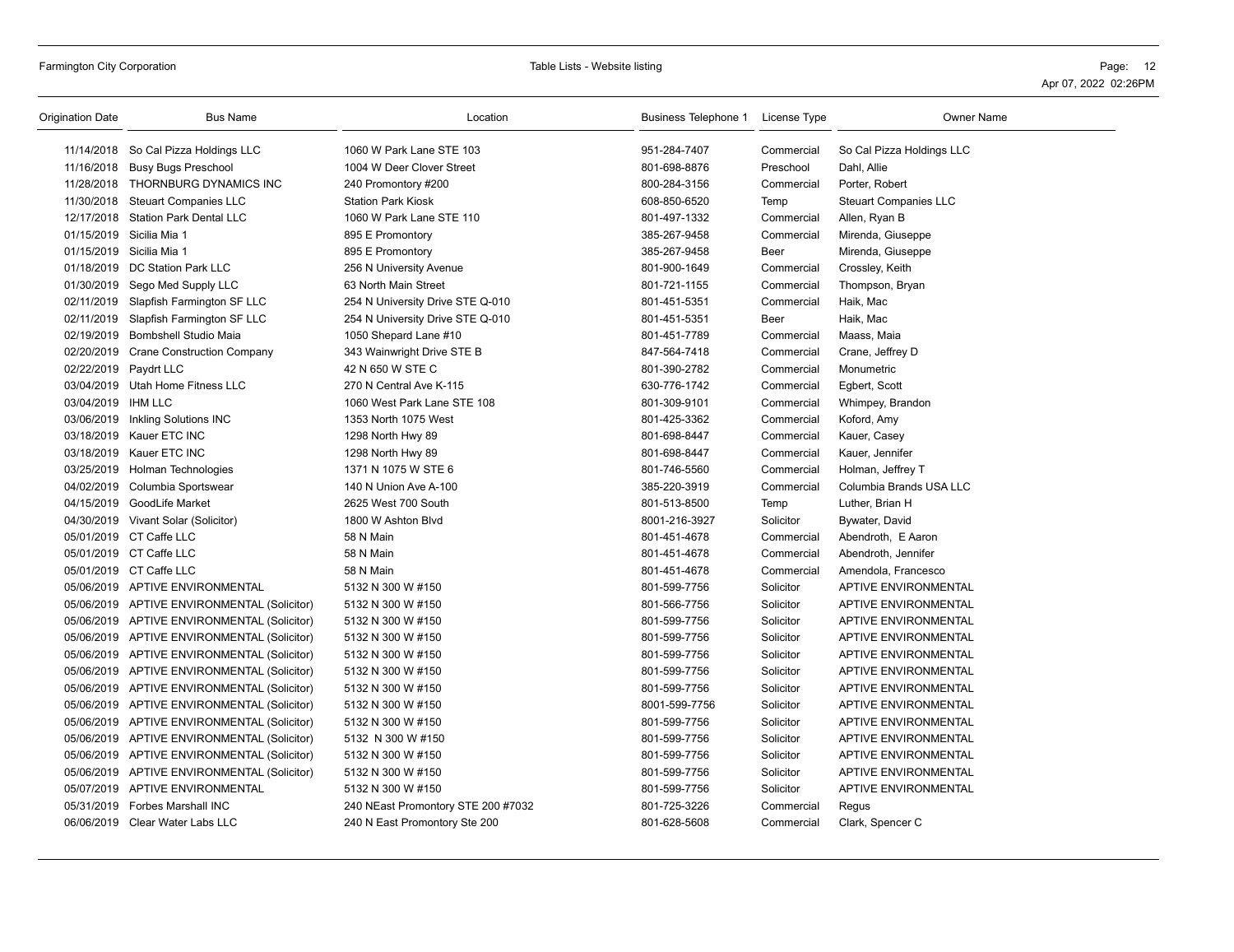| Origination Date      | <b>Bus Name</b>                             | Location                           | Business Telephone 1 License Type |            | <b>Owner Name</b>            |
|-----------------------|---------------------------------------------|------------------------------------|-----------------------------------|------------|------------------------------|
|                       | 11/14/2018 So Cal Pizza Holdings LLC        | 1060 W Park Lane STE 103           | 951-284-7407                      | Commercial | So Cal Pizza Holdings LLC    |
|                       | 11/16/2018 Busy Bugs Preschool              | 1004 W Deer Clover Street          | 801-698-8876                      | Preschool  | Dahl, Allie                  |
|                       | 11/28/2018 THORNBURG DYNAMICS INC           | 240 Promontory #200                | 800-284-3156                      | Commercial | Porter, Robert               |
|                       | 11/30/2018 Steuart Companies LLC            | <b>Station Park Kiosk</b>          | 608-850-6520                      | Temp       | <b>Steuart Companies LLC</b> |
|                       | 12/17/2018 Station Park Dental LLC          | 1060 W Park Lane STE 110           | 801-497-1332                      | Commercial | Allen, Ryan B                |
|                       | 01/15/2019 Sicilia Mia 1                    | 895 E Promontory                   | 385-267-9458                      | Commercial | Mirenda, Giuseppe            |
|                       | 01/15/2019 Sicilia Mia 1                    | 895 E Promontory                   | 385-267-9458                      | Beer       | Mirenda, Giuseppe            |
|                       | 01/18/2019 DC Station Park LLC              | 256 N University Avenue            | 801-900-1649                      | Commercial | Crossley, Keith              |
|                       | 01/30/2019 Sego Med Supply LLC              | 63 North Main Street               | 801-721-1155                      | Commercial | Thompson, Bryan              |
|                       | 02/11/2019 Slapfish Farmington SF LLC       | 254 N University Drive STE Q-010   | 801-451-5351                      | Commercial | Haik, Mac                    |
|                       | 02/11/2019 Slapfish Farmington SF LLC       | 254 N University Drive STE Q-010   | 801-451-5351                      | Beer       | Haik, Mac                    |
|                       | 02/19/2019 Bombshell Studio Maia            | 1050 Shepard Lane #10              | 801-451-7789                      | Commercial | Maass, Maia                  |
|                       | 02/20/2019 Crane Construction Company       | 343 Wainwright Drive STE B         | 847-564-7418                      | Commercial | Crane, Jeffrey D             |
| 02/22/2019 Paydrt LLC |                                             | 42 N 650 W STE C                   | 801-390-2782                      | Commercial | Monumetric                   |
|                       | 03/04/2019 Utah Home Fitness LLC            | 270 N Central Ave K-115            | 630-776-1742                      | Commercial | Egbert, Scott                |
| 03/04/2019 IHM LLC    |                                             | 1060 West Park Lane STE 108        | 801-309-9101                      | Commercial | Whimpey, Brandon             |
|                       | 03/06/2019 Inkling Solutions INC            | 1353 North 1075 West               | 801-425-3362                      | Commercial | Koford, Amy                  |
|                       | 03/18/2019 Kauer ETC INC                    | 1298 North Hwy 89                  | 801-698-8447                      | Commercial | Kauer, Casey                 |
|                       | 03/18/2019 Kauer ETC INC                    | 1298 North Hwy 89                  | 801-698-8447                      | Commercial | Kauer, Jennifer              |
|                       | 03/25/2019 Holman Technologies              | 1371 N 1075 W STE 6                | 801-746-5560                      | Commercial | Holman, Jeffrey T            |
|                       | 04/02/2019 Columbia Sportswear              | 140 N Union Ave A-100              | 385-220-3919                      | Commercial | Columbia Brands USA LLC      |
|                       | 04/15/2019 GoodLife Market                  | 2625 West 700 South                | 801-513-8500                      | Temp       | Luther, Brian H              |
|                       | 04/30/2019 Vivant Solar (Solicitor)         | 1800 W Ashton Blvd                 | 8001-216-3927                     | Solicitor  | Bywater, David               |
|                       | 05/01/2019 CT Caffe LLC                     | 58 N Main                          | 801-451-4678                      | Commercial | Abendroth, E Aaron           |
|                       | 05/01/2019 CT Caffe LLC                     | 58 N Main                          | 801-451-4678                      | Commercial | Abendroth, Jennifer          |
|                       | 05/01/2019 CT Caffe LLC                     | 58 N Main                          | 801-451-4678                      | Commercial | Amendola, Francesco          |
|                       | 05/06/2019 APTIVE ENVIRONMENTAL             | 5132 N 300 W #150                  | 801-599-7756                      | Solicitor  | APTIVE ENVIRONMENTAL         |
|                       | 05/06/2019 APTIVE ENVIRONMENTAL (Solicitor) | 5132 N 300 W #150                  | 801-566-7756                      | Solicitor  | <b>APTIVE ENVIRONMENTAL</b>  |
|                       | 05/06/2019 APTIVE ENVIRONMENTAL (Solicitor) | 5132 N 300 W #150                  | 801-599-7756                      | Solicitor  | <b>APTIVE ENVIRONMENTAL</b>  |
|                       | 05/06/2019 APTIVE ENVIRONMENTAL (Solicitor) | 5132 N 300 W #150                  | 801-599-7756                      | Solicitor  | APTIVE ENVIRONMENTAL         |
|                       | 05/06/2019 APTIVE ENVIRONMENTAL (Solicitor) | 5132 N 300 W #150                  | 801-599-7756                      | Solicitor  | APTIVE ENVIRONMENTAL         |
|                       | 05/06/2019 APTIVE ENVIRONMENTAL (Solicitor) | 5132 N 300 W #150                  | 801-599-7756                      | Solicitor  | APTIVE ENVIRONMENTAL         |
|                       | 05/06/2019 APTIVE ENVIRONMENTAL (Solicitor) | 5132 N 300 W #150                  | 801-599-7756                      | Solicitor  | <b>APTIVE ENVIRONMENTAL</b>  |
|                       | 05/06/2019 APTIVE ENVIRONMENTAL (Solicitor) | 5132 N 300 W #150                  | 8001-599-7756                     | Solicitor  | APTIVE ENVIRONMENTAL         |
|                       | 05/06/2019 APTIVE ENVIRONMENTAL (Solicitor) | 5132 N 300 W #150                  | 801-599-7756                      | Solicitor  | APTIVE ENVIRONMENTAL         |
|                       | 05/06/2019 APTIVE ENVIRONMENTAL (Solicitor) | 5132 N 300 W #150                  | 801-599-7756                      | Solicitor  | <b>APTIVE ENVIRONMENTAL</b>  |
|                       | 05/06/2019 APTIVE ENVIRONMENTAL (Solicitor) | 5132 N 300 W #150                  | 801-599-7756                      | Solicitor  | APTIVE ENVIRONMENTAL         |
|                       | 05/06/2019 APTIVE ENVIRONMENTAL (Solicitor) | 5132 N 300 W #150                  | 801-599-7756                      | Solicitor  | <b>APTIVE ENVIRONMENTAL</b>  |
|                       | 05/07/2019 APTIVE ENVIRONMENTAL             | 5132 N 300 W #150                  | 801-599-7756                      | Solicitor  | APTIVE ENVIRONMENTAL         |
|                       | 05/31/2019 Forbes Marshall INC              | 240 NEast Promontory STE 200 #7032 | 801-725-3226                      | Commercial | Regus                        |
|                       | 06/06/2019 Clear Water Labs LLC             | 240 N East Promontory Ste 200      | 801-628-5608                      | Commercial | Clark, Spencer C             |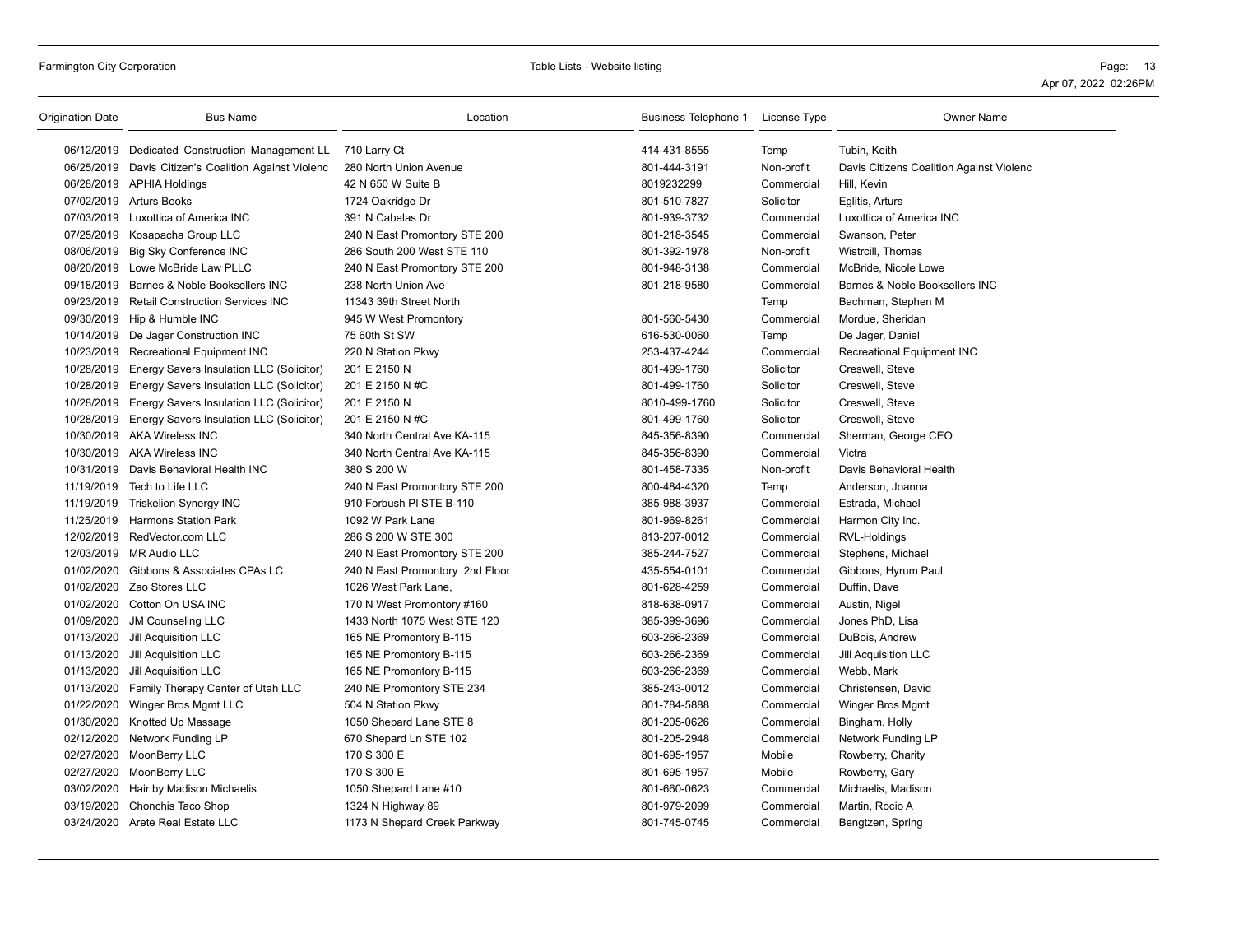| 06/12/2019 Dedicated Construction Management LL<br>414-431-8555<br>Temp<br>Tubin, Keith<br>710 Larry Ct<br>801-444-3191<br>06/25/2019 Davis Citizen's Coalition Against Violenc<br>280 North Union Avenue<br>Non-profit<br>Davis Citizens Coalition Against Violenc<br>8019232299<br>06/28/2019 APHIA Holdings<br>42 N 650 W Suite B<br>Hill, Kevin<br>Commercial<br>07/02/2019 Arturs Books<br>1724 Oakridge Dr<br>801-510-7827<br>Solicitor<br>Eglitis, Arturs<br>07/03/2019 Luxottica of America INC<br>391 N Cabelas Dr<br>801-939-3732<br>Commercial<br>Luxottica of America INC<br>07/25/2019 Kosapacha Group LLC<br>240 N East Promontory STE 200<br>801-218-3545<br>Commercial<br>Swanson, Peter<br>08/06/2019 Big Sky Conference INC<br>286 South 200 West STE 110<br>801-392-1978<br>Non-profit<br>Wistrcill, Thomas<br>08/20/2019 Lowe McBride Law PLLC<br>240 N East Promontory STE 200<br>801-948-3138<br>Commercial<br>McBride, Nicole Lowe<br>09/18/2019 Barnes & Noble Booksellers INC<br>238 North Union Ave<br>801-218-9580<br>Barnes & Noble Booksellers INC<br>Commercial<br>09/23/2019 Retail Construction Services INC<br>11343 39th Street North<br>Bachman, Stephen M<br>Temp |  |
|-------------------------------------------------------------------------------------------------------------------------------------------------------------------------------------------------------------------------------------------------------------------------------------------------------------------------------------------------------------------------------------------------------------------------------------------------------------------------------------------------------------------------------------------------------------------------------------------------------------------------------------------------------------------------------------------------------------------------------------------------------------------------------------------------------------------------------------------------------------------------------------------------------------------------------------------------------------------------------------------------------------------------------------------------------------------------------------------------------------------------------------------------------------------------------------------------------|--|
|                                                                                                                                                                                                                                                                                                                                                                                                                                                                                                                                                                                                                                                                                                                                                                                                                                                                                                                                                                                                                                                                                                                                                                                                       |  |
|                                                                                                                                                                                                                                                                                                                                                                                                                                                                                                                                                                                                                                                                                                                                                                                                                                                                                                                                                                                                                                                                                                                                                                                                       |  |
|                                                                                                                                                                                                                                                                                                                                                                                                                                                                                                                                                                                                                                                                                                                                                                                                                                                                                                                                                                                                                                                                                                                                                                                                       |  |
|                                                                                                                                                                                                                                                                                                                                                                                                                                                                                                                                                                                                                                                                                                                                                                                                                                                                                                                                                                                                                                                                                                                                                                                                       |  |
|                                                                                                                                                                                                                                                                                                                                                                                                                                                                                                                                                                                                                                                                                                                                                                                                                                                                                                                                                                                                                                                                                                                                                                                                       |  |
|                                                                                                                                                                                                                                                                                                                                                                                                                                                                                                                                                                                                                                                                                                                                                                                                                                                                                                                                                                                                                                                                                                                                                                                                       |  |
|                                                                                                                                                                                                                                                                                                                                                                                                                                                                                                                                                                                                                                                                                                                                                                                                                                                                                                                                                                                                                                                                                                                                                                                                       |  |
|                                                                                                                                                                                                                                                                                                                                                                                                                                                                                                                                                                                                                                                                                                                                                                                                                                                                                                                                                                                                                                                                                                                                                                                                       |  |
|                                                                                                                                                                                                                                                                                                                                                                                                                                                                                                                                                                                                                                                                                                                                                                                                                                                                                                                                                                                                                                                                                                                                                                                                       |  |
|                                                                                                                                                                                                                                                                                                                                                                                                                                                                                                                                                                                                                                                                                                                                                                                                                                                                                                                                                                                                                                                                                                                                                                                                       |  |
| 09/30/2019 Hip & Humble INC<br>801-560-5430<br>945 W West Promontory<br>Commercial<br>Mordue, Sheridan                                                                                                                                                                                                                                                                                                                                                                                                                                                                                                                                                                                                                                                                                                                                                                                                                                                                                                                                                                                                                                                                                                |  |
| 10/14/2019 De Jager Construction INC<br>75 60th St SW<br>616-530-0060<br>Temp<br>De Jager, Daniel                                                                                                                                                                                                                                                                                                                                                                                                                                                                                                                                                                                                                                                                                                                                                                                                                                                                                                                                                                                                                                                                                                     |  |
| 10/23/2019 Recreational Equipment INC<br>Recreational Equipment INC<br>220 N Station Pkwy<br>253-437-4244<br>Commercial                                                                                                                                                                                                                                                                                                                                                                                                                                                                                                                                                                                                                                                                                                                                                                                                                                                                                                                                                                                                                                                                               |  |
| 10/28/2019<br>Energy Savers Insulation LLC (Solicitor)<br>801-499-1760<br>Solicitor<br>Creswell, Steve<br>201 E 2150 N                                                                                                                                                                                                                                                                                                                                                                                                                                                                                                                                                                                                                                                                                                                                                                                                                                                                                                                                                                                                                                                                                |  |
| 10/28/2019<br>Energy Savers Insulation LLC (Solicitor)<br>201 E 2150 N #C<br>801-499-1760<br>Solicitor<br>Creswell, Steve                                                                                                                                                                                                                                                                                                                                                                                                                                                                                                                                                                                                                                                                                                                                                                                                                                                                                                                                                                                                                                                                             |  |
| 10/28/2019 Energy Savers Insulation LLC (Solicitor)<br>201 E 2150 N<br>8010-499-1760<br>Solicitor<br>Creswell, Steve                                                                                                                                                                                                                                                                                                                                                                                                                                                                                                                                                                                                                                                                                                                                                                                                                                                                                                                                                                                                                                                                                  |  |
| 10/28/2019 Energy Savers Insulation LLC (Solicitor)<br>201 E 2150 N #C<br>801-499-1760<br>Solicitor<br>Creswell, Steve                                                                                                                                                                                                                                                                                                                                                                                                                                                                                                                                                                                                                                                                                                                                                                                                                                                                                                                                                                                                                                                                                |  |
| 10/30/2019 AKA Wireless INC<br>340 North Central Ave KA-115<br>845-356-8390<br>Commercial<br>Sherman, George CEO                                                                                                                                                                                                                                                                                                                                                                                                                                                                                                                                                                                                                                                                                                                                                                                                                                                                                                                                                                                                                                                                                      |  |
| 10/30/2019 AKA Wireless INC<br>340 North Central Ave KA-115<br>845-356-8390<br>Commercial<br>Victra                                                                                                                                                                                                                                                                                                                                                                                                                                                                                                                                                                                                                                                                                                                                                                                                                                                                                                                                                                                                                                                                                                   |  |
| 10/31/2019 Davis Behavioral Health INC<br>380 S 200 W<br>801-458-7335<br>Davis Behavioral Health<br>Non-profit                                                                                                                                                                                                                                                                                                                                                                                                                                                                                                                                                                                                                                                                                                                                                                                                                                                                                                                                                                                                                                                                                        |  |
| Tech to Life LLC<br>11/19/2019<br>240 N East Promontory STE 200<br>800-484-4320<br>Anderson, Joanna<br>Temp                                                                                                                                                                                                                                                                                                                                                                                                                                                                                                                                                                                                                                                                                                                                                                                                                                                                                                                                                                                                                                                                                           |  |
| 11/19/2019<br><b>Triskelion Synergy INC</b><br>910 Forbush PI STE B-110<br>385-988-3937<br>Commercial<br>Estrada, Michael                                                                                                                                                                                                                                                                                                                                                                                                                                                                                                                                                                                                                                                                                                                                                                                                                                                                                                                                                                                                                                                                             |  |
| 11/25/2019 Harmons Station Park<br>1092 W Park Lane<br>801-969-8261<br>Commercial<br>Harmon City Inc.                                                                                                                                                                                                                                                                                                                                                                                                                                                                                                                                                                                                                                                                                                                                                                                                                                                                                                                                                                                                                                                                                                 |  |
| 12/02/2019 RedVector.com LLC<br>286 S 200 W STE 300<br>813-207-0012<br>Commercial<br>RVL-Holdings                                                                                                                                                                                                                                                                                                                                                                                                                                                                                                                                                                                                                                                                                                                                                                                                                                                                                                                                                                                                                                                                                                     |  |
| 12/03/2019 MR Audio LLC<br>385-244-7527<br>Commercial<br>Stephens, Michael<br>240 N East Promontory STE 200                                                                                                                                                                                                                                                                                                                                                                                                                                                                                                                                                                                                                                                                                                                                                                                                                                                                                                                                                                                                                                                                                           |  |
| 01/02/2020 Gibbons & Associates CPAs LC<br>435-554-0101<br>240 N East Promontory 2nd Floor<br>Commercial<br>Gibbons, Hyrum Paul                                                                                                                                                                                                                                                                                                                                                                                                                                                                                                                                                                                                                                                                                                                                                                                                                                                                                                                                                                                                                                                                       |  |
| 01/02/2020 Zao Stores LLC<br>1026 West Park Lane,<br>801-628-4259<br>Duffin, Dave<br>Commercial                                                                                                                                                                                                                                                                                                                                                                                                                                                                                                                                                                                                                                                                                                                                                                                                                                                                                                                                                                                                                                                                                                       |  |
| 01/02/2020 Cotton On USA INC<br>170 N West Promontory #160<br>818-638-0917<br>Commercial<br>Austin, Nigel                                                                                                                                                                                                                                                                                                                                                                                                                                                                                                                                                                                                                                                                                                                                                                                                                                                                                                                                                                                                                                                                                             |  |
| 01/09/2020 JM Counseling LLC<br>1433 North 1075 West STE 120<br>385-399-3696<br>Commercial<br>Jones PhD, Lisa                                                                                                                                                                                                                                                                                                                                                                                                                                                                                                                                                                                                                                                                                                                                                                                                                                                                                                                                                                                                                                                                                         |  |
| 01/13/2020 Jill Acquisition LLC<br>165 NE Promontory B-115<br>603-266-2369<br>Commercial<br>DuBois, Andrew                                                                                                                                                                                                                                                                                                                                                                                                                                                                                                                                                                                                                                                                                                                                                                                                                                                                                                                                                                                                                                                                                            |  |
| 01/13/2020<br>Jill Acquisition LLC<br>603-266-2369<br>Jill Acquisition LLC<br>165 NE Promontory B-115<br>Commercial                                                                                                                                                                                                                                                                                                                                                                                                                                                                                                                                                                                                                                                                                                                                                                                                                                                                                                                                                                                                                                                                                   |  |
| 01/13/2020<br>Jill Acquisition LLC<br>165 NE Promontory B-115<br>603-266-2369<br>Commercial<br>Webb, Mark                                                                                                                                                                                                                                                                                                                                                                                                                                                                                                                                                                                                                                                                                                                                                                                                                                                                                                                                                                                                                                                                                             |  |
| 01/13/2020 Family Therapy Center of Utah LLC<br>240 NE Promontory STE 234<br>385-243-0012<br>Commercial<br>Christensen, David                                                                                                                                                                                                                                                                                                                                                                                                                                                                                                                                                                                                                                                                                                                                                                                                                                                                                                                                                                                                                                                                         |  |
| 01/22/2020 Winger Bros Mgmt LLC<br>504 N Station Pkwy<br>801-784-5888<br>Commercial<br>Winger Bros Mgmt                                                                                                                                                                                                                                                                                                                                                                                                                                                                                                                                                                                                                                                                                                                                                                                                                                                                                                                                                                                                                                                                                               |  |
| 01/30/2020<br>Knotted Up Massage<br>801-205-0626<br>Commercial<br>1050 Shepard Lane STE 8<br>Bingham, Holly                                                                                                                                                                                                                                                                                                                                                                                                                                                                                                                                                                                                                                                                                                                                                                                                                                                                                                                                                                                                                                                                                           |  |
| 02/12/2020<br>Network Funding LP<br>670 Shepard Ln STE 102<br>801-205-2948<br>Commercial<br>Network Funding LP                                                                                                                                                                                                                                                                                                                                                                                                                                                                                                                                                                                                                                                                                                                                                                                                                                                                                                                                                                                                                                                                                        |  |
| 02/27/2020 MoonBerry LLC<br>170 S 300 E<br>801-695-1957<br>Mobile<br>Rowberry, Charity                                                                                                                                                                                                                                                                                                                                                                                                                                                                                                                                                                                                                                                                                                                                                                                                                                                                                                                                                                                                                                                                                                                |  |
| 02/27/2020 MoonBerry LLC<br>170 S 300 E<br>801-695-1957<br>Mobile<br>Rowberry, Gary                                                                                                                                                                                                                                                                                                                                                                                                                                                                                                                                                                                                                                                                                                                                                                                                                                                                                                                                                                                                                                                                                                                   |  |
| 03/02/2020<br>801-660-0623<br>Hair by Madison Michaelis<br>1050 Shepard Lane #10<br>Commercial<br>Michaelis, Madison                                                                                                                                                                                                                                                                                                                                                                                                                                                                                                                                                                                                                                                                                                                                                                                                                                                                                                                                                                                                                                                                                  |  |
| 03/19/2020 Chonchis Taco Shop<br>1324 N Highway 89<br>801-979-2099<br>Commercial<br>Martin, Rocio A                                                                                                                                                                                                                                                                                                                                                                                                                                                                                                                                                                                                                                                                                                                                                                                                                                                                                                                                                                                                                                                                                                   |  |
| 03/24/2020 Arete Real Estate LLC<br>1173 N Shepard Creek Parkway<br>801-745-0745<br>Commercial<br>Bengtzen, Spring                                                                                                                                                                                                                                                                                                                                                                                                                                                                                                                                                                                                                                                                                                                                                                                                                                                                                                                                                                                                                                                                                    |  |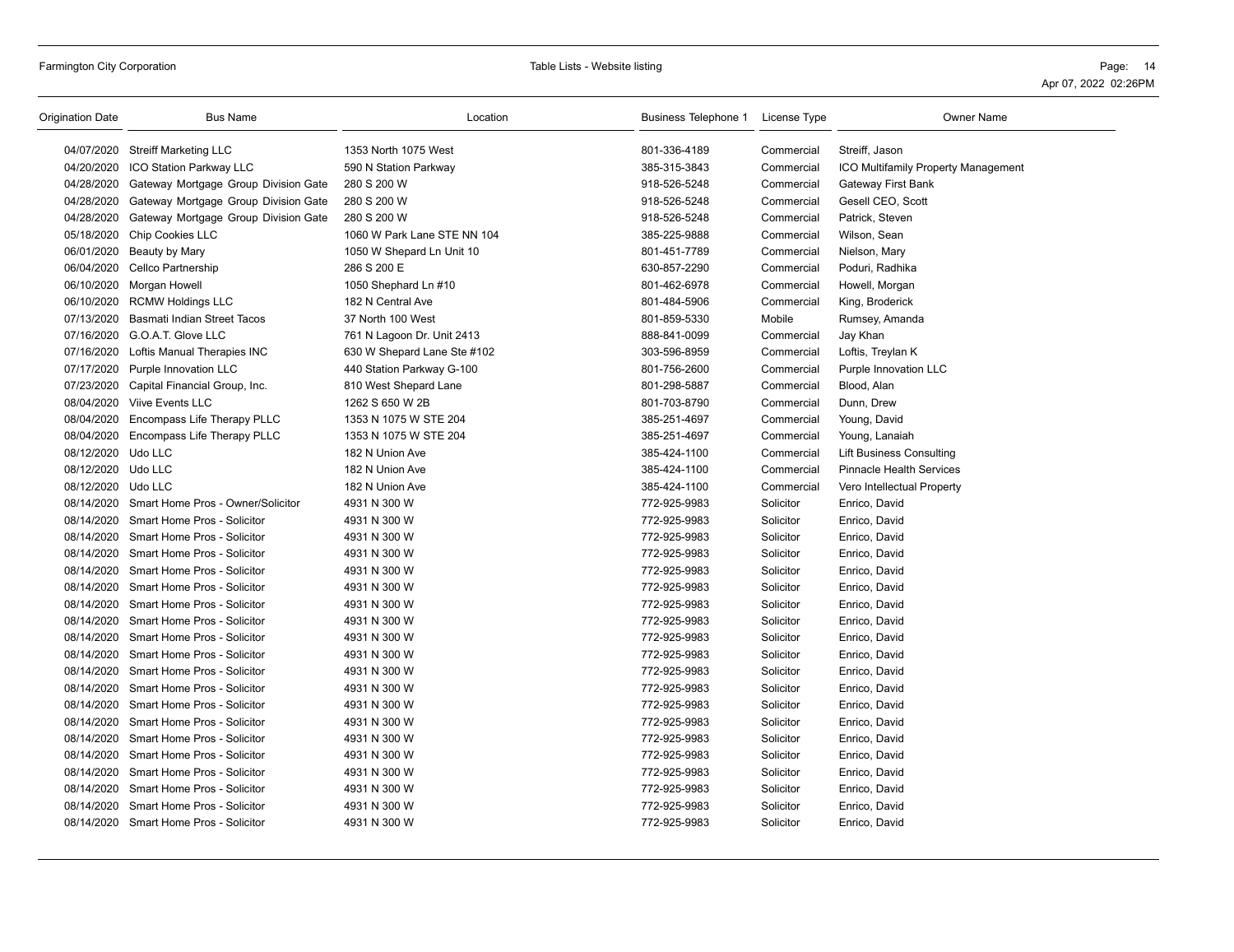## Farmington City Corporation **Page:** 14 Table Lists - Website listing **Page: 16** Table Lists - Website listing **Page: 16** Page: 14

| Origination Date   | <b>Bus Name</b>                                 | Location                    | Business Telephone 1 License Type |            | <b>Owner Name</b>                          |
|--------------------|-------------------------------------------------|-----------------------------|-----------------------------------|------------|--------------------------------------------|
|                    | 04/07/2020 Streiff Marketing LLC                | 1353 North 1075 West        | 801-336-4189                      | Commercial | Streiff, Jason                             |
|                    | 04/20/2020 ICO Station Parkway LLC              | 590 N Station Parkway       | 385-315-3843                      | Commercial | <b>ICO Multifamily Property Management</b> |
| 04/28/2020         | Gateway Mortgage Group Division Gate            | 280 S 200 W                 | 918-526-5248                      | Commercial | <b>Gateway First Bank</b>                  |
| 04/28/2020         | Gateway Mortgage Group Division Gate            | 280 S 200 W                 | 918-526-5248                      | Commercial | Gesell CEO, Scott                          |
|                    | 04/28/2020 Gateway Mortgage Group Division Gate | 280 S 200 W                 | 918-526-5248                      | Commercial | Patrick, Steven                            |
| 05/18/2020         | <b>Chip Cookies LLC</b>                         | 1060 W Park Lane STE NN 104 | 385-225-9888                      | Commercial | Wilson, Sean                               |
|                    | 06/01/2020 Beauty by Mary                       | 1050 W Shepard Ln Unit 10   | 801-451-7789                      | Commercial | Nielson, Mary                              |
| 06/04/2020         | Cellco Partnership                              | 286 S 200 E                 | 630-857-2290                      | Commercial | Poduri, Radhika                            |
| 06/10/2020         | Morgan Howell                                   | 1050 Shephard Ln #10        | 801-462-6978                      | Commercial | Howell, Morgan                             |
|                    | 06/10/2020 RCMW Holdings LLC                    | 182 N Central Ave           | 801-484-5906                      | Commercial | King, Broderick                            |
| 07/13/2020         | Basmati Indian Street Tacos                     | 37 North 100 West           | 801-859-5330                      | Mobile     | Rumsey, Amanda                             |
|                    | 07/16/2020 G.O.A.T. Glove LLC                   | 761 N Lagoon Dr. Unit 2413  | 888-841-0099                      | Commercial | Jay Khan                                   |
|                    | 07/16/2020 Loftis Manual Therapies INC          | 630 W Shepard Lane Ste #102 | 303-596-8959                      | Commercial | Loftis, Treylan K                          |
|                    | 07/17/2020 Purple Innovation LLC                | 440 Station Parkway G-100   | 801-756-2600                      | Commercial | Purple Innovation LLC                      |
|                    | 07/23/2020 Capital Financial Group, Inc.        | 810 West Shepard Lane       | 801-298-5887                      | Commercial | Blood, Alan                                |
|                    | 08/04/2020 Viive Events LLC                     | 1262 S 650 W 2B             | 801-703-8790                      | Commercial | Dunn, Drew                                 |
| 08/04/2020         | Encompass Life Therapy PLLC                     | 1353 N 1075 W STE 204       | 385-251-4697                      | Commercial | Young, David                               |
|                    | 08/04/2020 Encompass Life Therapy PLLC          | 1353 N 1075 W STE 204       | 385-251-4697                      | Commercial | Young, Lanaiah                             |
| 08/12/2020 Udo LLC |                                                 | 182 N Union Ave             | 385-424-1100                      | Commercial | <b>Lift Business Consulting</b>            |
| 08/12/2020 Udo LLC |                                                 | 182 N Union Ave             | 385-424-1100                      | Commercial | <b>Pinnacle Health Services</b>            |
| 08/12/2020 Udo LLC |                                                 | 182 N Union Ave             | 385-424-1100                      | Commercial | Vero Intellectual Property                 |
| 08/14/2020         | Smart Home Pros - Owner/Solicitor               | 4931 N 300 W                | 772-925-9983                      | Solicitor  | Enrico, David                              |
|                    | 08/14/2020 Smart Home Pros - Solicitor          | 4931 N 300 W                | 772-925-9983                      | Solicitor  | Enrico, David                              |
| 08/14/2020         | Smart Home Pros - Solicitor                     | 4931 N 300 W                | 772-925-9983                      | Solicitor  | Enrico, David                              |
|                    | 08/14/2020 Smart Home Pros - Solicitor          | 4931 N 300 W                | 772-925-9983                      | Solicitor  | Enrico, David                              |
|                    | 08/14/2020 Smart Home Pros - Solicitor          | 4931 N 300 W                | 772-925-9983                      | Solicitor  | Enrico, David                              |
|                    | 08/14/2020 Smart Home Pros - Solicitor          | 4931 N 300 W                | 772-925-9983                      | Solicitor  | Enrico, David                              |
|                    | 08/14/2020 Smart Home Pros - Solicitor          | 4931 N 300 W                | 772-925-9983                      | Solicitor  | Enrico, David                              |
|                    | 08/14/2020 Smart Home Pros - Solicitor          | 4931 N 300 W                | 772-925-9983                      | Solicitor  | Enrico, David                              |
|                    | 08/14/2020 Smart Home Pros - Solicitor          | 4931 N 300 W                | 772-925-9983                      | Solicitor  | Enrico, David                              |
| 08/14/2020         | Smart Home Pros - Solicitor                     | 4931 N 300 W                | 772-925-9983                      | Solicitor  | Enrico, David                              |
| 08/14/2020         | Smart Home Pros - Solicitor                     | 4931 N 300 W                | 772-925-9983                      | Solicitor  | Enrico, David                              |
|                    | 08/14/2020 Smart Home Pros - Solicitor          | 4931 N 300 W                | 772-925-9983                      | Solicitor  | Enrico, David                              |
| 08/14/2020         | Smart Home Pros - Solicitor                     | 4931 N 300 W                | 772-925-9983                      | Solicitor  | Enrico, David                              |
| 08/14/2020         | Smart Home Pros - Solicitor                     | 4931 N 300 W                | 772-925-9983                      | Solicitor  | Enrico, David                              |
|                    | 08/14/2020 Smart Home Pros - Solicitor          | 4931 N 300 W                | 772-925-9983                      | Solicitor  | Enrico, David                              |
|                    | 08/14/2020 Smart Home Pros - Solicitor          | 4931 N 300 W                | 772-925-9983                      | Solicitor  | Enrico, David                              |
|                    | 08/14/2020 Smart Home Pros - Solicitor          | 4931 N 300 W                | 772-925-9983                      | Solicitor  | Enrico, David                              |
| 08/14/2020         | Smart Home Pros - Solicitor                     | 4931 N 300 W                | 772-925-9983                      | Solicitor  | Enrico, David                              |
| 08/14/2020         | Smart Home Pros - Solicitor                     | 4931 N 300 W                | 772-925-9983                      | Solicitor  | Enrico, David                              |
|                    | 08/14/2020 Smart Home Pros - Solicitor          | 4931 N 300 W                | 772-925-9983                      | Solicitor  | Enrico, David                              |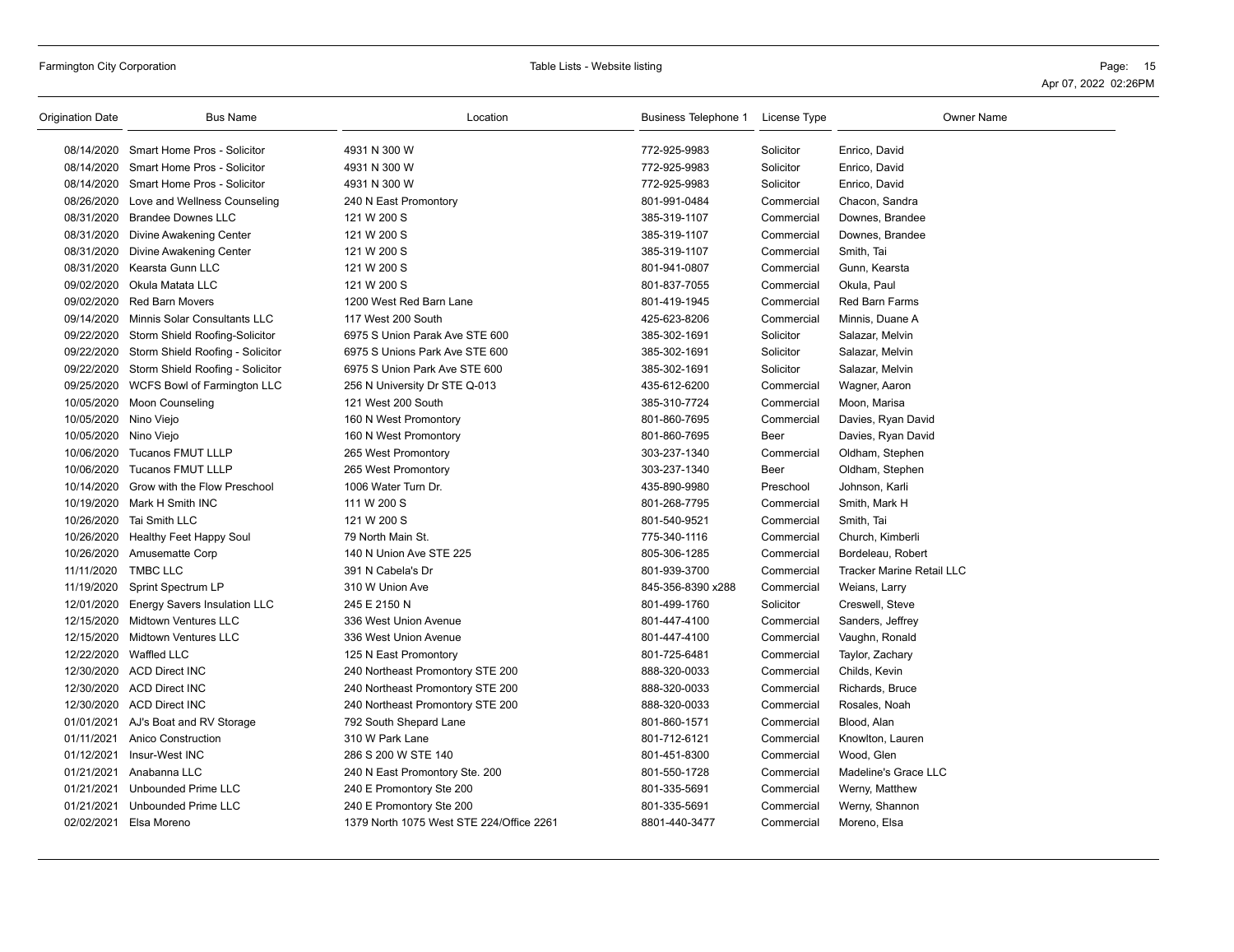| Origination Date      | <b>Bus Name</b>                             | Location                                 | Business Telephone 1 License Type |            | <b>Owner Name</b>                |
|-----------------------|---------------------------------------------|------------------------------------------|-----------------------------------|------------|----------------------------------|
|                       | 08/14/2020 Smart Home Pros - Solicitor      | 4931 N 300 W                             | 772-925-9983                      | Solicitor  | Enrico, David                    |
|                       | 08/14/2020 Smart Home Pros - Solicitor      | 4931 N 300 W                             | 772-925-9983                      | Solicitor  | Enrico, David                    |
|                       | 08/14/2020 Smart Home Pros - Solicitor      | 4931 N 300 W                             | 772-925-9983                      | Solicitor  | Enrico, David                    |
|                       | 08/26/2020 Love and Wellness Counseling     | 240 N East Promontory                    | 801-991-0484                      | Commercial | Chacon, Sandra                   |
|                       | 08/31/2020 Brandee Downes LLC               | 121 W 200 S                              | 385-319-1107                      | Commercial | Downes, Brandee                  |
|                       | 08/31/2020 Divine Awakening Center          | 121 W 200 S                              | 385-319-1107                      | Commercial | Downes, Brandee                  |
|                       | 08/31/2020 Divine Awakening Center          | 121 W 200 S                              | 385-319-1107                      | Commercial | Smith, Tai                       |
|                       | 08/31/2020 Kearsta Gunn LLC                 | 121 W 200 S                              | 801-941-0807                      | Commercial | Gunn, Kearsta                    |
|                       | 09/02/2020 Okula Matata LLC                 | 121 W 200 S                              | 801-837-7055                      | Commercial | Okula, Paul                      |
|                       | 09/02/2020 Red Barn Movers                  | 1200 West Red Barn Lane                  | 801-419-1945                      | Commercial | Red Barn Farms                   |
|                       | 09/14/2020 Minnis Solar Consultants LLC     | 117 West 200 South                       | 425-623-8206                      | Commercial | Minnis, Duane A                  |
|                       | 09/22/2020 Storm Shield Roofing-Solicitor   | 6975 S Union Parak Ave STE 600           | 385-302-1691                      | Solicitor  | Salazar, Melvin                  |
|                       | 09/22/2020 Storm Shield Roofing - Solicitor | 6975 S Unions Park Ave STE 600           | 385-302-1691                      | Solicitor  | Salazar, Melvin                  |
|                       | 09/22/2020 Storm Shield Roofing - Solicitor | 6975 S Union Park Ave STE 600            | 385-302-1691                      | Solicitor  | Salazar, Melvin                  |
|                       | 09/25/2020 WCFS Bowl of Farmington LLC      | 256 N University Dr STE Q-013            | 435-612-6200                      | Commercial | Wagner, Aaron                    |
|                       | 10/05/2020 Moon Counseling                  | 121 West 200 South                       | 385-310-7724                      | Commercial | Moon, Marisa                     |
| 10/05/2020 Nino Viejo |                                             | 160 N West Promontory                    | 801-860-7695                      | Commercial | Davies, Ryan David               |
| 10/05/2020 Nino Viejo |                                             | 160 N West Promontory                    | 801-860-7695                      | Beer       | Davies, Ryan David               |
|                       | 10/06/2020 Tucanos FMUT LLLP                | 265 West Promontory                      | 303-237-1340                      | Commercial | Oldham, Stephen                  |
|                       | 10/06/2020 Tucanos FMUT LLLP                | 265 West Promontory                      | 303-237-1340                      | Beer       | Oldham, Stephen                  |
|                       | 10/14/2020 Grow with the Flow Preschool     | 1006 Water Turn Dr.                      | 435-890-9980                      | Preschool  | Johnson, Karli                   |
|                       | 10/19/2020 Mark H Smith INC                 | 111 W 200 S                              | 801-268-7795                      | Commercial | Smith, Mark H                    |
|                       | 10/26/2020 Tai Smith LLC                    | 121 W 200 S                              | 801-540-9521                      | Commercial | Smith, Tai                       |
|                       | 10/26/2020 Healthy Feet Happy Soul          | 79 North Main St.                        | 775-340-1116                      | Commercial | Church, Kimberli                 |
|                       | 10/26/2020 Amusematte Corp                  | 140 N Union Ave STE 225                  | 805-306-1285                      | Commercial | Bordeleau, Robert                |
| 11/11/2020            | <b>TMBC LLC</b>                             | 391 N Cabela's Dr                        | 801-939-3700                      | Commercial | <b>Tracker Marine Retail LLC</b> |
| 11/19/2020            | Sprint Spectrum LP                          | 310 W Union Ave                          | 845-356-8390 x288                 | Commercial | Weians, Larry                    |
|                       | 12/01/2020 Energy Savers Insulation LLC     | 245 E 2150 N                             | 801-499-1760                      | Solicitor  | Creswell, Steve                  |
|                       | 12/15/2020 Midtown Ventures LLC             | 336 West Union Avenue                    | 801-447-4100                      | Commercial | Sanders, Jeffrey                 |
|                       | 12/15/2020 Midtown Ventures LLC             | 336 West Union Avenue                    | 801-447-4100                      | Commercial | Vaughn, Ronald                   |
|                       | 12/22/2020 Waffled LLC                      | 125 N East Promontory                    | 801-725-6481                      | Commercial | Taylor, Zachary                  |
|                       | 12/30/2020 ACD Direct INC                   | 240 Northeast Promontory STE 200         | 888-320-0033                      | Commercial | Childs, Kevin                    |
|                       | 12/30/2020 ACD Direct INC                   | 240 Northeast Promontory STE 200         | 888-320-0033                      | Commercial | Richards, Bruce                  |
|                       | 12/30/2020 ACD Direct INC                   | 240 Northeast Promontory STE 200         | 888-320-0033                      | Commercial | Rosales, Noah                    |
|                       | 01/01/2021 AJ's Boat and RV Storage         | 792 South Shepard Lane                   | 801-860-1571                      | Commercial | Blood, Alan                      |
| 01/11/2021            | <b>Anico Construction</b>                   | 310 W Park Lane                          | 801-712-6121                      | Commercial | Knowlton, Lauren                 |
|                       | 01/12/2021 Insur-West INC                   | 286 S 200 W STE 140                      | 801-451-8300                      | Commercial | Wood, Glen                       |
| 01/21/2021            | Anabanna LLC                                | 240 N East Promontory Ste. 200           | 801-550-1728                      | Commercial | Madeline's Grace LLC             |
| 01/21/2021            | <b>Unbounded Prime LLC</b>                  | 240 E Promontory Ste 200                 | 801-335-5691                      | Commercial | Werny, Matthew                   |
| 01/21/2021            | <b>Unbounded Prime LLC</b>                  | 240 E Promontory Ste 200                 | 801-335-5691                      | Commercial | Werny, Shannon                   |
|                       | 02/02/2021 Elsa Moreno                      | 1379 North 1075 West STE 224/Office 2261 | 8801-440-3477                     | Commercial | Moreno, Elsa                     |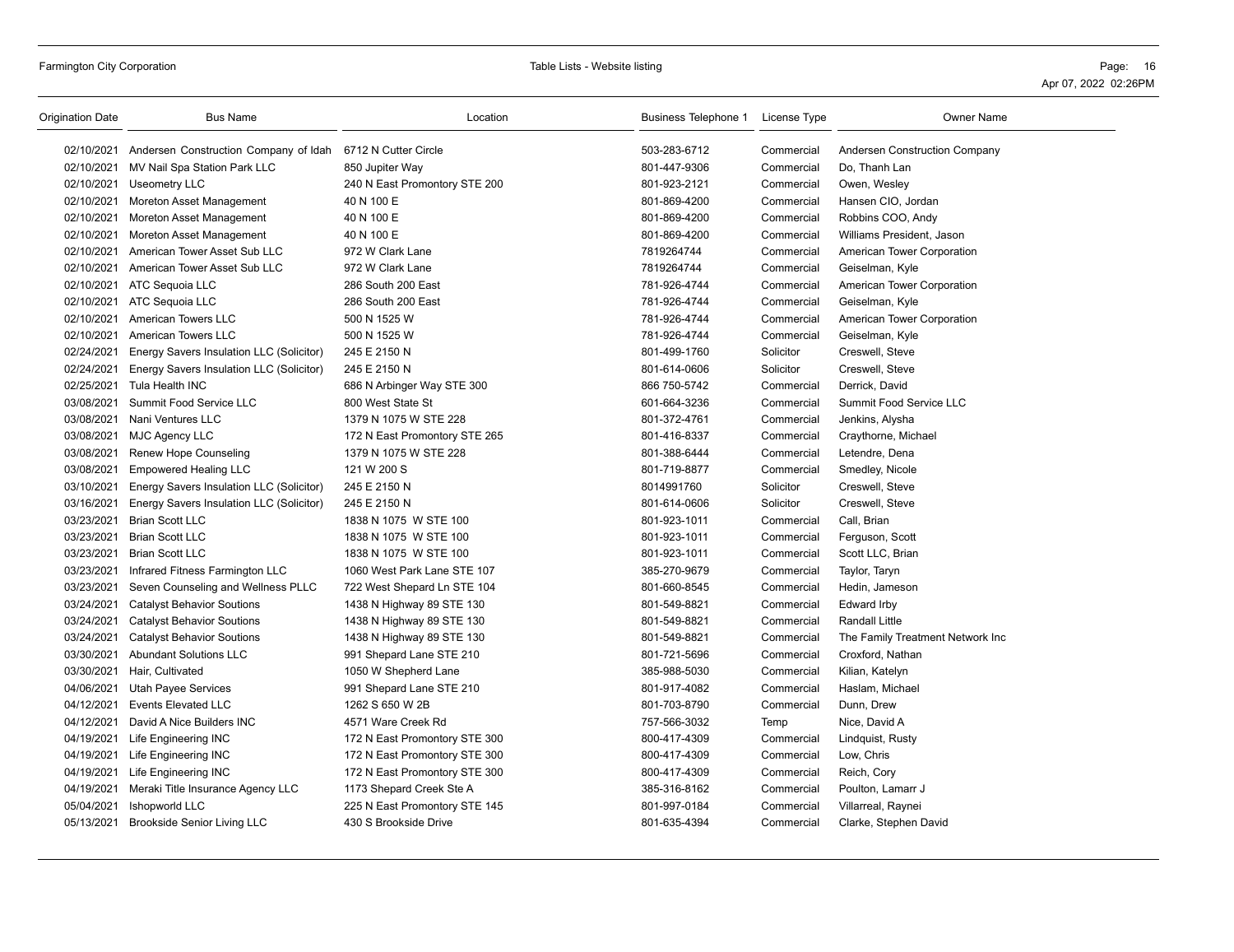| <b>Origination Date</b> | <b>Bus Name</b>                                  | Location                      | Business Telephone 1 License Type |            | Owner Name                       |
|-------------------------|--------------------------------------------------|-------------------------------|-----------------------------------|------------|----------------------------------|
|                         | 02/10/2021 Andersen Construction Company of Idah | 6712 N Cutter Circle          | 503-283-6712                      | Commercial | Andersen Construction Company    |
|                         | 02/10/2021 MV Nail Spa Station Park LLC          | 850 Jupiter Way               | 801-447-9306                      | Commercial | Do, Thanh Lan                    |
|                         | 02/10/2021 Useometry LLC                         | 240 N East Promontory STE 200 | 801-923-2121                      | Commercial | Owen, Wesley                     |
|                         | 02/10/2021 Moreton Asset Management              | 40 N 100 E                    | 801-869-4200                      | Commercial | Hansen CIO, Jordan               |
|                         | 02/10/2021 Moreton Asset Management              | 40 N 100 E                    | 801-869-4200                      | Commercial | Robbins COO, Andy                |
|                         | 02/10/2021 Moreton Asset Management              | 40 N 100 E                    | 801-869-4200                      | Commercial | Williams President, Jason        |
|                         | 02/10/2021 American Tower Asset Sub LLC          | 972 W Clark Lane              | 7819264744                        | Commercial | American Tower Corporation       |
|                         | 02/10/2021 American Tower Asset Sub LLC          | 972 W Clark Lane              | 7819264744                        | Commercial | Geiselman, Kyle                  |
|                         | 02/10/2021 ATC Sequoia LLC                       | 286 South 200 East            | 781-926-4744                      | Commercial | American Tower Corporation       |
|                         | 02/10/2021 ATC Sequoia LLC                       | 286 South 200 East            | 781-926-4744                      | Commercial | Geiselman, Kyle                  |
|                         | 02/10/2021 American Towers LLC                   | 500 N 1525 W                  | 781-926-4744                      | Commercial | American Tower Corporation       |
|                         | 02/10/2021 American Towers LLC                   | 500 N 1525 W                  | 781-926-4744                      | Commercial | Geiselman, Kyle                  |
| 02/24/2021              | Energy Savers Insulation LLC (Solicitor)         | 245 E 2150 N                  | 801-499-1760                      | Solicitor  | Creswell, Steve                  |
| 02/24/2021              | Energy Savers Insulation LLC (Solicitor)         | 245 E 2150 N                  | 801-614-0606                      | Solicitor  | Creswell, Steve                  |
| 02/25/2021              | Tula Health INC                                  | 686 N Arbinger Way STE 300    | 866 750-5742                      | Commercial | Derrick, David                   |
| 03/08/2021              | Summit Food Service LLC                          | 800 West State St             | 601-664-3236                      | Commercial | Summit Food Service LLC          |
|                         | 03/08/2021 Nani Ventures LLC                     | 1379 N 1075 W STE 228         | 801-372-4761                      | Commercial | Jenkins, Alysha                  |
|                         | 03/08/2021 MJC Agency LLC                        | 172 N East Promontory STE 265 | 801-416-8337                      | Commercial | Craythorne, Michael              |
| 03/08/2021              | Renew Hope Counseling                            | 1379 N 1075 W STE 228         | 801-388-6444                      | Commercial | Letendre, Dena                   |
| 03/08/2021              | <b>Empowered Healing LLC</b>                     | 121 W 200 S                   | 801-719-8877                      | Commercial | Smedley, Nicole                  |
| 03/10/2021              | Energy Savers Insulation LLC (Solicitor)         | 245 E 2150 N                  | 8014991760                        | Solicitor  | Creswell, Steve                  |
| 03/16/2021              | Energy Savers Insulation LLC (Solicitor)         | 245 E 2150 N                  | 801-614-0606                      | Solicitor  | Creswell, Steve                  |
| 03/23/2021              | <b>Brian Scott LLC</b>                           | 1838 N 1075 W STE 100         | 801-923-1011                      | Commercial | Call, Brian                      |
| 03/23/2021              | <b>Brian Scott LLC</b>                           | 1838 N 1075 W STE 100         | 801-923-1011                      | Commercial | Ferguson, Scott                  |
|                         | 03/23/2021 Brian Scott LLC                       | 1838 N 1075 W STE 100         | 801-923-1011                      | Commercial | Scott LLC, Brian                 |
| 03/23/2021              | Infrared Fitness Farmington LLC                  | 1060 West Park Lane STE 107   | 385-270-9679                      | Commercial | Taylor, Taryn                    |
| 03/23/2021              | Seven Counseling and Wellness PLLC               | 722 West Shepard Ln STE 104   | 801-660-8545                      | Commercial | Hedin, Jameson                   |
| 03/24/2021              | <b>Catalyst Behavior Soutions</b>                | 1438 N Highway 89 STE 130     | 801-549-8821                      | Commercial | <b>Edward Irby</b>               |
| 03/24/2021              | <b>Catalyst Behavior Soutions</b>                | 1438 N Highway 89 STE 130     | 801-549-8821                      | Commercial | Randall Little                   |
| 03/24/2021              | <b>Catalyst Behavior Soutions</b>                | 1438 N Highway 89 STE 130     | 801-549-8821                      | Commercial | The Family Treatment Network Inc |
| 03/30/2021              | <b>Abundant Solutions LLC</b>                    | 991 Shepard Lane STE 210      | 801-721-5696                      | Commercial | Croxford, Nathan                 |
|                         | 03/30/2021 Hair, Cultivated                      | 1050 W Shepherd Lane          | 385-988-5030                      | Commercial | Kilian, Katelyn                  |
|                         | 04/06/2021 Utah Payee Services                   | 991 Shepard Lane STE 210      | 801-917-4082                      | Commercial | Haslam, Michael                  |
| 04/12/2021              | <b>Events Elevated LLC</b>                       | 1262 S 650 W 2B               | 801-703-8790                      | Commercial | Dunn, Drew                       |
| 04/12/2021              | David A Nice Builders INC                        | 4571 Ware Creek Rd            | 757-566-3032                      | Temp       | Nice, David A                    |
| 04/19/2021              | Life Engineering INC                             | 172 N East Promontory STE 300 | 800-417-4309                      | Commercial | Lindquist, Rusty                 |
|                         | 04/19/2021 Life Engineering INC                  | 172 N East Promontory STE 300 | 800-417-4309                      | Commercial | Low, Chris                       |
|                         | 04/19/2021 Life Engineering INC                  | 172 N East Promontory STE 300 | 800-417-4309                      | Commercial | Reich, Cory                      |
| 04/19/2021              | Meraki Title Insurance Agency LLC                | 1173 Shepard Creek Ste A      | 385-316-8162                      | Commercial | Poulton, Lamarr J                |
| 05/04/2021              | Ishopworld LLC                                   | 225 N East Promontory STE 145 | 801-997-0184                      | Commercial | Villarreal, Raynei               |
|                         | 05/13/2021 Brookside Senior Living LLC           | 430 S Brookside Drive         | 801-635-4394                      | Commercial | Clarke, Stephen David            |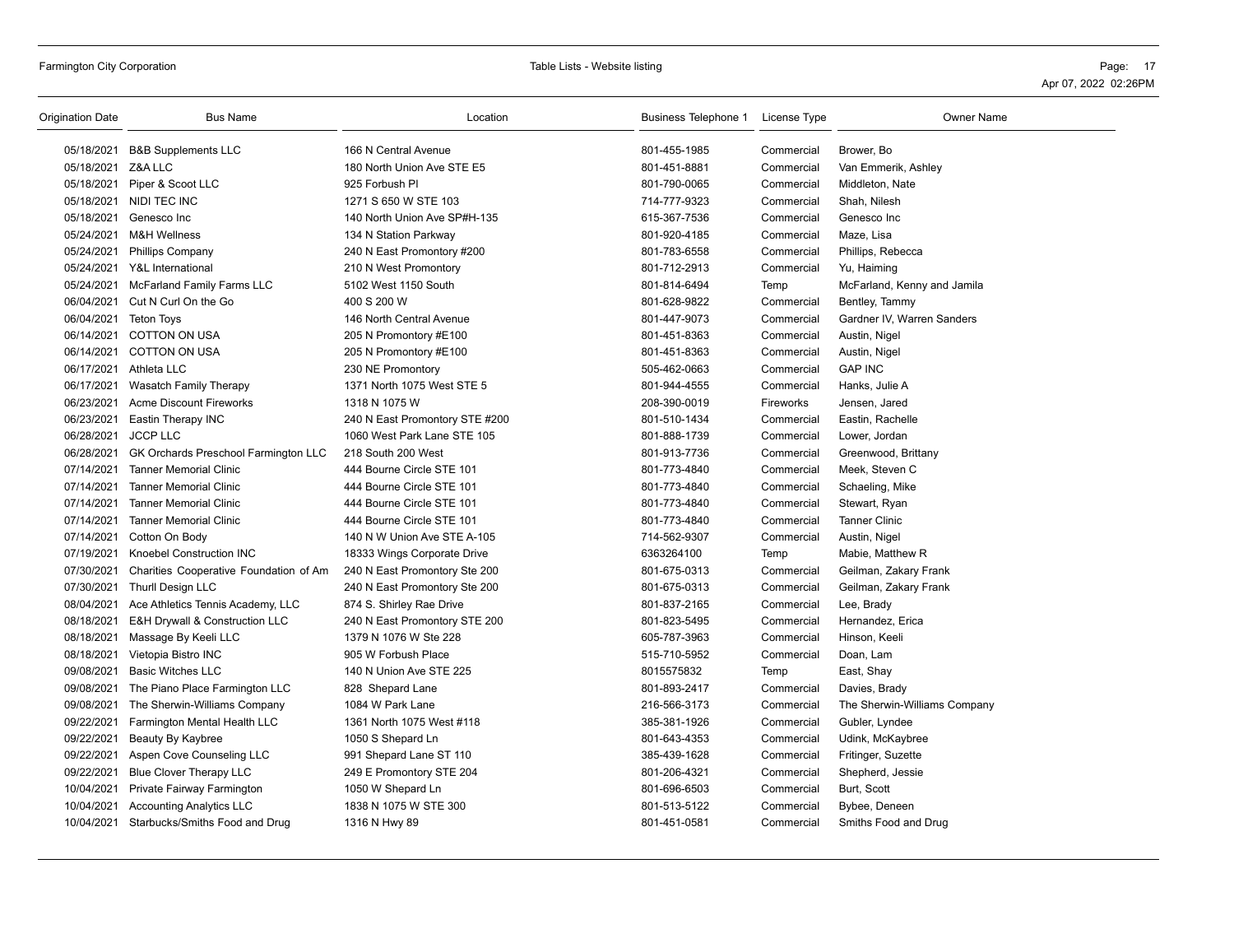## Farmington City Corporation **Page:** 17 **Page: 17** Table Lists - Website listing **Page: 17** Page: 17

| <b>Origination Date</b> | <b>Bus Name</b>                           | Location                       | Business Telephone 1 License Type |            | <b>Owner Name</b>            |
|-------------------------|-------------------------------------------|--------------------------------|-----------------------------------|------------|------------------------------|
|                         | 05/18/2021 B&B Supplements LLC            | 166 N Central Avenue           | 801-455-1985                      | Commercial | Brower, Bo                   |
| 05/18/2021 Z&A LLC      |                                           | 180 North Union Ave STE E5     | 801-451-8881                      | Commercial | Van Emmerik, Ashley          |
|                         | 05/18/2021 Piper & Scoot LLC              | 925 Forbush PI                 | 801-790-0065                      | Commercial | Middleton, Nate              |
|                         | 05/18/2021 NIDI TEC INC                   | 1271 S 650 W STE 103           | 714-777-9323                      | Commercial | Shah, Nilesh                 |
| 05/18/2021              | Genesco Inc                               | 140 North Union Ave SP#H-135   | 615-367-7536                      | Commercial | Genesco Inc                  |
| 05/24/2021              | M&H Wellness                              | 134 N Station Parkway          | 801-920-4185                      | Commercial | Maze, Lisa                   |
|                         | 05/24/2021 Phillips Company               | 240 N East Promontory #200     | 801-783-6558                      | Commercial | Phillips, Rebecca            |
|                         | 05/24/2021 Y&L International              | 210 N West Promontory          | 801-712-2913                      | Commercial | Yu, Haiming                  |
| 05/24/2021              | <b>McFarland Family Farms LLC</b>         | 5102 West 1150 South           | 801-814-6494                      | Temp       | McFarland, Kenny and Jamila  |
| 06/04/2021              | Cut N Curl On the Go                      | 400 S 200 W                    | 801-628-9822                      | Commercial | Bentley, Tammy               |
| 06/04/2021              | Teton Toys                                | 146 North Central Avenue       | 801-447-9073                      | Commercial | Gardner IV, Warren Sanders   |
|                         | 06/14/2021 COTTON ON USA                  | 205 N Promontory #E100         | 801-451-8363                      | Commercial | Austin, Nigel                |
|                         | 06/14/2021 COTTON ON USA                  | 205 N Promontory #E100         | 801-451-8363                      | Commercial | Austin, Nigel                |
|                         | 06/17/2021 Athleta LLC                    | 230 NE Promontory              | 505-462-0663                      | Commercial | <b>GAP INC</b>               |
| 06/17/2021              | Wasatch Family Therapy                    | 1371 North 1075 West STE 5     | 801-944-4555                      | Commercial | Hanks, Julie A               |
|                         | 06/23/2021 Acme Discount Fireworks        | 1318 N 1075 W                  | 208-390-0019                      | Fireworks  | Jensen, Jared                |
| 06/23/2021              | Eastin Therapy INC                        | 240 N East Promontory STE #200 | 801-510-1434                      | Commercial | Eastin, Rachelle             |
| 06/28/2021              | <b>JCCP LLC</b>                           | 1060 West Park Lane STE 105    | 801-888-1739                      | Commercial | Lower, Jordan                |
| 06/28/2021              | GK Orchards Preschool Farmington LLC      | 218 South 200 West             | 801-913-7736                      | Commercial | Greenwood, Brittany          |
| 07/14/2021              | <b>Tanner Memorial Clinic</b>             | 444 Bourne Circle STE 101      | 801-773-4840                      | Commercial | Meek, Steven C               |
| 07/14/2021              | <b>Tanner Memorial Clinic</b>             | 444 Bourne Circle STE 101      | 801-773-4840                      | Commercial | Schaeling, Mike              |
| 07/14/2021              | <b>Tanner Memorial Clinic</b>             | 444 Bourne Circle STE 101      | 801-773-4840                      | Commercial | Stewart, Ryan                |
| 07/14/2021              | <b>Tanner Memorial Clinic</b>             | 444 Bourne Circle STE 101      | 801-773-4840                      | Commercial | <b>Tanner Clinic</b>         |
| 07/14/2021              | Cotton On Body                            | 140 N W Union Ave STE A-105    | 714-562-9307                      | Commercial | Austin, Nigel                |
| 07/19/2021              | <b>Knoebel Construction INC</b>           | 18333 Wings Corporate Drive    | 6363264100                        | Temp       | Mabie, Matthew R             |
| 07/30/2021              | Charities Cooperative Foundation of Am    | 240 N East Promontory Ste 200  | 801-675-0313                      | Commercial | Geilman, Zakary Frank        |
| 07/30/2021              | Thurll Design LLC                         | 240 N East Promontory Ste 200  | 801-675-0313                      | Commercial | Geilman, Zakary Frank        |
| 08/04/2021              | Ace Athletics Tennis Academy, LLC         | 874 S. Shirley Rae Drive       | 801-837-2165                      | Commercial | Lee, Brady                   |
| 08/18/2021              | E&H Drywall & Construction LLC            | 240 N East Promontory STE 200  | 801-823-5495                      | Commercial | Hernandez, Erica             |
| 08/18/2021              | Massage By Keeli LLC                      | 1379 N 1076 W Ste 228          | 605-787-3963                      | Commercial | Hinson, Keeli                |
| 08/18/2021              | Vietopia Bistro INC                       | 905 W Forbush Place            | 515-710-5952                      | Commercial | Doan, Lam                    |
| 09/08/2021              | <b>Basic Witches LLC</b>                  | 140 N Union Ave STE 225        | 8015575832                        | Temp       | East, Shay                   |
| 09/08/2021              | The Piano Place Farmington LLC            | 828 Shepard Lane               | 801-893-2417                      | Commercial | Davies, Brady                |
|                         | 09/08/2021 The Sherwin-Williams Company   | 1084 W Park Lane               | 216-566-3173                      | Commercial | The Sherwin-Williams Company |
| 09/22/2021              | Farmington Mental Health LLC              | 1361 North 1075 West #118      | 385-381-1926                      | Commercial | Gubler, Lyndee               |
| 09/22/2021              | Beauty By Kaybree                         | 1050 S Shepard Ln              | 801-643-4353                      | Commercial | Udink, McKaybree             |
| 09/22/2021              | Aspen Cove Counseling LLC                 | 991 Shepard Lane ST 110        | 385-439-1628                      | Commercial | Fritinger, Suzette           |
| 09/22/2021              | <b>Blue Clover Therapy LLC</b>            | 249 E Promontory STE 204       | 801-206-4321                      | Commercial | Shepherd, Jessie             |
| 10/04/2021              | Private Fairway Farmington                | 1050 W Shepard Ln              | 801-696-6503                      | Commercial | Burt, Scott                  |
| 10/04/2021              | <b>Accounting Analytics LLC</b>           | 1838 N 1075 W STE 300          | 801-513-5122                      | Commercial | Bybee, Deneen                |
|                         | 10/04/2021 Starbucks/Smiths Food and Drug | 1316 N Hwy 89                  | 801-451-0581                      | Commercial | Smiths Food and Drug         |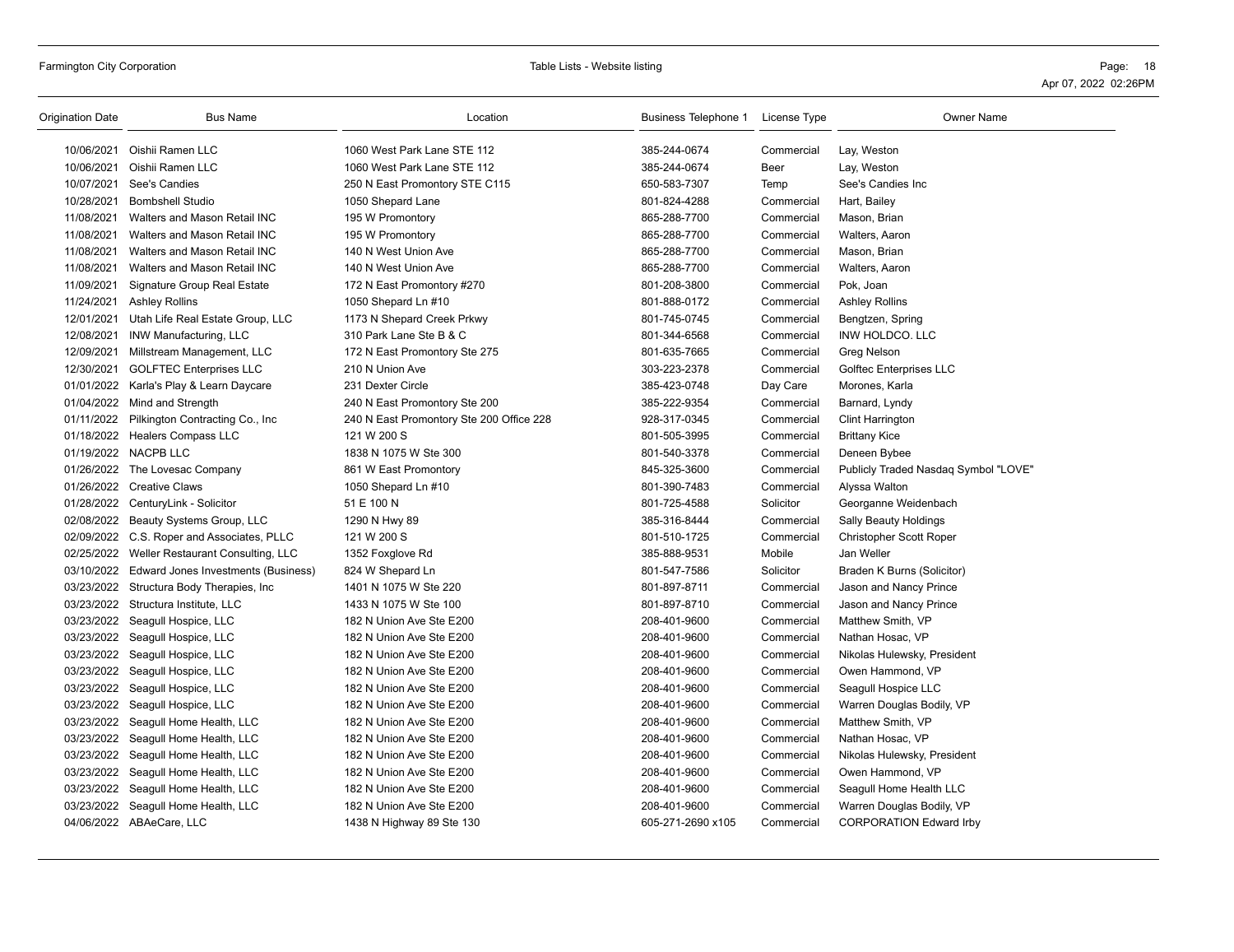Farmington City Corporation Table Lists - Website listing Page: 18 Apr 07, 2022 02:26PM

| Origination Date | <b>Bus Name</b>                            | Location                                 | Business Telephone 1 License Type |            | <b>Owner Name</b>                    |
|------------------|--------------------------------------------|------------------------------------------|-----------------------------------|------------|--------------------------------------|
| 10/06/2021       | Oishii Ramen LLC                           | 1060 West Park Lane STE 112              | 385-244-0674                      | Commercial | Lay, Weston                          |
| 10/06/2021       | Oishii Ramen LLC                           | 1060 West Park Lane STE 112              | 385-244-0674                      | Beer       | Lay, Weston                          |
| 10/07/2021       | See's Candies                              | 250 N East Promontory STE C115           | 650-583-7307                      | Temp       | See's Candies Inc                    |
| 10/28/2021       | <b>Bombshell Studio</b>                    | 1050 Shepard Lane                        | 801-824-4288                      | Commercial | Hart, Bailey                         |
| 11/08/2021       | Walters and Mason Retail INC               | 195 W Promontory                         | 865-288-7700                      | Commercial | Mason, Brian                         |
| 11/08/2021       | Walters and Mason Retail INC               | 195 W Promontory                         | 865-288-7700                      | Commercial | Walters, Aaron                       |
| 11/08/2021       | Walters and Mason Retail INC               | 140 N West Union Ave                     | 865-288-7700                      | Commercial | Mason, Brian                         |
| 11/08/2021       | Walters and Mason Retail INC               | 140 N West Union Ave                     | 865-288-7700                      | Commercial | Walters, Aaron                       |
| 11/09/2021       | Signature Group Real Estate                | 172 N East Promontory #270               | 801-208-3800                      | Commercial | Pok, Joan                            |
| 11/24/2021       | <b>Ashley Rollins</b>                      | 1050 Shepard Ln #10                      | 801-888-0172                      | Commercial | <b>Ashley Rollins</b>                |
| 12/01/2021       | Utah Life Real Estate Group, LLC           | 1173 N Shepard Creek Prkwy               | 801-745-0745                      | Commercial | Bengtzen, Spring                     |
| 12/08/2021       | INW Manufacturing, LLC                     | 310 Park Lane Ste B & C                  | 801-344-6568                      | Commercial | INW HOLDCO. LLC                      |
| 12/09/2021       | Millstream Management, LLC                 | 172 N East Promontory Ste 275            | 801-635-7665                      | Commercial | <b>Greg Nelson</b>                   |
| 12/30/2021       | <b>GOLFTEC Enterprises LLC</b>             | 210 N Union Ave                          | 303-223-2378                      | Commercial | Golftec Enterprises LLC              |
|                  | 01/01/2022 Karla's Play & Learn Daycare    | 231 Dexter Circle                        | 385-423-0748                      | Day Care   | Morones, Karla                       |
|                  | 01/04/2022 Mind and Strength               | 240 N East Promontory Ste 200            | 385-222-9354                      | Commercial | Barnard, Lyndy                       |
| 01/11/2022       | Pilkington Contracting Co., Inc.           | 240 N East Promontory Ste 200 Office 228 | 928-317-0345                      | Commercial | <b>Clint Harrington</b>              |
|                  | 01/18/2022 Healers Compass LLC             | 121 W 200 S                              | 801-505-3995                      | Commercial | <b>Brittany Kice</b>                 |
|                  | 01/19/2022 NACPB LLC                       | 1838 N 1075 W Ste 300                    | 801-540-3378                      | Commercial | Deneen Bybee                         |
|                  | 01/26/2022 The Lovesac Company             | 861 W East Promontory                    | 845-325-3600                      | Commercial | Publicly Traded Nasdaq Symbol "LOVE" |
| 01/26/2022       | <b>Creative Claws</b>                      | 1050 Shepard Ln #10                      | 801-390-7483                      | Commercial | Alyssa Walton                        |
| 01/28/2022       | CenturyLink - Solicitor                    | 51 E 100 N                               | 801-725-4588                      | Solicitor  | Georganne Weidenbach                 |
| 02/08/2022       | Beauty Systems Group, LLC                  | 1290 N Hwy 89                            | 385-316-8444                      | Commercial | Sally Beauty Holdings                |
|                  | 02/09/2022 C.S. Roper and Associates, PLLC | 121 W 200 S                              | 801-510-1725                      | Commercial | <b>Christopher Scott Roper</b>       |
| 02/25/2022       | Weller Restaurant Consulting, LLC          | 1352 Foxglove Rd                         | 385-888-9531                      | Mobile     | Jan Weller                           |
| 03/10/2022       | Edward Jones Investments (Business)        | 824 W Shepard Ln                         | 801-547-7586                      | Solicitor  | Braden K Burns (Solicitor)           |
|                  | 03/23/2022 Structura Body Therapies, Inc   | 1401 N 1075 W Ste 220                    | 801-897-8711                      | Commercial | Jason and Nancy Prince               |
|                  | 03/23/2022 Structura Institute, LLC        | 1433 N 1075 W Ste 100                    | 801-897-8710                      | Commercial | Jason and Nancy Prince               |
|                  | 03/23/2022 Seagull Hospice, LLC            | 182 N Union Ave Ste E200                 | 208-401-9600                      | Commercial | Matthew Smith, VP                    |
|                  | 03/23/2022 Seagull Hospice, LLC            | 182 N Union Ave Ste E200                 | 208-401-9600                      | Commercial | Nathan Hosac, VP                     |
| 03/23/2022       | Seagull Hospice, LLC                       | 182 N Union Ave Ste E200                 | 208-401-9600                      | Commercial | Nikolas Hulewsky, President          |
| 03/23/2022       | Seagull Hospice, LLC                       | 182 N Union Ave Ste E200                 | 208-401-9600                      | Commercial | Owen Hammond, VP                     |
|                  | 03/23/2022 Seagull Hospice, LLC            | 182 N Union Ave Ste E200                 | 208-401-9600                      | Commercial | Seagull Hospice LLC                  |
| 03/23/2022       | Seagull Hospice, LLC                       | 182 N Union Ave Ste E200                 | 208-401-9600                      | Commercial | Warren Douglas Bodily, VP            |
| 03/23/2022       | Seagull Home Health, LLC                   | 182 N Union Ave Ste E200                 | 208-401-9600                      | Commercial | Matthew Smith, VP                    |
|                  | 03/23/2022 Seagull Home Health, LLC        | 182 N Union Ave Ste E200                 | 208-401-9600                      | Commercial | Nathan Hosac, VP                     |
| 03/23/2022       | Seagull Home Health, LLC                   | 182 N Union Ave Ste E200                 | 208-401-9600                      | Commercial | Nikolas Hulewsky, President          |
|                  | 03/23/2022 Seagull Home Health, LLC        | 182 N Union Ave Ste E200                 | 208-401-9600                      | Commercial | Owen Hammond, VP                     |
|                  | 03/23/2022 Seagull Home Health, LLC        | 182 N Union Ave Ste E200                 | 208-401-9600                      | Commercial | Seagull Home Health LLC              |
| 03/23/2022       | Seagull Home Health, LLC                   | 182 N Union Ave Ste E200                 | 208-401-9600                      | Commercial | Warren Douglas Bodily, VP            |
|                  | 04/06/2022 ABAeCare, LLC                   | 1438 N Highway 89 Ste 130                | 605-271-2690 x105                 | Commercial | <b>CORPORATION Edward Irby</b>       |
|                  |                                            |                                          |                                   |            |                                      |